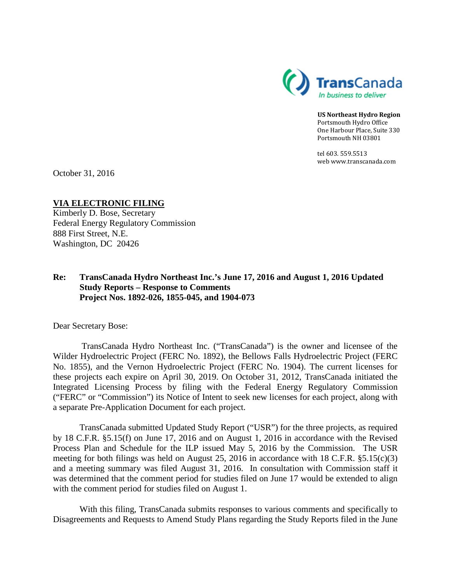

**US Northeast Hydro Region** Portsmouth Hydro Office One Harbour Place, Suite 330 Portsmouth NH 03801

tel 603. 559.5513 web www.transcanada.com

October 31, 2016

**VIA ELECTRONIC FILING** Kimberly D. Bose, Secretary Federal Energy Regulatory Commission 888 First Street, N.E. Washington, DC 20426

#### **Re: TransCanada Hydro Northeast Inc.'s June 17, 2016 and August 1, 2016 Updated Study Reports – Response to Comments Project Nos. 1892-026, 1855-045, and 1904-073**

Dear Secretary Bose:

TransCanada Hydro Northeast Inc. ("TransCanada") is the owner and licensee of the Wilder Hydroelectric Project (FERC No. 1892), the Bellows Falls Hydroelectric Project (FERC No. 1855), and the Vernon Hydroelectric Project (FERC No. 1904). The current licenses for these projects each expire on April 30, 2019. On October 31, 2012, TransCanada initiated the Integrated Licensing Process by filing with the Federal Energy Regulatory Commission ("FERC" or "Commission") its Notice of Intent to seek new licenses for each project, along with a separate Pre-Application Document for each project.

TransCanada submitted Updated Study Report ("USR") for the three projects, as required by 18 C.F.R. §5.15(f) on June 17, 2016 and on August 1, 2016 in accordance with the Revised Process Plan and Schedule for the ILP issued May 5, 2016 by the Commission. The USR meeting for both filings was held on August 25, 2016 in accordance with 18 C.F.R. §5.15(c)(3) and a meeting summary was filed August 31, 2016. In consultation with Commission staff it was determined that the comment period for studies filed on June 17 would be extended to align with the comment period for studies filed on August 1.

With this filing, TransCanada submits responses to various comments and specifically to Disagreements and Requests to Amend Study Plans regarding the Study Reports filed in the June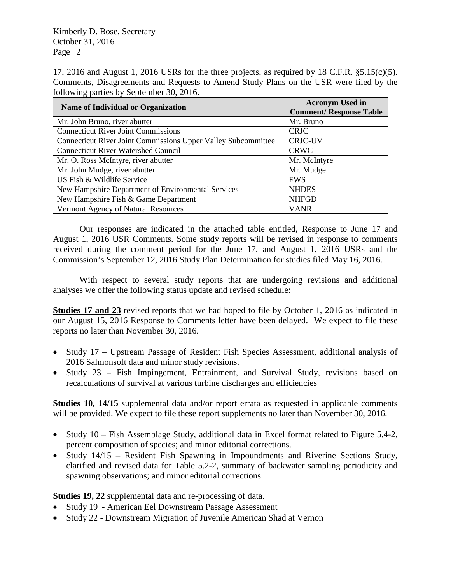Kimberly D. Bose, Secretary October 31, 2016 Page  $|2|$ 

17, 2016 and August 1, 2016 USRs for the three projects, as required by 18 C.F.R. §5.15(c)(5). Comments, Disagreements and Requests to Amend Study Plans on the USR were filed by the following parties by September 30, 2016.

| <b>Name of Individual or Organization</b>                     | <b>Acronym Used in</b><br><b>Comment/ Response Table</b> |
|---------------------------------------------------------------|----------------------------------------------------------|
| Mr. John Bruno, river abutter                                 | Mr. Bruno                                                |
| <b>Connecticut River Joint Commissions</b>                    | <b>CRJC</b>                                              |
| Connecticut River Joint Commissions Upper Valley Subcommittee | <b>CRJC-UV</b>                                           |
| <b>Connecticut River Watershed Council</b>                    | <b>CRWC</b>                                              |
| Mr. O. Ross McIntyre, river abutter                           | Mr. McIntyre                                             |
| Mr. John Mudge, river abutter                                 | Mr. Mudge                                                |
| US Fish & Wildlife Service                                    | <b>FWS</b>                                               |
| New Hampshire Department of Environmental Services            | <b>NHDES</b>                                             |
| New Hampshire Fish & Game Department                          | <b>NHFGD</b>                                             |
| Vermont Agency of Natural Resources                           | <b>VANR</b>                                              |

Our responses are indicated in the attached table entitled, Response to June 17 and August 1, 2016 USR Comments. Some study reports will be revised in response to comments received during the comment period for the June 17, and August 1, 2016 USRs and the Commission's September 12, 2016 Study Plan Determination for studies filed May 16, 2016.

With respect to several study reports that are undergoing revisions and additional analyses we offer the following status update and revised schedule:

**Studies 17 and 23** revised reports that we had hoped to file by October 1, 2016 as indicated in our August 15, 2016 Response to Comments letter have been delayed. We expect to file these reports no later than November 30, 2016.

- Study 17 Upstream Passage of Resident Fish Species Assessment, additional analysis of 2016 Salmonsoft data and minor study revisions.
- Study 23 Fish Impingement, Entrainment, and Survival Study, revisions based on recalculations of survival at various turbine discharges and efficiencies

**Studies 10, 14/15** supplemental data and/or report errata as requested in applicable comments will be provided. We expect to file these report supplements no later than November 30, 2016.

- Study 10 Fish Assemblage Study, additional data in Excel format related to Figure 5.4-2, percent composition of species; and minor editorial corrections.
- Study 14/15 Resident Fish Spawning in Impoundments and Riverine Sections Study, clarified and revised data for Table 5.2-2, summary of backwater sampling periodicity and spawning observations; and minor editorial corrections

**Studies 19, 22** supplemental data and re-processing of data.

- Study 19 American Eel Downstream Passage Assessment
- Study 22 Downstream Migration of Juvenile American Shad at Vernon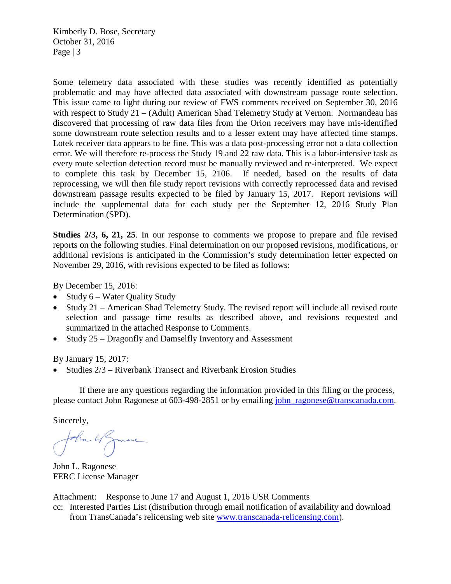Kimberly D. Bose, Secretary October 31, 2016 Page  $|3$ 

Some telemetry data associated with these studies was recently identified as potentially problematic and may have affected data associated with downstream passage route selection. This issue came to light during our review of FWS comments received on September 30, 2016 with respect to Study 21 – (Adult) American Shad Telemetry Study at Vernon. Normandeau has discovered that processing of raw data files from the Orion receivers may have mis-identified some downstream route selection results and to a lesser extent may have affected time stamps. Lotek receiver data appears to be fine. This was a data post-processing error not a data collection error. We will therefore re-process the Study 19 and 22 raw data. This is a labor-intensive task as every route selection detection record must be manually reviewed and re-interpreted. We expect to complete this task by December 15, 2106. If needed, based on the results of data reprocessing, we will then file study report revisions with correctly reprocessed data and revised downstream passage results expected to be filed by January 15, 2017. Report revisions will include the supplemental data for each study per the September 12, 2016 Study Plan Determination (SPD).

**Studies 2/3, 6, 21, 25**. In our response to comments we propose to prepare and file revised reports on the following studies. Final determination on our proposed revisions, modifications, or additional revisions is anticipated in the Commission's study determination letter expected on November 29, 2016, with revisions expected to be filed as follows:

By December 15, 2016:

- Study 6 Water Quality Study
- Study 21 American Shad Telemetry Study. The revised report will include all revised route selection and passage time results as described above, and revisions requested and summarized in the attached Response to Comments.
- Study 25 Dragonfly and Damselfly Inventory and Assessment

By January 15, 2017:

• Studies 2/3 – Riverbank Transect and Riverbank Erosion Studies

If there are any questions regarding the information provided in this filing or the process, please contact John Ragonese at 603-498-2851 or by emailing [john\\_ragonese@transcanada.com.](mailto:john_ragonese@transcanada.com)

Sincerely,

John 4 James

John L. Ragonese FERC License Manager

Attachment: Response to June 17 and August 1, 2016 USR Comments

cc: Interested Parties List (distribution through email notification of availability and download from TransCanada's relicensing web site [www.transcanada-relicensing.com\)](http://www.transcanada-relicensing.com/).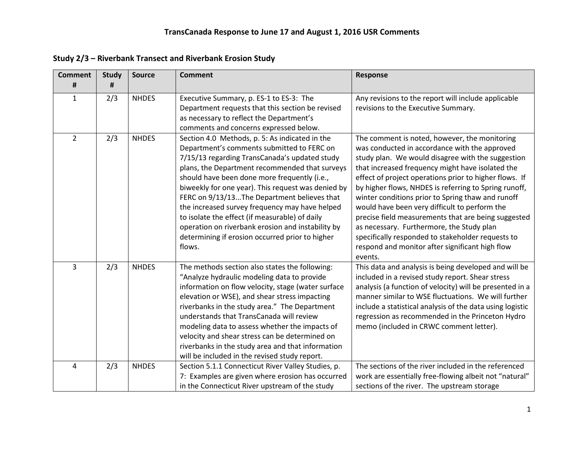| <b>Comment</b><br># | <b>Study</b><br># | <b>Source</b> | <b>Comment</b>                                                                                                                                                                                                                                                                                                                                                                                                                                                                                                                                                             | Response                                                                                                                                                                                                                                                                                                                                                                                                                                                                                                                                                                                                                                                |
|---------------------|-------------------|---------------|----------------------------------------------------------------------------------------------------------------------------------------------------------------------------------------------------------------------------------------------------------------------------------------------------------------------------------------------------------------------------------------------------------------------------------------------------------------------------------------------------------------------------------------------------------------------------|---------------------------------------------------------------------------------------------------------------------------------------------------------------------------------------------------------------------------------------------------------------------------------------------------------------------------------------------------------------------------------------------------------------------------------------------------------------------------------------------------------------------------------------------------------------------------------------------------------------------------------------------------------|
| $\mathbf{1}$        | 2/3               | <b>NHDES</b>  | Executive Summary, p. ES-1 to ES-3: The<br>Department requests that this section be revised<br>as necessary to reflect the Department's<br>comments and concerns expressed below.                                                                                                                                                                                                                                                                                                                                                                                          | Any revisions to the report will include applicable<br>revisions to the Executive Summary.                                                                                                                                                                                                                                                                                                                                                                                                                                                                                                                                                              |
| $\overline{2}$      | 2/3               | <b>NHDES</b>  | Section 4.0 Methods, p. 5: As indicated in the<br>Department's comments submitted to FERC on<br>7/15/13 regarding TransCanada's updated study<br>plans, the Department recommended that surveys<br>should have been done more frequently (i.e.,<br>biweekly for one year). This request was denied by<br>FERC on 9/13/13The Department believes that<br>the increased survey frequency may have helped<br>to isolate the effect (if measurable) of daily<br>operation on riverbank erosion and instability by<br>determining if erosion occurred prior to higher<br>flows. | The comment is noted, however, the monitoring<br>was conducted in accordance with the approved<br>study plan. We would disagree with the suggestion<br>that increased frequency might have isolated the<br>effect of project operations prior to higher flows. If<br>by higher flows, NHDES is referring to Spring runoff,<br>winter conditions prior to Spring thaw and runoff<br>would have been very difficult to perform the<br>precise field measurements that are being suggested<br>as necessary. Furthermore, the Study plan<br>specifically responded to stakeholder requests to<br>respond and monitor after significant high flow<br>events. |
| $\overline{3}$      | 2/3               | <b>NHDES</b>  | The methods section also states the following:<br>"Analyze hydraulic modeling data to provide<br>information on flow velocity, stage (water surface<br>elevation or WSE), and shear stress impacting<br>riverbanks in the study area." The Department<br>understands that TransCanada will review<br>modeling data to assess whether the impacts of<br>velocity and shear stress can be determined on<br>riverbanks in the study area and that information<br>will be included in the revised study report.                                                                | This data and analysis is being developed and will be<br>included in a revised study report. Shear stress<br>analysis (a function of velocity) will be presented in a<br>manner similar to WSE fluctuations. We will further<br>include a statistical analysis of the data using logistic<br>regression as recommended in the Princeton Hydro<br>memo (included in CRWC comment letter).                                                                                                                                                                                                                                                                |
| 4                   | 2/3               | <b>NHDES</b>  | Section 5.1.1 Connecticut River Valley Studies, p.<br>7: Examples are given where erosion has occurred<br>in the Connecticut River upstream of the study                                                                                                                                                                                                                                                                                                                                                                                                                   | The sections of the river included in the referenced<br>work are essentially free-flowing albeit not "natural"<br>sections of the river. The upstream storage                                                                                                                                                                                                                                                                                                                                                                                                                                                                                           |

**Study 2/3 – Riverbank Transect and Riverbank Erosion Study**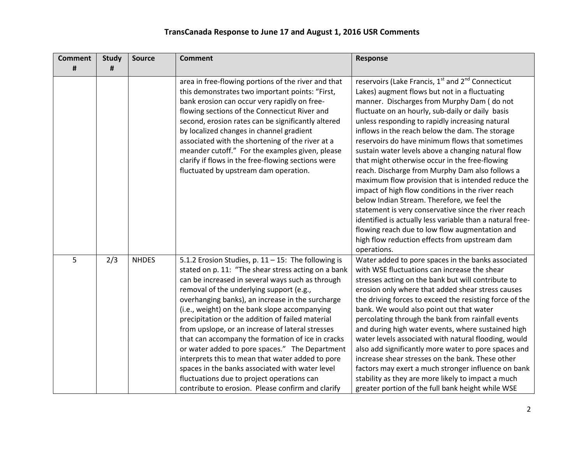| <b>Comment</b> | <b>Study</b> | <b>Source</b> | <b>Comment</b>                                                                                                                                                                                                                                                                                                                                                                                                                                                                                                                                                                                                                                                                                                                           | <b>Response</b>                                                                                                                                                                                                                                                                                                                                                                                                                                                                                                                                                                                                                                                                                                                                                                                                                                                                                                                                   |
|----------------|--------------|---------------|------------------------------------------------------------------------------------------------------------------------------------------------------------------------------------------------------------------------------------------------------------------------------------------------------------------------------------------------------------------------------------------------------------------------------------------------------------------------------------------------------------------------------------------------------------------------------------------------------------------------------------------------------------------------------------------------------------------------------------------|---------------------------------------------------------------------------------------------------------------------------------------------------------------------------------------------------------------------------------------------------------------------------------------------------------------------------------------------------------------------------------------------------------------------------------------------------------------------------------------------------------------------------------------------------------------------------------------------------------------------------------------------------------------------------------------------------------------------------------------------------------------------------------------------------------------------------------------------------------------------------------------------------------------------------------------------------|
| #              | #            |               |                                                                                                                                                                                                                                                                                                                                                                                                                                                                                                                                                                                                                                                                                                                                          |                                                                                                                                                                                                                                                                                                                                                                                                                                                                                                                                                                                                                                                                                                                                                                                                                                                                                                                                                   |
|                |              |               | area in free-flowing portions of the river and that<br>this demonstrates two important points: "First,<br>bank erosion can occur very rapidly on free-<br>flowing sections of the Connecticut River and<br>second, erosion rates can be significantly altered<br>by localized changes in channel gradient<br>associated with the shortening of the river at a<br>meander cutoff." For the examples given, please<br>clarify if flows in the free-flowing sections were<br>fluctuated by upstream dam operation.                                                                                                                                                                                                                          | reservoirs (Lake Francis, 1 <sup>st</sup> and 2 <sup>nd</sup> Connecticut<br>Lakes) augment flows but not in a fluctuating<br>manner. Discharges from Murphy Dam (do not<br>fluctuate on an hourly, sub-daily or daily basis<br>unless responding to rapidly increasing natural<br>inflows in the reach below the dam. The storage<br>reservoirs do have minimum flows that sometimes<br>sustain water levels above a changing natural flow<br>that might otherwise occur in the free-flowing<br>reach. Discharge from Murphy Dam also follows a<br>maximum flow provision that is intended reduce the<br>impact of high flow conditions in the river reach<br>below Indian Stream. Therefore, we feel the<br>statement is very conservative since the river reach<br>identified is actually less variable than a natural free-<br>flowing reach due to low flow augmentation and<br>high flow reduction effects from upstream dam<br>operations. |
| 5              | 2/3          | <b>NHDES</b>  | 5.1.2 Erosion Studies, p. 11 - 15: The following is<br>stated on p. 11: "The shear stress acting on a bank<br>can be increased in several ways such as through<br>removal of the underlying support (e.g.,<br>overhanging banks), an increase in the surcharge<br>(i.e., weight) on the bank slope accompanying<br>precipitation or the addition of failed material<br>from upslope, or an increase of lateral stresses<br>that can accompany the formation of ice in cracks<br>or water added to pore spaces." The Department<br>interprets this to mean that water added to pore<br>spaces in the banks associated with water level<br>fluctuations due to project operations can<br>contribute to erosion. Please confirm and clarify | Water added to pore spaces in the banks associated<br>with WSE fluctuations can increase the shear<br>stresses acting on the bank but will contribute to<br>erosion only where that added shear stress causes<br>the driving forces to exceed the resisting force of the<br>bank. We would also point out that water<br>percolating through the bank from rainfall events<br>and during high water events, where sustained high<br>water levels associated with natural flooding, would<br>also add significantly more water to pore spaces and<br>increase shear stresses on the bank. These other<br>factors may exert a much stronger influence on bank<br>stability as they are more likely to impact a much<br>greater portion of the full bank height while WSE                                                                                                                                                                             |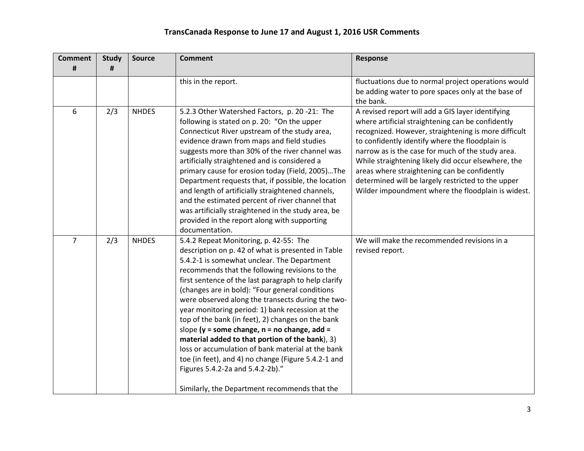| <b>Comment</b> | <b>Study</b> | <b>Source</b> | <b>Comment</b>                                                                                                                                                                                                                                                                                                                                                                                                                                                                                                                                                                                                                                                                                                                                                                  | Response                                                                                                                                                                                                                                                                                                                                                                                                                                                                                  |
|----------------|--------------|---------------|---------------------------------------------------------------------------------------------------------------------------------------------------------------------------------------------------------------------------------------------------------------------------------------------------------------------------------------------------------------------------------------------------------------------------------------------------------------------------------------------------------------------------------------------------------------------------------------------------------------------------------------------------------------------------------------------------------------------------------------------------------------------------------|-------------------------------------------------------------------------------------------------------------------------------------------------------------------------------------------------------------------------------------------------------------------------------------------------------------------------------------------------------------------------------------------------------------------------------------------------------------------------------------------|
| #              | #            |               |                                                                                                                                                                                                                                                                                                                                                                                                                                                                                                                                                                                                                                                                                                                                                                                 |                                                                                                                                                                                                                                                                                                                                                                                                                                                                                           |
|                |              |               | this in the report.                                                                                                                                                                                                                                                                                                                                                                                                                                                                                                                                                                                                                                                                                                                                                             | fluctuations due to normal project operations would<br>be adding water to pore spaces only at the base of<br>the bank.                                                                                                                                                                                                                                                                                                                                                                    |
| 6              | 2/3          | <b>NHDES</b>  | 5.2.3 Other Watershed Factors, p. 20 -21: The<br>following is stated on p. 20: "On the upper<br>Connecticut River upstream of the study area,<br>evidence drawn from maps and field studies<br>suggests more than 30% of the river channel was<br>artificially straightened and is considered a<br>primary cause for erosion today (Field, 2005)The<br>Department requests that, if possible, the location<br>and length of artificially straightened channels,<br>and the estimated percent of river channel that<br>was artificially straightened in the study area, be<br>provided in the report along with supporting<br>documentation.                                                                                                                                     | A revised report will add a GIS layer identifying<br>where artificial straightening can be confidently<br>recognized. However, straightening is more difficult<br>to confidently identify where the floodplain is<br>narrow as is the case for much of the study area.<br>While straightening likely did occur elsewhere, the<br>areas where straightening can be confidently<br>determined will be largely restricted to the upper<br>Wilder impoundment where the floodplain is widest. |
| $\overline{7}$ | 2/3          | <b>NHDES</b>  | 5.4.2 Repeat Monitoring, p. 42-55: The<br>description on p. 42 of what is presented in Table<br>5.4.2-1 is somewhat unclear. The Department<br>recommends that the following revisions to the<br>first sentence of the last paragraph to help clarify<br>(changes are in bold): "Four general conditions<br>were observed along the transects during the two-<br>year monitoring period: 1) bank recession at the<br>top of the bank (in feet), 2) changes on the bank<br>slope ( $y =$ some change, $n =$ no change, add =<br>material added to that portion of the bank), 3)<br>loss or accumulation of bank material at the bank<br>toe (in feet), and 4) no change (Figure 5.4.2-1 and<br>Figures 5.4.2-2a and 5.4.2-2b)."<br>Similarly, the Department recommends that the | We will make the recommended revisions in a<br>revised report.                                                                                                                                                                                                                                                                                                                                                                                                                            |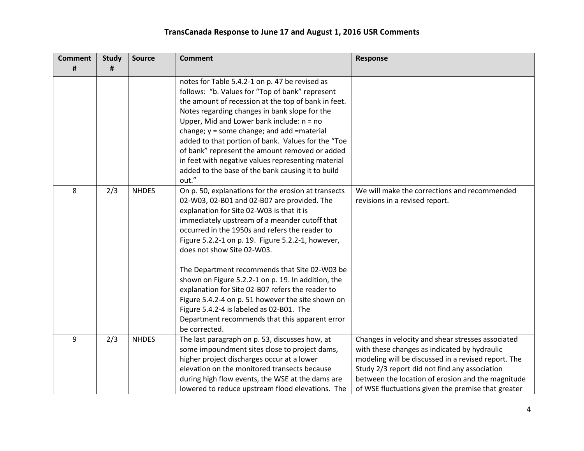| <b>Comment</b> | <b>Study</b> | <b>Source</b> | <b>Comment</b>                                                                                                                                                                                                                                                                                                                                                                                                                                                                                                                                                                                                                                                       | <b>Response</b>                                                                                                                                                                                                                                                                                                      |
|----------------|--------------|---------------|----------------------------------------------------------------------------------------------------------------------------------------------------------------------------------------------------------------------------------------------------------------------------------------------------------------------------------------------------------------------------------------------------------------------------------------------------------------------------------------------------------------------------------------------------------------------------------------------------------------------------------------------------------------------|----------------------------------------------------------------------------------------------------------------------------------------------------------------------------------------------------------------------------------------------------------------------------------------------------------------------|
| #              | #            |               |                                                                                                                                                                                                                                                                                                                                                                                                                                                                                                                                                                                                                                                                      |                                                                                                                                                                                                                                                                                                                      |
|                |              |               | notes for Table 5.4.2-1 on p. 47 be revised as<br>follows: "b. Values for "Top of bank" represent<br>the amount of recession at the top of bank in feet.<br>Notes regarding changes in bank slope for the<br>Upper, Mid and Lower bank include: $n = no$<br>change; $y =$ some change; and add = material<br>added to that portion of bank. Values for the "Toe<br>of bank" represent the amount removed or added<br>in feet with negative values representing material<br>added to the base of the bank causing it to build<br>out."                                                                                                                                |                                                                                                                                                                                                                                                                                                                      |
| 8              | 2/3          | <b>NHDES</b>  | On p. 50, explanations for the erosion at transects<br>02-W03, 02-B01 and 02-B07 are provided. The<br>explanation for Site 02-W03 is that it is<br>immediately upstream of a meander cutoff that<br>occurred in the 1950s and refers the reader to<br>Figure 5.2.2-1 on p. 19. Figure 5.2.2-1, however,<br>does not show Site 02-W03.<br>The Department recommends that Site 02-W03 be<br>shown on Figure 5.2.2-1 on p. 19. In addition, the<br>explanation for Site 02-B07 refers the reader to<br>Figure 5.4.2-4 on p. 51 however the site shown on<br>Figure 5.4.2-4 is labeled as 02-B01. The<br>Department recommends that this apparent error<br>be corrected. | We will make the corrections and recommended<br>revisions in a revised report.                                                                                                                                                                                                                                       |
| 9              | 2/3          | <b>NHDES</b>  | The last paragraph on p. 53, discusses how, at<br>some impoundment sites close to project dams,<br>higher project discharges occur at a lower<br>elevation on the monitored transects because<br>during high flow events, the WSE at the dams are<br>lowered to reduce upstream flood elevations. The                                                                                                                                                                                                                                                                                                                                                                | Changes in velocity and shear stresses associated<br>with these changes as indicated by hydraulic<br>modeling will be discussed in a revised report. The<br>Study 2/3 report did not find any association<br>between the location of erosion and the magnitude<br>of WSE fluctuations given the premise that greater |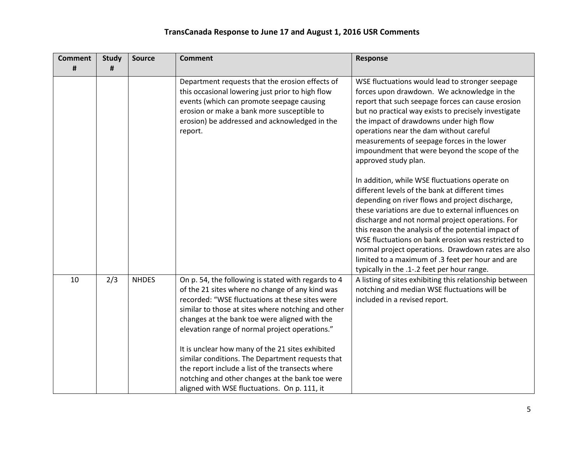| <b>Comment</b> | <b>Study</b> | <b>Source</b> | <b>Comment</b>                                                                                                                                                                                                                                                                                                                                                                                                                                                                                                                                                                    | <b>Response</b>                                                                                                                                                                                                                                                                                                                                                                                                                                                                                                                                                                                                                                                                                                                                                                                                                                                                                                                                                   |
|----------------|--------------|---------------|-----------------------------------------------------------------------------------------------------------------------------------------------------------------------------------------------------------------------------------------------------------------------------------------------------------------------------------------------------------------------------------------------------------------------------------------------------------------------------------------------------------------------------------------------------------------------------------|-------------------------------------------------------------------------------------------------------------------------------------------------------------------------------------------------------------------------------------------------------------------------------------------------------------------------------------------------------------------------------------------------------------------------------------------------------------------------------------------------------------------------------------------------------------------------------------------------------------------------------------------------------------------------------------------------------------------------------------------------------------------------------------------------------------------------------------------------------------------------------------------------------------------------------------------------------------------|
| #              | #            |               |                                                                                                                                                                                                                                                                                                                                                                                                                                                                                                                                                                                   |                                                                                                                                                                                                                                                                                                                                                                                                                                                                                                                                                                                                                                                                                                                                                                                                                                                                                                                                                                   |
|                |              |               | Department requests that the erosion effects of<br>this occasional lowering just prior to high flow<br>events (which can promote seepage causing<br>erosion or make a bank more susceptible to<br>erosion) be addressed and acknowledged in the<br>report.                                                                                                                                                                                                                                                                                                                        | WSE fluctuations would lead to stronger seepage<br>forces upon drawdown. We acknowledge in the<br>report that such seepage forces can cause erosion<br>but no practical way exists to precisely investigate<br>the impact of drawdowns under high flow<br>operations near the dam without careful<br>measurements of seepage forces in the lower<br>impoundment that were beyond the scope of the<br>approved study plan.<br>In addition, while WSE fluctuations operate on<br>different levels of the bank at different times<br>depending on river flows and project discharge,<br>these variations are due to external influences on<br>discharge and not normal project operations. For<br>this reason the analysis of the potential impact of<br>WSE fluctuations on bank erosion was restricted to<br>normal project operations. Drawdown rates are also<br>limited to a maximum of .3 feet per hour and are<br>typically in the .1-.2 feet per hour range. |
| 10             | 2/3          | <b>NHDES</b>  | On p. 54, the following is stated with regards to 4<br>of the 21 sites where no change of any kind was<br>recorded: "WSE fluctuations at these sites were<br>similar to those at sites where notching and other<br>changes at the bank toe were aligned with the<br>elevation range of normal project operations."<br>It is unclear how many of the 21 sites exhibited<br>similar conditions. The Department requests that<br>the report include a list of the transects where<br>notching and other changes at the bank toe were<br>aligned with WSE fluctuations. On p. 111, it | A listing of sites exhibiting this relationship between<br>notching and median WSE fluctuations will be<br>included in a revised report.                                                                                                                                                                                                                                                                                                                                                                                                                                                                                                                                                                                                                                                                                                                                                                                                                          |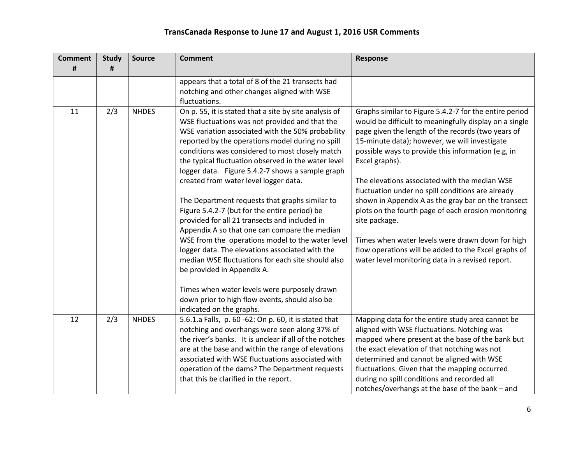| <b>Comment</b><br># | <b>Study</b><br># | <b>Source</b> | <b>Comment</b>                                                                                                                                                                                                                                                                                                                                                                                                                                                                                                                                                                                                                                                                                                                                                                                                                                                                                                            | <b>Response</b>                                                                                                                                                                                                                                                                                                                                                                                                                                                                                                                                                                                                                                                                                      |
|---------------------|-------------------|---------------|---------------------------------------------------------------------------------------------------------------------------------------------------------------------------------------------------------------------------------------------------------------------------------------------------------------------------------------------------------------------------------------------------------------------------------------------------------------------------------------------------------------------------------------------------------------------------------------------------------------------------------------------------------------------------------------------------------------------------------------------------------------------------------------------------------------------------------------------------------------------------------------------------------------------------|------------------------------------------------------------------------------------------------------------------------------------------------------------------------------------------------------------------------------------------------------------------------------------------------------------------------------------------------------------------------------------------------------------------------------------------------------------------------------------------------------------------------------------------------------------------------------------------------------------------------------------------------------------------------------------------------------|
|                     |                   |               | appears that a total of 8 of the 21 transects had<br>notching and other changes aligned with WSE<br>fluctuations.                                                                                                                                                                                                                                                                                                                                                                                                                                                                                                                                                                                                                                                                                                                                                                                                         |                                                                                                                                                                                                                                                                                                                                                                                                                                                                                                                                                                                                                                                                                                      |
| 11                  | 2/3               | <b>NHDES</b>  | On p. 55, it is stated that a site by site analysis of<br>WSE fluctuations was not provided and that the<br>WSE variation associated with the 50% probability<br>reported by the operations model during no spill<br>conditions was considered to most closely match<br>the typical fluctuation observed in the water level<br>logger data. Figure 5.4.2-7 shows a sample graph<br>created from water level logger data.<br>The Department requests that graphs similar to<br>Figure 5.4.2-7 (but for the entire period) be<br>provided for all 21 transects and included in<br>Appendix A so that one can compare the median<br>WSE from the operations model to the water level<br>logger data. The elevations associated with the<br>median WSE fluctuations for each site should also<br>be provided in Appendix A.<br>Times when water levels were purposely drawn<br>down prior to high flow events, should also be | Graphs similar to Figure 5.4.2-7 for the entire period<br>would be difficult to meaningfully display on a single<br>page given the length of the records (two years of<br>15-minute data); however, we will investigate<br>possible ways to provide this information (e.g, in<br>Excel graphs).<br>The elevations associated with the median WSE<br>fluctuation under no spill conditions are already<br>shown in Appendix A as the gray bar on the transect<br>plots on the fourth page of each erosion monitoring<br>site package.<br>Times when water levels were drawn down for high<br>flow operations will be added to the Excel graphs of<br>water level monitoring data in a revised report. |
| 12                  | 2/3               | <b>NHDES</b>  | indicated on the graphs.<br>5.6.1.a Falls, p. 60 -62: On p. 60, it is stated that<br>notching and overhangs were seen along 37% of<br>the river's banks. It is unclear if all of the notches<br>are at the base and within the range of elevations<br>associated with WSE fluctuations associated with<br>operation of the dams? The Department requests<br>that this be clarified in the report.                                                                                                                                                                                                                                                                                                                                                                                                                                                                                                                         | Mapping data for the entire study area cannot be<br>aligned with WSE fluctuations. Notching was<br>mapped where present at the base of the bank but<br>the exact elevation of that notching was not<br>determined and cannot be aligned with WSE<br>fluctuations. Given that the mapping occurred<br>during no spill conditions and recorded all<br>notches/overhangs at the base of the bank - and                                                                                                                                                                                                                                                                                                  |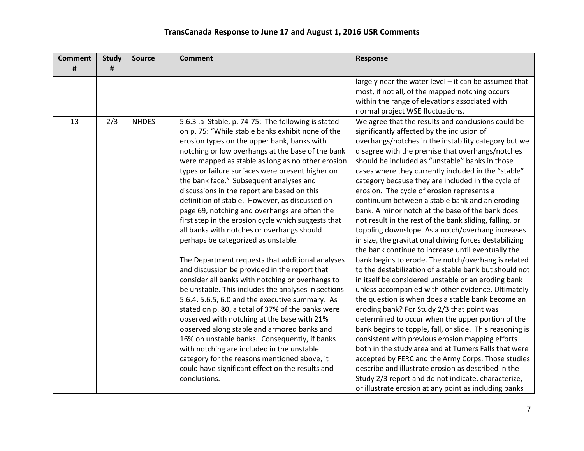| <b>Comment</b> | <b>Study</b> | <b>Source</b> | <b>Comment</b>                                                                                                                                                                                                                                                                                                                                                                                                                                                                                                                                                                                                                                                                                                                                                                                                                                                                                                                                                                                                                                                                                                                                                                                                                                                                                         | <b>Response</b>                                                                                                                                                                                                                                                                                                                                                                                                                                                                                                                                                                                                                                                                                                                                                                                                                                                                                                                                                                                                                                                                                                                                                                                                                                                                                                                                                                                                                                                                                                                                               |
|----------------|--------------|---------------|--------------------------------------------------------------------------------------------------------------------------------------------------------------------------------------------------------------------------------------------------------------------------------------------------------------------------------------------------------------------------------------------------------------------------------------------------------------------------------------------------------------------------------------------------------------------------------------------------------------------------------------------------------------------------------------------------------------------------------------------------------------------------------------------------------------------------------------------------------------------------------------------------------------------------------------------------------------------------------------------------------------------------------------------------------------------------------------------------------------------------------------------------------------------------------------------------------------------------------------------------------------------------------------------------------|---------------------------------------------------------------------------------------------------------------------------------------------------------------------------------------------------------------------------------------------------------------------------------------------------------------------------------------------------------------------------------------------------------------------------------------------------------------------------------------------------------------------------------------------------------------------------------------------------------------------------------------------------------------------------------------------------------------------------------------------------------------------------------------------------------------------------------------------------------------------------------------------------------------------------------------------------------------------------------------------------------------------------------------------------------------------------------------------------------------------------------------------------------------------------------------------------------------------------------------------------------------------------------------------------------------------------------------------------------------------------------------------------------------------------------------------------------------------------------------------------------------------------------------------------------------|
| #              | #            |               |                                                                                                                                                                                                                                                                                                                                                                                                                                                                                                                                                                                                                                                                                                                                                                                                                                                                                                                                                                                                                                                                                                                                                                                                                                                                                                        |                                                                                                                                                                                                                                                                                                                                                                                                                                                                                                                                                                                                                                                                                                                                                                                                                                                                                                                                                                                                                                                                                                                                                                                                                                                                                                                                                                                                                                                                                                                                                               |
|                |              |               |                                                                                                                                                                                                                                                                                                                                                                                                                                                                                                                                                                                                                                                                                                                                                                                                                                                                                                                                                                                                                                                                                                                                                                                                                                                                                                        | largely near the water level - it can be assumed that<br>most, if not all, of the mapped notching occurs<br>within the range of elevations associated with<br>normal project WSE fluctuations.                                                                                                                                                                                                                                                                                                                                                                                                                                                                                                                                                                                                                                                                                                                                                                                                                                                                                                                                                                                                                                                                                                                                                                                                                                                                                                                                                                |
| 13             | 2/3          | <b>NHDES</b>  | 5.6.3 .a Stable, p. 74-75: The following is stated<br>on p. 75: "While stable banks exhibit none of the<br>erosion types on the upper bank, banks with<br>notching or low overhangs at the base of the bank<br>were mapped as stable as long as no other erosion<br>types or failure surfaces were present higher on<br>the bank face." Subsequent analyses and<br>discussions in the report are based on this<br>definition of stable. However, as discussed on<br>page 69, notching and overhangs are often the<br>first step in the erosion cycle which suggests that<br>all banks with notches or overhangs should<br>perhaps be categorized as unstable.<br>The Department requests that additional analyses<br>and discussion be provided in the report that<br>consider all banks with notching or overhangs to<br>be unstable. This includes the analyses in sections<br>5.6.4, 5.6.5, 6.0 and the executive summary. As<br>stated on p. 80, a total of 37% of the banks were<br>observed with notching at the base with 21%<br>observed along stable and armored banks and<br>16% on unstable banks. Consequently, if banks<br>with notching are included in the unstable<br>category for the reasons mentioned above, it<br>could have significant effect on the results and<br>conclusions. | We agree that the results and conclusions could be<br>significantly affected by the inclusion of<br>overhangs/notches in the instability category but we<br>disagree with the premise that overhangs/notches<br>should be included as "unstable" banks in those<br>cases where they currently included in the "stable"<br>category because they are included in the cycle of<br>erosion. The cycle of erosion represents a<br>continuum between a stable bank and an eroding<br>bank. A minor notch at the base of the bank does<br>not result in the rest of the bank sliding, falling, or<br>toppling downslope. As a notch/overhang increases<br>in size, the gravitational driving forces destabilizing<br>the bank continue to increase until eventually the<br>bank begins to erode. The notch/overhang is related<br>to the destabilization of a stable bank but should not<br>in itself be considered unstable or an eroding bank<br>unless accompanied with other evidence. Ultimately<br>the question is when does a stable bank become an<br>eroding bank? For Study 2/3 that point was<br>determined to occur when the upper portion of the<br>bank begins to topple, fall, or slide. This reasoning is<br>consistent with previous erosion mapping efforts<br>both in the study area and at Turners Falls that were<br>accepted by FERC and the Army Corps. Those studies<br>describe and illustrate erosion as described in the<br>Study 2/3 report and do not indicate, characterize,<br>or illustrate erosion at any point as including banks |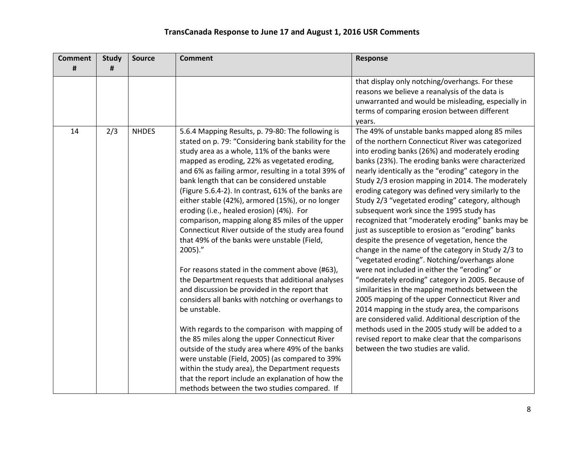| <b>Comment</b> | <b>Study</b> | <b>Source</b> | <b>Comment</b>                                                                                                                                                                                                                                                                                                                                                                                                                                                                                                                                                                                                                                                                                                                                                                                                                                                                                                                                                                                                                                                                                                                                                                                                                              | <b>Response</b>                                                                                                                                                                                                                                                                                                                                                                                                                                                                                                                                                                                                                                                                                                                                                                                                                                                                                                                                                                                                                                                                                                                                                                                                       |
|----------------|--------------|---------------|---------------------------------------------------------------------------------------------------------------------------------------------------------------------------------------------------------------------------------------------------------------------------------------------------------------------------------------------------------------------------------------------------------------------------------------------------------------------------------------------------------------------------------------------------------------------------------------------------------------------------------------------------------------------------------------------------------------------------------------------------------------------------------------------------------------------------------------------------------------------------------------------------------------------------------------------------------------------------------------------------------------------------------------------------------------------------------------------------------------------------------------------------------------------------------------------------------------------------------------------|-----------------------------------------------------------------------------------------------------------------------------------------------------------------------------------------------------------------------------------------------------------------------------------------------------------------------------------------------------------------------------------------------------------------------------------------------------------------------------------------------------------------------------------------------------------------------------------------------------------------------------------------------------------------------------------------------------------------------------------------------------------------------------------------------------------------------------------------------------------------------------------------------------------------------------------------------------------------------------------------------------------------------------------------------------------------------------------------------------------------------------------------------------------------------------------------------------------------------|
| #              | #            |               |                                                                                                                                                                                                                                                                                                                                                                                                                                                                                                                                                                                                                                                                                                                                                                                                                                                                                                                                                                                                                                                                                                                                                                                                                                             |                                                                                                                                                                                                                                                                                                                                                                                                                                                                                                                                                                                                                                                                                                                                                                                                                                                                                                                                                                                                                                                                                                                                                                                                                       |
|                |              |               |                                                                                                                                                                                                                                                                                                                                                                                                                                                                                                                                                                                                                                                                                                                                                                                                                                                                                                                                                                                                                                                                                                                                                                                                                                             | that display only notching/overhangs. For these<br>reasons we believe a reanalysis of the data is<br>unwarranted and would be misleading, especially in<br>terms of comparing erosion between different<br>years.                                                                                                                                                                                                                                                                                                                                                                                                                                                                                                                                                                                                                                                                                                                                                                                                                                                                                                                                                                                                     |
| 14             | 2/3          | <b>NHDES</b>  | 5.6.4 Mapping Results, p. 79-80: The following is<br>stated on p. 79: "Considering bank stability for the<br>study area as a whole, 11% of the banks were<br>mapped as eroding, 22% as vegetated eroding,<br>and 6% as failing armor, resulting in a total 39% of<br>bank length that can be considered unstable<br>(Figure 5.6.4-2). In contrast, 61% of the banks are<br>either stable (42%), armored (15%), or no longer<br>eroding (i.e., healed erosion) (4%). For<br>comparison, mapping along 85 miles of the upper<br>Connecticut River outside of the study area found<br>that 49% of the banks were unstable (Field,<br>$2005$ )."<br>For reasons stated in the comment above (#63),<br>the Department requests that additional analyses<br>and discussion be provided in the report that<br>considers all banks with notching or overhangs to<br>be unstable.<br>With regards to the comparison with mapping of<br>the 85 miles along the upper Connecticut River<br>outside of the study area where 49% of the banks<br>were unstable (Field, 2005) (as compared to 39%<br>within the study area), the Department requests<br>that the report include an explanation of how the<br>methods between the two studies compared. If | The 49% of unstable banks mapped along 85 miles<br>of the northern Connecticut River was categorized<br>into eroding banks (26%) and moderately eroding<br>banks (23%). The eroding banks were characterized<br>nearly identically as the "eroding" category in the<br>Study 2/3 erosion mapping in 2014. The moderately<br>eroding category was defined very similarly to the<br>Study 2/3 "vegetated eroding" category, although<br>subsequent work since the 1995 study has<br>recognized that "moderately eroding" banks may be<br>just as susceptible to erosion as "eroding" banks<br>despite the presence of vegetation, hence the<br>change in the name of the category in Study 2/3 to<br>"vegetated eroding". Notching/overhangs alone<br>were not included in either the "eroding" or<br>"moderately eroding" category in 2005. Because of<br>similarities in the mapping methods between the<br>2005 mapping of the upper Connecticut River and<br>2014 mapping in the study area, the comparisons<br>are considered valid. Additional description of the<br>methods used in the 2005 study will be added to a<br>revised report to make clear that the comparisons<br>between the two studies are valid. |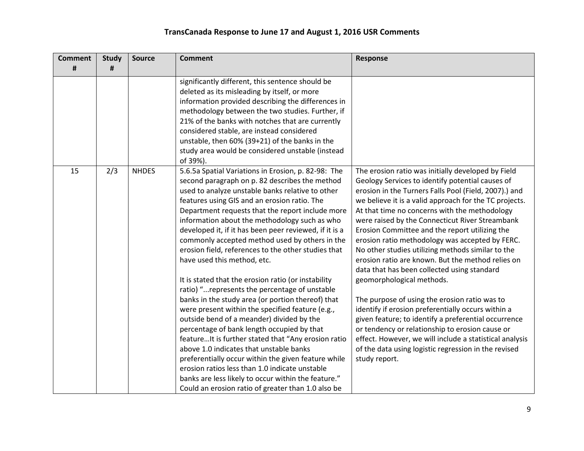| <b>Comment</b> | <b>Study</b> | <b>Source</b> | <b>Comment</b>                                                                                                                                                                                                                                                                                                                                                                                                                                                                                                                                                                                                                                                                                                                                                                                                                                                                                                                                                                                                                                                                                                                                        | <b>Response</b>                                                                                                                                                                                                                                                                                                                                                                                                                                                                                                                                                                                                                                                                                                                                                                                                                                                                                                                                                                |
|----------------|--------------|---------------|-------------------------------------------------------------------------------------------------------------------------------------------------------------------------------------------------------------------------------------------------------------------------------------------------------------------------------------------------------------------------------------------------------------------------------------------------------------------------------------------------------------------------------------------------------------------------------------------------------------------------------------------------------------------------------------------------------------------------------------------------------------------------------------------------------------------------------------------------------------------------------------------------------------------------------------------------------------------------------------------------------------------------------------------------------------------------------------------------------------------------------------------------------|--------------------------------------------------------------------------------------------------------------------------------------------------------------------------------------------------------------------------------------------------------------------------------------------------------------------------------------------------------------------------------------------------------------------------------------------------------------------------------------------------------------------------------------------------------------------------------------------------------------------------------------------------------------------------------------------------------------------------------------------------------------------------------------------------------------------------------------------------------------------------------------------------------------------------------------------------------------------------------|
| #              | #            |               |                                                                                                                                                                                                                                                                                                                                                                                                                                                                                                                                                                                                                                                                                                                                                                                                                                                                                                                                                                                                                                                                                                                                                       |                                                                                                                                                                                                                                                                                                                                                                                                                                                                                                                                                                                                                                                                                                                                                                                                                                                                                                                                                                                |
|                |              |               | significantly different, this sentence should be<br>deleted as its misleading by itself, or more<br>information provided describing the differences in<br>methodology between the two studies. Further, if<br>21% of the banks with notches that are currently<br>considered stable, are instead considered<br>unstable, then 60% (39+21) of the banks in the<br>study area would be considered unstable (instead<br>of 39%).                                                                                                                                                                                                                                                                                                                                                                                                                                                                                                                                                                                                                                                                                                                         |                                                                                                                                                                                                                                                                                                                                                                                                                                                                                                                                                                                                                                                                                                                                                                                                                                                                                                                                                                                |
| 15             | 2/3          | <b>NHDES</b>  | 5.6.5a Spatial Variations in Erosion, p. 82-98: The<br>second paragraph on p. 82 describes the method<br>used to analyze unstable banks relative to other<br>features using GIS and an erosion ratio. The<br>Department requests that the report include more<br>information about the methodology such as who<br>developed it, if it has been peer reviewed, if it is a<br>commonly accepted method used by others in the<br>erosion field, references to the other studies that<br>have used this method, etc.<br>It is stated that the erosion ratio (or instability<br>ratio) "represents the percentage of unstable<br>banks in the study area (or portion thereof) that<br>were present within the specified feature (e.g.,<br>outside bend of a meander) divided by the<br>percentage of bank length occupied by that<br>feature It is further stated that "Any erosion ratio<br>above 1.0 indicates that unstable banks<br>preferentially occur within the given feature while<br>erosion ratios less than 1.0 indicate unstable<br>banks are less likely to occur within the feature."<br>Could an erosion ratio of greater than 1.0 also be | The erosion ratio was initially developed by Field<br>Geology Services to identify potential causes of<br>erosion in the Turners Falls Pool (Field, 2007).) and<br>we believe it is a valid approach for the TC projects.<br>At that time no concerns with the methodology<br>were raised by the Connecticut River Streambank<br>Erosion Committee and the report utilizing the<br>erosion ratio methodology was accepted by FERC.<br>No other studies utilizing methods similar to the<br>erosion ratio are known. But the method relies on<br>data that has been collected using standard<br>geomorphological methods.<br>The purpose of using the erosion ratio was to<br>identify if erosion preferentially occurs within a<br>given feature; to identify a preferential occurrence<br>or tendency or relationship to erosion cause or<br>effect. However, we will include a statistical analysis<br>of the data using logistic regression in the revised<br>study report. |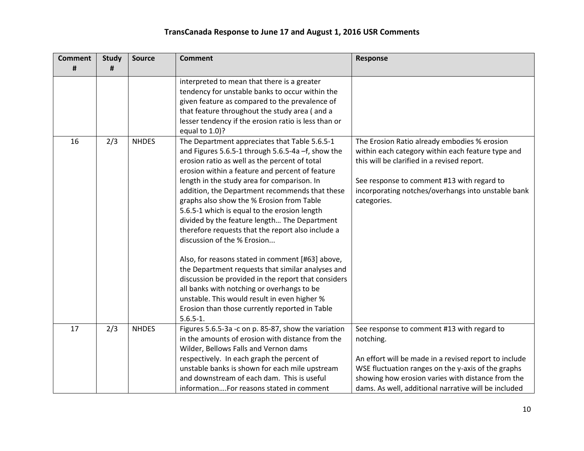| <b>Comment</b><br># | <b>Study</b><br># | <b>Source</b> | <b>Comment</b>                                                                                                                                                                                                                                                                                                                                                                                                                                                                                                                                                                                                                                                                                                                                                                                                                                                           | <b>Response</b>                                                                                                                                                                                                                                                                     |
|---------------------|-------------------|---------------|--------------------------------------------------------------------------------------------------------------------------------------------------------------------------------------------------------------------------------------------------------------------------------------------------------------------------------------------------------------------------------------------------------------------------------------------------------------------------------------------------------------------------------------------------------------------------------------------------------------------------------------------------------------------------------------------------------------------------------------------------------------------------------------------------------------------------------------------------------------------------|-------------------------------------------------------------------------------------------------------------------------------------------------------------------------------------------------------------------------------------------------------------------------------------|
|                     |                   |               | interpreted to mean that there is a greater<br>tendency for unstable banks to occur within the<br>given feature as compared to the prevalence of<br>that feature throughout the study area (and a<br>lesser tendency if the erosion ratio is less than or<br>equal to 1.0)?                                                                                                                                                                                                                                                                                                                                                                                                                                                                                                                                                                                              |                                                                                                                                                                                                                                                                                     |
| 16                  | 2/3               | <b>NHDES</b>  | The Department appreciates that Table 5.6.5-1<br>and Figures 5.6.5-1 through 5.6.5-4a -f, show the<br>erosion ratio as well as the percent of total<br>erosion within a feature and percent of feature<br>length in the study area for comparison. In<br>addition, the Department recommends that these<br>graphs also show the % Erosion from Table<br>5.6.5-1 which is equal to the erosion length<br>divided by the feature length The Department<br>therefore requests that the report also include a<br>discussion of the % Erosion<br>Also, for reasons stated in comment [#63] above,<br>the Department requests that similar analyses and<br>discussion be provided in the report that considers<br>all banks with notching or overhangs to be<br>unstable. This would result in even higher %<br>Erosion than those currently reported in Table<br>$5.6.5 - 1.$ | The Erosion Ratio already embodies % erosion<br>within each category within each feature type and<br>this will be clarified in a revised report.<br>See response to comment #13 with regard to<br>incorporating notches/overhangs into unstable bank<br>categories.                 |
| 17                  | 2/3               | <b>NHDES</b>  | Figures 5.6.5-3a -c on p. 85-87, show the variation<br>in the amounts of erosion with distance from the<br>Wilder, Bellows Falls and Vernon dams<br>respectively. In each graph the percent of<br>unstable banks is shown for each mile upstream<br>and downstream of each dam. This is useful<br>informationFor reasons stated in comment                                                                                                                                                                                                                                                                                                                                                                                                                                                                                                                               | See response to comment #13 with regard to<br>notching.<br>An effort will be made in a revised report to include<br>WSE fluctuation ranges on the y-axis of the graphs<br>showing how erosion varies with distance from the<br>dams. As well, additional narrative will be included |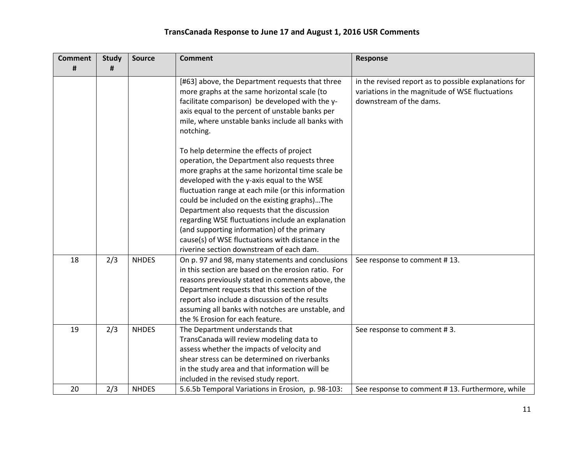| <b>Comment</b> | <b>Study</b> | <b>Source</b> | <b>Comment</b>                                                                                                                                                                                                                                                                                                                                                                                                                                                                                                                                                                                                                | <b>Response</b>                                                                                                                     |
|----------------|--------------|---------------|-------------------------------------------------------------------------------------------------------------------------------------------------------------------------------------------------------------------------------------------------------------------------------------------------------------------------------------------------------------------------------------------------------------------------------------------------------------------------------------------------------------------------------------------------------------------------------------------------------------------------------|-------------------------------------------------------------------------------------------------------------------------------------|
| #              | #            |               |                                                                                                                                                                                                                                                                                                                                                                                                                                                                                                                                                                                                                               |                                                                                                                                     |
|                |              |               | [#63] above, the Department requests that three<br>more graphs at the same horizontal scale (to<br>facilitate comparison) be developed with the y-<br>axis equal to the percent of unstable banks per<br>mile, where unstable banks include all banks with<br>notching.<br>To help determine the effects of project<br>operation, the Department also requests three<br>more graphs at the same horizontal time scale be<br>developed with the y-axis equal to the WSE<br>fluctuation range at each mile (or this information<br>could be included on the existing graphs)The<br>Department also requests that the discussion | in the revised report as to possible explanations for<br>variations in the magnitude of WSE fluctuations<br>downstream of the dams. |
|                |              |               | regarding WSE fluctuations include an explanation<br>(and supporting information) of the primary                                                                                                                                                                                                                                                                                                                                                                                                                                                                                                                              |                                                                                                                                     |
|                |              |               | cause(s) of WSE fluctuations with distance in the<br>riverine section downstream of each dam.                                                                                                                                                                                                                                                                                                                                                                                                                                                                                                                                 |                                                                                                                                     |
| 18             | 2/3          | <b>NHDES</b>  | On p. 97 and 98, many statements and conclusions<br>in this section are based on the erosion ratio. For<br>reasons previously stated in comments above, the<br>Department requests that this section of the<br>report also include a discussion of the results<br>assuming all banks with notches are unstable, and<br>the % Erosion for each feature.                                                                                                                                                                                                                                                                        | See response to comment #13.                                                                                                        |
| 19             | 2/3          | <b>NHDES</b>  | The Department understands that<br>TransCanada will review modeling data to<br>assess whether the impacts of velocity and<br>shear stress can be determined on riverbanks<br>in the study area and that information will be<br>included in the revised study report.                                                                                                                                                                                                                                                                                                                                                          | See response to comment #3.                                                                                                         |
| 20             | 2/3          | <b>NHDES</b>  | 5.6.5b Temporal Variations in Erosion, p. 98-103:                                                                                                                                                                                                                                                                                                                                                                                                                                                                                                                                                                             | See response to comment #13. Furthermore, while                                                                                     |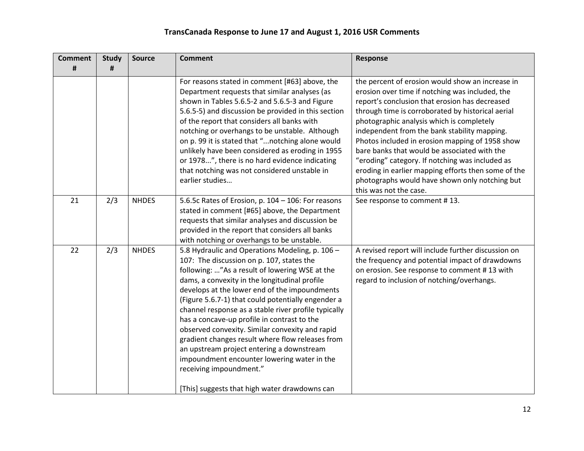| <b>Comment</b> | <b>Study</b> | <b>Source</b> | <b>Comment</b>                                                                                                                                                                                                                                                                                                                                                                                                                                                                                                                                                                                                                                                                               | <b>Response</b>                                                                                                                                                                                                                                                                                                                                                                                                                                                                                                                                                                                  |
|----------------|--------------|---------------|----------------------------------------------------------------------------------------------------------------------------------------------------------------------------------------------------------------------------------------------------------------------------------------------------------------------------------------------------------------------------------------------------------------------------------------------------------------------------------------------------------------------------------------------------------------------------------------------------------------------------------------------------------------------------------------------|--------------------------------------------------------------------------------------------------------------------------------------------------------------------------------------------------------------------------------------------------------------------------------------------------------------------------------------------------------------------------------------------------------------------------------------------------------------------------------------------------------------------------------------------------------------------------------------------------|
| #              | #            |               |                                                                                                                                                                                                                                                                                                                                                                                                                                                                                                                                                                                                                                                                                              |                                                                                                                                                                                                                                                                                                                                                                                                                                                                                                                                                                                                  |
|                |              |               | For reasons stated in comment [#63] above, the<br>Department requests that similar analyses (as<br>shown in Tables 5.6.5-2 and 5.6.5-3 and Figure<br>5.6.5-5) and discussion be provided in this section<br>of the report that considers all banks with<br>notching or overhangs to be unstable. Although<br>on p. 99 it is stated that " notching alone would<br>unlikely have been considered as eroding in 1955<br>or 1978", there is no hard evidence indicating<br>that notching was not considered unstable in<br>earlier studies                                                                                                                                                      | the percent of erosion would show an increase in<br>erosion over time if notching was included, the<br>report's conclusion that erosion has decreased<br>through time is corroborated by historical aerial<br>photographic analysis which is completely<br>independent from the bank stability mapping.<br>Photos included in erosion mapping of 1958 show<br>bare banks that would be associated with the<br>"eroding" category. If notching was included as<br>eroding in earlier mapping efforts then some of the<br>photographs would have shown only notching but<br>this was not the case. |
| 21             | 2/3          | <b>NHDES</b>  | 5.6.5c Rates of Erosion, p. 104 - 106: For reasons<br>stated in comment [#65] above, the Department<br>requests that similar analyses and discussion be<br>provided in the report that considers all banks<br>with notching or overhangs to be unstable.                                                                                                                                                                                                                                                                                                                                                                                                                                     | See response to comment #13.                                                                                                                                                                                                                                                                                                                                                                                                                                                                                                                                                                     |
| 22             | 2/3          | <b>NHDES</b>  | 5.8 Hydraulic and Operations Modeling, p. 106 -<br>107: The discussion on p. 107, states the<br>following: "As a result of lowering WSE at the<br>dams, a convexity in the longitudinal profile<br>develops at the lower end of the impoundments<br>(Figure 5.6.7-1) that could potentially engender a<br>channel response as a stable river profile typically<br>has a concave-up profile in contrast to the<br>observed convexity. Similar convexity and rapid<br>gradient changes result where flow releases from<br>an upstream project entering a downstream<br>impoundment encounter lowering water in the<br>receiving impoundment."<br>[This] suggests that high water drawdowns can | A revised report will include further discussion on<br>the frequency and potential impact of drawdowns<br>on erosion. See response to comment #13 with<br>regard to inclusion of notching/overhangs.                                                                                                                                                                                                                                                                                                                                                                                             |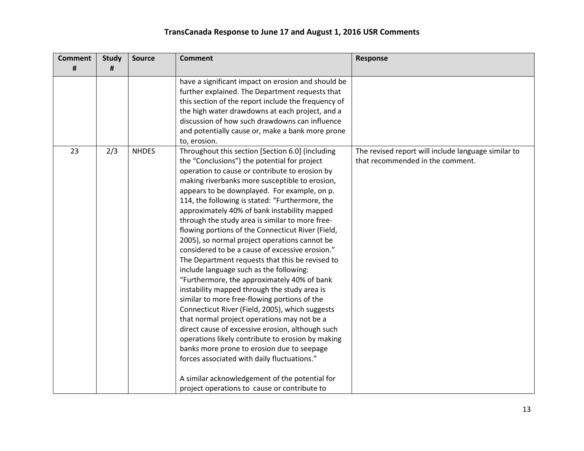| <b>Comment</b> | <b>Study</b>   | <b>Source</b> | <b>Comment</b>                                      | <b>Response</b>                                     |
|----------------|----------------|---------------|-----------------------------------------------------|-----------------------------------------------------|
| #              | $\pmb{\sharp}$ |               |                                                     |                                                     |
|                |                |               | have a significant impact on erosion and should be  |                                                     |
|                |                |               | further explained. The Department requests that     |                                                     |
|                |                |               | this section of the report include the frequency of |                                                     |
|                |                |               | the high water drawdowns at each project, and a     |                                                     |
|                |                |               | discussion of how such drawdowns can influence      |                                                     |
|                |                |               | and potentially cause or, make a bank more prone    |                                                     |
|                |                |               | to, erosion.                                        |                                                     |
| 23             | 2/3            | <b>NHDES</b>  | Throughout this section [Section 6.0] (including    | The revised report will include language similar to |
|                |                |               | the "Conclusions") the potential for project        | that recommended in the comment.                    |
|                |                |               | operation to cause or contribute to erosion by      |                                                     |
|                |                |               | making riverbanks more susceptible to erosion,      |                                                     |
|                |                |               | appears to be downplayed. For example, on p.        |                                                     |
|                |                |               | 114, the following is stated: "Furthermore, the     |                                                     |
|                |                |               | approximately 40% of bank instability mapped        |                                                     |
|                |                |               | through the study area is similar to more free-     |                                                     |
|                |                |               | flowing portions of the Connecticut River (Field,   |                                                     |
|                |                |               | 2005), so normal project operations cannot be       |                                                     |
|                |                |               | considered to be a cause of excessive erosion."     |                                                     |
|                |                |               | The Department requests that this be revised to     |                                                     |
|                |                |               | include language such as the following:             |                                                     |
|                |                |               | "Furthermore, the approximately 40% of bank         |                                                     |
|                |                |               | instability mapped through the study area is        |                                                     |
|                |                |               | similar to more free-flowing portions of the        |                                                     |
|                |                |               | Connecticut River (Field, 2005), which suggests     |                                                     |
|                |                |               | that normal project operations may not be a         |                                                     |
|                |                |               | direct cause of excessive erosion, although such    |                                                     |
|                |                |               | operations likely contribute to erosion by making   |                                                     |
|                |                |               | banks more prone to erosion due to seepage          |                                                     |
|                |                |               | forces associated with daily fluctuations."         |                                                     |
|                |                |               | A similar acknowledgement of the potential for      |                                                     |
|                |                |               | project operations to cause or contribute to        |                                                     |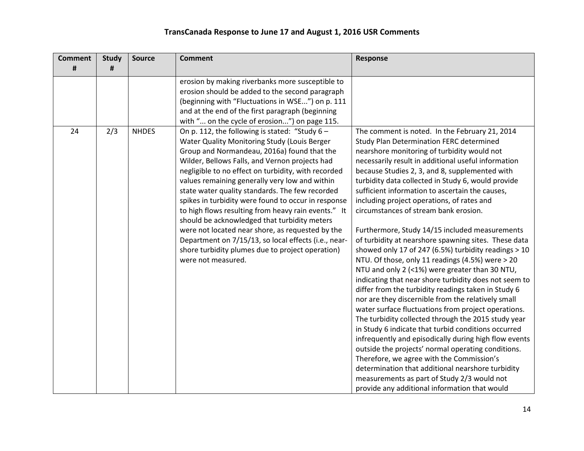| <b>Comment</b><br># | <b>Study</b><br># | <b>Source</b> | <b>Comment</b>                                                                                                                                                                                                                                                                                                                                                                                                                                                                                                                                                                                                                                                                                                    | Response                                                                                                                                                                                                                                                                                                                                                                                                                                                                                                                                                                                                                                                                                                                                                                                                                                                                                                                                                                                                                                                                                                                                                                                                                                                                                                                                                                               |
|---------------------|-------------------|---------------|-------------------------------------------------------------------------------------------------------------------------------------------------------------------------------------------------------------------------------------------------------------------------------------------------------------------------------------------------------------------------------------------------------------------------------------------------------------------------------------------------------------------------------------------------------------------------------------------------------------------------------------------------------------------------------------------------------------------|----------------------------------------------------------------------------------------------------------------------------------------------------------------------------------------------------------------------------------------------------------------------------------------------------------------------------------------------------------------------------------------------------------------------------------------------------------------------------------------------------------------------------------------------------------------------------------------------------------------------------------------------------------------------------------------------------------------------------------------------------------------------------------------------------------------------------------------------------------------------------------------------------------------------------------------------------------------------------------------------------------------------------------------------------------------------------------------------------------------------------------------------------------------------------------------------------------------------------------------------------------------------------------------------------------------------------------------------------------------------------------------|
|                     |                   |               | erosion by making riverbanks more susceptible to<br>erosion should be added to the second paragraph<br>(beginning with "Fluctuations in WSE") on p. 111<br>and at the end of the first paragraph (beginning<br>with " on the cycle of erosion") on page 115.                                                                                                                                                                                                                                                                                                                                                                                                                                                      |                                                                                                                                                                                                                                                                                                                                                                                                                                                                                                                                                                                                                                                                                                                                                                                                                                                                                                                                                                                                                                                                                                                                                                                                                                                                                                                                                                                        |
| 24                  | 2/3               | <b>NHDES</b>  | On p. 112, the following is stated: "Study $6 -$<br>Water Quality Monitoring Study (Louis Berger<br>Group and Normandeau, 2016a) found that the<br>Wilder, Bellows Falls, and Vernon projects had<br>negligible to no effect on turbidity, with recorded<br>values remaining generally very low and within<br>state water quality standards. The few recorded<br>spikes in turbidity were found to occur in response<br>to high flows resulting from heavy rain events." It<br>should be acknowledged that turbidity meters<br>were not located near shore, as requested by the<br>Department on 7/15/13, so local effects (i.e., near-<br>shore turbidity plumes due to project operation)<br>were not measured. | The comment is noted. In the February 21, 2014<br>Study Plan Determination FERC determined<br>nearshore monitoring of turbidity would not<br>necessarily result in additional useful information<br>because Studies 2, 3, and 8, supplemented with<br>turbidity data collected in Study 6, would provide<br>sufficient information to ascertain the causes,<br>including project operations, of rates and<br>circumstances of stream bank erosion.<br>Furthermore, Study 14/15 included measurements<br>of turbidity at nearshore spawning sites. These data<br>showed only 17 of 247 (6.5%) turbidity readings > 10<br>NTU. Of those, only 11 readings (4.5%) were > 20<br>NTU and only 2 (<1%) were greater than 30 NTU,<br>indicating that near shore turbidity does not seem to<br>differ from the turbidity readings taken in Study 6<br>nor are they discernible from the relatively small<br>water surface fluctuations from project operations.<br>The turbidity collected through the 2015 study year<br>in Study 6 indicate that turbid conditions occurred<br>infrequently and episodically during high flow events<br>outside the projects' normal operating conditions.<br>Therefore, we agree with the Commission's<br>determination that additional nearshore turbidity<br>measurements as part of Study 2/3 would not<br>provide any additional information that would |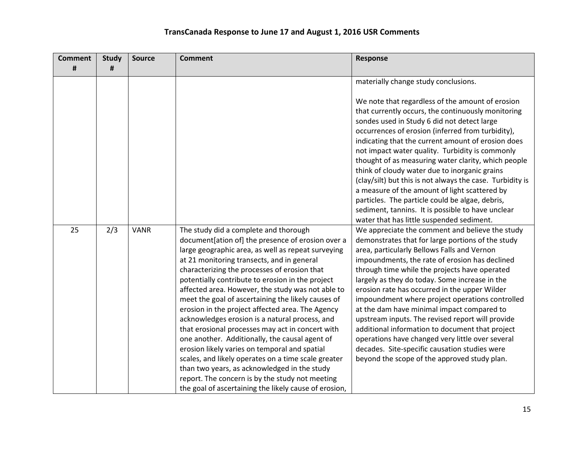| <b>Comment</b> | <b>Study</b> | <b>Source</b> | <b>Comment</b>                                        | Response                                                  |
|----------------|--------------|---------------|-------------------------------------------------------|-----------------------------------------------------------|
| #              | #            |               |                                                       |                                                           |
|                |              |               |                                                       | materially change study conclusions.                      |
|                |              |               |                                                       |                                                           |
|                |              |               |                                                       | We note that regardless of the amount of erosion          |
|                |              |               |                                                       | that currently occurs, the continuously monitoring        |
|                |              |               |                                                       | sondes used in Study 6 did not detect large               |
|                |              |               |                                                       | occurrences of erosion (inferred from turbidity),         |
|                |              |               |                                                       | indicating that the current amount of erosion does        |
|                |              |               |                                                       | not impact water quality. Turbidity is commonly           |
|                |              |               |                                                       | thought of as measuring water clarity, which people       |
|                |              |               |                                                       | think of cloudy water due to inorganic grains             |
|                |              |               |                                                       | (clay/silt) but this is not always the case. Turbidity is |
|                |              |               |                                                       | a measure of the amount of light scattered by             |
|                |              |               |                                                       | particles. The particle could be algae, debris,           |
|                |              |               |                                                       | sediment, tannins. It is possible to have unclear         |
|                |              |               |                                                       | water that has little suspended sediment.                 |
| 25             | 2/3          | <b>VANR</b>   | The study did a complete and thorough                 | We appreciate the comment and believe the study           |
|                |              |               | document[ation of] the presence of erosion over a     | demonstrates that for large portions of the study         |
|                |              |               | large geographic area, as well as repeat surveying    | area, particularly Bellows Falls and Vernon               |
|                |              |               | at 21 monitoring transects, and in general            | impoundments, the rate of erosion has declined            |
|                |              |               | characterizing the processes of erosion that          | through time while the projects have operated             |
|                |              |               | potentially contribute to erosion in the project      | largely as they do today. Some increase in the            |
|                |              |               | affected area. However, the study was not able to     | erosion rate has occurred in the upper Wilder             |
|                |              |               | meet the goal of ascertaining the likely causes of    | impoundment where project operations controlled           |
|                |              |               | erosion in the project affected area. The Agency      | at the dam have minimal impact compared to                |
|                |              |               | acknowledges erosion is a natural process, and        | upstream inputs. The revised report will provide          |
|                |              |               | that erosional processes may act in concert with      | additional information to document that project           |
|                |              |               | one another. Additionally, the causal agent of        | operations have changed very little over several          |
|                |              |               | erosion likely varies on temporal and spatial         | decades. Site-specific causation studies were             |
|                |              |               | scales, and likely operates on a time scale greater   | beyond the scope of the approved study plan.              |
|                |              |               | than two years, as acknowledged in the study          |                                                           |
|                |              |               | report. The concern is by the study not meeting       |                                                           |
|                |              |               | the goal of ascertaining the likely cause of erosion, |                                                           |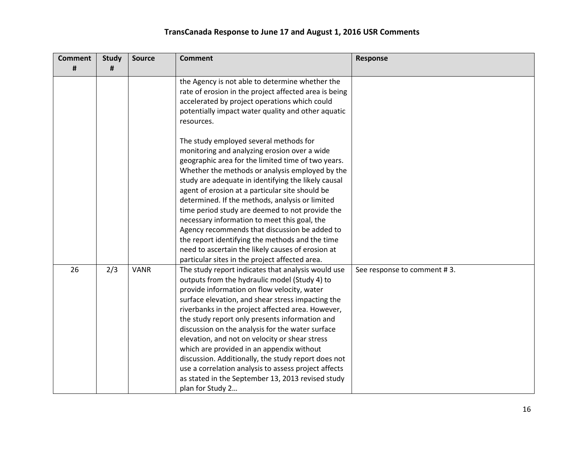| <b>Comment</b> | <b>Study</b> | <b>Source</b> | <b>Comment</b>                                        | <b>Response</b>             |
|----------------|--------------|---------------|-------------------------------------------------------|-----------------------------|
| #              | #            |               |                                                       |                             |
|                |              |               | the Agency is not able to determine whether the       |                             |
|                |              |               | rate of erosion in the project affected area is being |                             |
|                |              |               | accelerated by project operations which could         |                             |
|                |              |               | potentially impact water quality and other aquatic    |                             |
|                |              |               | resources.                                            |                             |
|                |              |               | The study employed several methods for                |                             |
|                |              |               | monitoring and analyzing erosion over a wide          |                             |
|                |              |               | geographic area for the limited time of two years.    |                             |
|                |              |               | Whether the methods or analysis employed by the       |                             |
|                |              |               | study are adequate in identifying the likely causal   |                             |
|                |              |               | agent of erosion at a particular site should be       |                             |
|                |              |               | determined. If the methods, analysis or limited       |                             |
|                |              |               | time period study are deemed to not provide the       |                             |
|                |              |               | necessary information to meet this goal, the          |                             |
|                |              |               | Agency recommends that discussion be added to         |                             |
|                |              |               | the report identifying the methods and the time       |                             |
|                |              |               | need to ascertain the likely causes of erosion at     |                             |
|                |              |               | particular sites in the project affected area.        |                             |
| 26             | 2/3          | <b>VANR</b>   | The study report indicates that analysis would use    | See response to comment #3. |
|                |              |               | outputs from the hydraulic model (Study 4) to         |                             |
|                |              |               | provide information on flow velocity, water           |                             |
|                |              |               | surface elevation, and shear stress impacting the     |                             |
|                |              |               | riverbanks in the project affected area. However,     |                             |
|                |              |               | the study report only presents information and        |                             |
|                |              |               | discussion on the analysis for the water surface      |                             |
|                |              |               | elevation, and not on velocity or shear stress        |                             |
|                |              |               | which are provided in an appendix without             |                             |
|                |              |               | discussion. Additionally, the study report does not   |                             |
|                |              |               | use a correlation analysis to assess project affects  |                             |
|                |              |               | as stated in the September 13, 2013 revised study     |                             |
|                |              |               | plan for Study 2                                      |                             |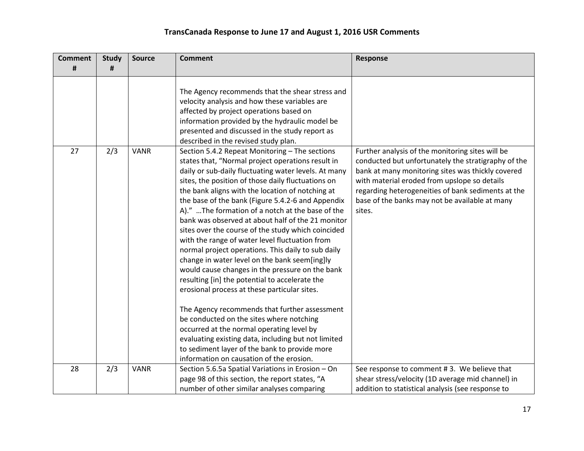| <b>Comment</b><br># | <b>Study</b><br># | <b>Source</b> | <b>Comment</b>                                                                                                                                                                                                                                                                                                                                                                                                                                                                                                                                                                                                                                                                                                                                                                                                                                                                                                                                                                                                                                            | Response                                                                                                                                                                                                                                                                                                                       |
|---------------------|-------------------|---------------|-----------------------------------------------------------------------------------------------------------------------------------------------------------------------------------------------------------------------------------------------------------------------------------------------------------------------------------------------------------------------------------------------------------------------------------------------------------------------------------------------------------------------------------------------------------------------------------------------------------------------------------------------------------------------------------------------------------------------------------------------------------------------------------------------------------------------------------------------------------------------------------------------------------------------------------------------------------------------------------------------------------------------------------------------------------|--------------------------------------------------------------------------------------------------------------------------------------------------------------------------------------------------------------------------------------------------------------------------------------------------------------------------------|
|                     |                   |               |                                                                                                                                                                                                                                                                                                                                                                                                                                                                                                                                                                                                                                                                                                                                                                                                                                                                                                                                                                                                                                                           |                                                                                                                                                                                                                                                                                                                                |
|                     |                   |               | The Agency recommends that the shear stress and<br>velocity analysis and how these variables are<br>affected by project operations based on<br>information provided by the hydraulic model be<br>presented and discussed in the study report as<br>described in the revised study plan.                                                                                                                                                                                                                                                                                                                                                                                                                                                                                                                                                                                                                                                                                                                                                                   |                                                                                                                                                                                                                                                                                                                                |
| 27                  | 2/3               | <b>VANR</b>   | Section 5.4.2 Repeat Monitoring - The sections<br>states that, "Normal project operations result in<br>daily or sub-daily fluctuating water levels. At many<br>sites, the position of those daily fluctuations on<br>the bank aligns with the location of notching at<br>the base of the bank (Figure 5.4.2-6 and Appendix<br>A)." The formation of a notch at the base of the<br>bank was observed at about half of the 21 monitor<br>sites over the course of the study which coincided<br>with the range of water level fluctuation from<br>normal project operations. This daily to sub daily<br>change in water level on the bank seem[ing]ly<br>would cause changes in the pressure on the bank<br>resulting [in] the potential to accelerate the<br>erosional process at these particular sites.<br>The Agency recommends that further assessment<br>be conducted on the sites where notching<br>occurred at the normal operating level by<br>evaluating existing data, including but not limited<br>to sediment layer of the bank to provide more | Further analysis of the monitoring sites will be<br>conducted but unfortunately the stratigraphy of the<br>bank at many monitoring sites was thickly covered<br>with material eroded from upslope so details<br>regarding heterogeneities of bank sediments at the<br>base of the banks may not be available at many<br>sites. |
|                     |                   |               | information on causation of the erosion.                                                                                                                                                                                                                                                                                                                                                                                                                                                                                                                                                                                                                                                                                                                                                                                                                                                                                                                                                                                                                  |                                                                                                                                                                                                                                                                                                                                |
| 28                  | 2/3               | <b>VANR</b>   | Section 5.6.5a Spatial Variations in Erosion - On<br>page 98 of this section, the report states, "A<br>number of other similar analyses comparing                                                                                                                                                                                                                                                                                                                                                                                                                                                                                                                                                                                                                                                                                                                                                                                                                                                                                                         | See response to comment #3. We believe that<br>shear stress/velocity (1D average mid channel) in<br>addition to statistical analysis (see response to                                                                                                                                                                          |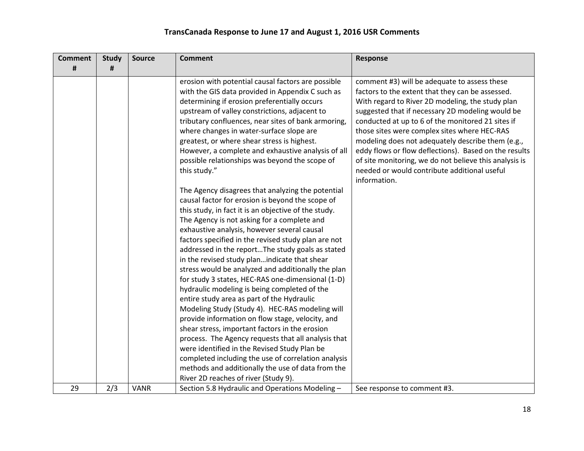| <b>Comment</b> | <b>Study</b> | <b>Source</b> | <b>Comment</b>                                                                                                                                                                                                                                                                                                                                                                                                                                                                                                                                                                                                                                                                                                                                                                                                                                                                                                                                                                                                                                                                                                                                                                                                                                                                                                                                                                                                                                                                                   | Response                                                                                                                                                                                                                                                                                                                                                                                                                                                                                                                                              |
|----------------|--------------|---------------|--------------------------------------------------------------------------------------------------------------------------------------------------------------------------------------------------------------------------------------------------------------------------------------------------------------------------------------------------------------------------------------------------------------------------------------------------------------------------------------------------------------------------------------------------------------------------------------------------------------------------------------------------------------------------------------------------------------------------------------------------------------------------------------------------------------------------------------------------------------------------------------------------------------------------------------------------------------------------------------------------------------------------------------------------------------------------------------------------------------------------------------------------------------------------------------------------------------------------------------------------------------------------------------------------------------------------------------------------------------------------------------------------------------------------------------------------------------------------------------------------|-------------------------------------------------------------------------------------------------------------------------------------------------------------------------------------------------------------------------------------------------------------------------------------------------------------------------------------------------------------------------------------------------------------------------------------------------------------------------------------------------------------------------------------------------------|
| #              | #            |               |                                                                                                                                                                                                                                                                                                                                                                                                                                                                                                                                                                                                                                                                                                                                                                                                                                                                                                                                                                                                                                                                                                                                                                                                                                                                                                                                                                                                                                                                                                  |                                                                                                                                                                                                                                                                                                                                                                                                                                                                                                                                                       |
|                |              |               | erosion with potential causal factors are possible<br>with the GIS data provided in Appendix C such as<br>determining if erosion preferentially occurs<br>upstream of valley constrictions, adjacent to<br>tributary confluences, near sites of bank armoring,<br>where changes in water-surface slope are<br>greatest, or where shear stress is highest.<br>However, a complete and exhaustive analysis of all<br>possible relationships was beyond the scope of<br>this study."<br>The Agency disagrees that analyzing the potential<br>causal factor for erosion is beyond the scope of<br>this study, in fact it is an objective of the study.<br>The Agency is not asking for a complete and<br>exhaustive analysis, however several causal<br>factors specified in the revised study plan are not<br>addressed in the reportThe study goals as stated<br>in the revised study planindicate that shear<br>stress would be analyzed and additionally the plan<br>for study 3 states, HEC-RAS one-dimensional (1-D)<br>hydraulic modeling is being completed of the<br>entire study area as part of the Hydraulic<br>Modeling Study (Study 4). HEC-RAS modeling will<br>provide information on flow stage, velocity, and<br>shear stress, important factors in the erosion<br>process. The Agency requests that all analysis that<br>were identified in the Revised Study Plan be<br>completed including the use of correlation analysis<br>methods and additionally the use of data from the | comment #3) will be adequate to assess these<br>factors to the extent that they can be assessed.<br>With regard to River 2D modeling, the study plan<br>suggested that if necessary 2D modeling would be<br>conducted at up to 6 of the monitored 21 sites if<br>those sites were complex sites where HEC-RAS<br>modeling does not adequately describe them (e.g.,<br>eddy flows or flow deflections). Based on the results<br>of site monitoring, we do not believe this analysis is<br>needed or would contribute additional useful<br>information. |
| 29             | 2/3          |               | River 2D reaches of river (Study 9).                                                                                                                                                                                                                                                                                                                                                                                                                                                                                                                                                                                                                                                                                                                                                                                                                                                                                                                                                                                                                                                                                                                                                                                                                                                                                                                                                                                                                                                             |                                                                                                                                                                                                                                                                                                                                                                                                                                                                                                                                                       |
|                |              | <b>VANR</b>   | Section 5.8 Hydraulic and Operations Modeling -                                                                                                                                                                                                                                                                                                                                                                                                                                                                                                                                                                                                                                                                                                                                                                                                                                                                                                                                                                                                                                                                                                                                                                                                                                                                                                                                                                                                                                                  | See response to comment #3.                                                                                                                                                                                                                                                                                                                                                                                                                                                                                                                           |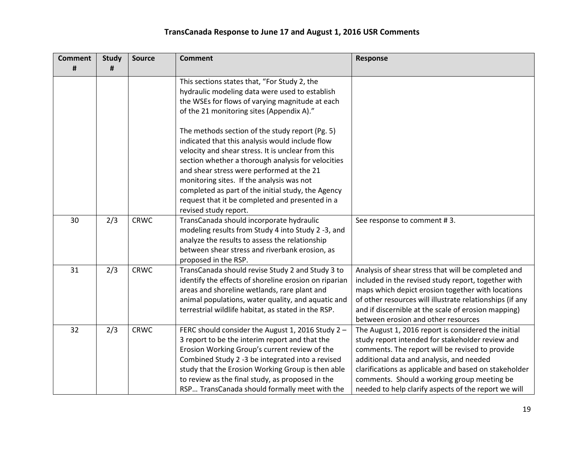| <b>Comment</b> | <b>Study</b> | <b>Source</b> | <b>Comment</b>                                        | <b>Response</b>                                          |
|----------------|--------------|---------------|-------------------------------------------------------|----------------------------------------------------------|
| #              | #            |               |                                                       |                                                          |
|                |              |               | This sections states that, "For Study 2, the          |                                                          |
|                |              |               | hydraulic modeling data were used to establish        |                                                          |
|                |              |               | the WSEs for flows of varying magnitude at each       |                                                          |
|                |              |               | of the 21 monitoring sites (Appendix A)."             |                                                          |
|                |              |               | The methods section of the study report (Pg. 5)       |                                                          |
|                |              |               | indicated that this analysis would include flow       |                                                          |
|                |              |               | velocity and shear stress. It is unclear from this    |                                                          |
|                |              |               | section whether a thorough analysis for velocities    |                                                          |
|                |              |               | and shear stress were performed at the 21             |                                                          |
|                |              |               | monitoring sites. If the analysis was not             |                                                          |
|                |              |               | completed as part of the initial study, the Agency    |                                                          |
|                |              |               | request that it be completed and presented in a       |                                                          |
|                |              |               | revised study report.                                 |                                                          |
| 30             | 2/3          | <b>CRWC</b>   | TransCanada should incorporate hydraulic              | See response to comment #3.                              |
|                |              |               | modeling results from Study 4 into Study 2 -3, and    |                                                          |
|                |              |               | analyze the results to assess the relationship        |                                                          |
|                |              |               | between shear stress and riverbank erosion, as        |                                                          |
|                |              |               | proposed in the RSP.                                  |                                                          |
| 31             | 2/3          | <b>CRWC</b>   | TransCanada should revise Study 2 and Study 3 to      | Analysis of shear stress that will be completed and      |
|                |              |               | identify the effects of shoreline erosion on riparian | included in the revised study report, together with      |
|                |              |               | areas and shoreline wetlands, rare plant and          | maps which depict erosion together with locations        |
|                |              |               | animal populations, water quality, and aquatic and    | of other resources will illustrate relationships (if any |
|                |              |               | terrestrial wildlife habitat, as stated in the RSP.   | and if discernible at the scale of erosion mapping)      |
|                |              |               |                                                       | between erosion and other resources                      |
| 32             | 2/3          | <b>CRWC</b>   | FERC should consider the August 1, 2016 Study 2 -     | The August 1, 2016 report is considered the initial      |
|                |              |               | 3 report to be the interim report and that the        | study report intended for stakeholder review and         |
|                |              |               | Erosion Working Group's current review of the         | comments. The report will be revised to provide          |
|                |              |               | Combined Study 2 -3 be integrated into a revised      | additional data and analysis, and needed                 |
|                |              |               | study that the Erosion Working Group is then able     | clarifications as applicable and based on stakeholder    |
|                |              |               | to review as the final study, as proposed in the      | comments. Should a working group meeting be              |
|                |              |               | RSP TransCanada should formally meet with the         | needed to help clarify aspects of the report we will     |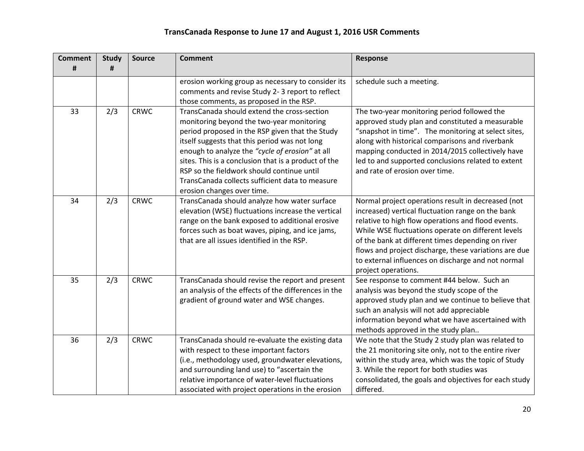| <b>Comment</b><br># | <b>Study</b><br># | <b>Source</b> | <b>Comment</b>                                                                                                                                                                                                                                                                                                                                                                                                                         | Response                                                                                                                                                                                                                                                                                                                                                                                                       |
|---------------------|-------------------|---------------|----------------------------------------------------------------------------------------------------------------------------------------------------------------------------------------------------------------------------------------------------------------------------------------------------------------------------------------------------------------------------------------------------------------------------------------|----------------------------------------------------------------------------------------------------------------------------------------------------------------------------------------------------------------------------------------------------------------------------------------------------------------------------------------------------------------------------------------------------------------|
|                     |                   |               |                                                                                                                                                                                                                                                                                                                                                                                                                                        |                                                                                                                                                                                                                                                                                                                                                                                                                |
|                     |                   |               | erosion working group as necessary to consider its<br>comments and revise Study 2-3 report to reflect                                                                                                                                                                                                                                                                                                                                  | schedule such a meeting.                                                                                                                                                                                                                                                                                                                                                                                       |
|                     |                   |               | those comments, as proposed in the RSP.                                                                                                                                                                                                                                                                                                                                                                                                |                                                                                                                                                                                                                                                                                                                                                                                                                |
| 33                  | 2/3               | <b>CRWC</b>   | TransCanada should extend the cross-section<br>monitoring beyond the two-year monitoring<br>period proposed in the RSP given that the Study<br>itself suggests that this period was not long<br>enough to analyze the "cycle of erosion" at all<br>sites. This is a conclusion that is a product of the<br>RSP so the fieldwork should continue until<br>TransCanada collects sufficient data to measure<br>erosion changes over time. | The two-year monitoring period followed the<br>approved study plan and constituted a measurable<br>"snapshot in time". The monitoring at select sites,<br>along with historical comparisons and riverbank<br>mapping conducted in 2014/2015 collectively have<br>led to and supported conclusions related to extent<br>and rate of erosion over time.                                                          |
| 34                  | 2/3               | <b>CRWC</b>   | TransCanada should analyze how water surface<br>elevation (WSE) fluctuations increase the vertical<br>range on the bank exposed to additional erosive<br>forces such as boat waves, piping, and ice jams,<br>that are all issues identified in the RSP.                                                                                                                                                                                | Normal project operations result in decreased (not<br>increased) vertical fluctuation range on the bank<br>relative to high flow operations and flood events.<br>While WSE fluctuations operate on different levels<br>of the bank at different times depending on river<br>flows and project discharge, these variations are due<br>to external influences on discharge and not normal<br>project operations. |
| 35                  | 2/3               | <b>CRWC</b>   | TransCanada should revise the report and present<br>an analysis of the effects of the differences in the<br>gradient of ground water and WSE changes.                                                                                                                                                                                                                                                                                  | See response to comment #44 below. Such an<br>analysis was beyond the study scope of the<br>approved study plan and we continue to believe that<br>such an analysis will not add appreciable<br>information beyond what we have ascertained with<br>methods approved in the study plan                                                                                                                         |
| 36                  | 2/3               | <b>CRWC</b>   | TransCanada should re-evaluate the existing data<br>with respect to these important factors<br>(i.e., methodology used, groundwater elevations,<br>and surrounding land use) to "ascertain the<br>relative importance of water-level fluctuations<br>associated with project operations in the erosion                                                                                                                                 | We note that the Study 2 study plan was related to<br>the 21 monitoring site only, not to the entire river<br>within the study area, which was the topic of Study<br>3. While the report for both studies was<br>consolidated, the goals and objectives for each study<br>differed.                                                                                                                            |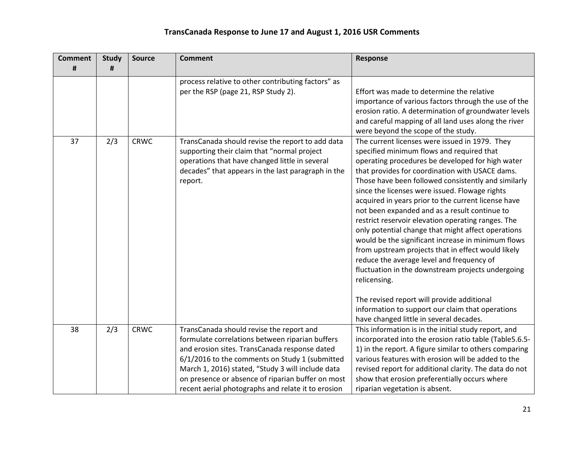| <b>Comment</b> | <b>Study</b> | <b>Source</b> | <b>Comment</b>                                                                                                                                                                                                                                                                                                                                                 | Response                                                                                                                                                                                                                                                                                                                                                                                                                                                                                                                                                                                                                                                                                                                                                                                                                                          |
|----------------|--------------|---------------|----------------------------------------------------------------------------------------------------------------------------------------------------------------------------------------------------------------------------------------------------------------------------------------------------------------------------------------------------------------|---------------------------------------------------------------------------------------------------------------------------------------------------------------------------------------------------------------------------------------------------------------------------------------------------------------------------------------------------------------------------------------------------------------------------------------------------------------------------------------------------------------------------------------------------------------------------------------------------------------------------------------------------------------------------------------------------------------------------------------------------------------------------------------------------------------------------------------------------|
| #              | #            |               |                                                                                                                                                                                                                                                                                                                                                                |                                                                                                                                                                                                                                                                                                                                                                                                                                                                                                                                                                                                                                                                                                                                                                                                                                                   |
| 37             | 2/3          | <b>CRWC</b>   | process relative to other contributing factors" as<br>per the RSP (page 21, RSP Study 2).<br>TransCanada should revise the report to add data<br>supporting their claim that "normal project<br>operations that have changed little in several<br>decades" that appears in the last paragraph in the<br>report.                                                | Effort was made to determine the relative<br>importance of various factors through the use of the<br>erosion ratio. A determination of groundwater levels<br>and careful mapping of all land uses along the river<br>were beyond the scope of the study.<br>The current licenses were issued in 1979. They<br>specified minimum flows and required that<br>operating procedures be developed for high water<br>that provides for coordination with USACE dams.<br>Those have been followed consistently and similarly<br>since the licenses were issued. Flowage rights<br>acquired in years prior to the current license have<br>not been expanded and as a result continue to<br>restrict reservoir elevation operating ranges. The<br>only potential change that might affect operations<br>would be the significant increase in minimum flows |
|                |              |               |                                                                                                                                                                                                                                                                                                                                                                | from upstream projects that in effect would likely<br>reduce the average level and frequency of<br>fluctuation in the downstream projects undergoing<br>relicensing.<br>The revised report will provide additional<br>information to support our claim that operations<br>have changed little in several decades.                                                                                                                                                                                                                                                                                                                                                                                                                                                                                                                                 |
| 38             | 2/3          | <b>CRWC</b>   | TransCanada should revise the report and<br>formulate correlations between riparian buffers<br>and erosion sites. TransCanada response dated<br>6/1/2016 to the comments on Study 1 (submitted<br>March 1, 2016) stated, "Study 3 will include data<br>on presence or absence of riparian buffer on most<br>recent aerial photographs and relate it to erosion | This information is in the initial study report, and<br>incorporated into the erosion ratio table (Table5.6.5-<br>1) in the report. A figure similar to others comparing<br>various features with erosion will be added to the<br>revised report for additional clarity. The data do not<br>show that erosion preferentially occurs where<br>riparian vegetation is absent.                                                                                                                                                                                                                                                                                                                                                                                                                                                                       |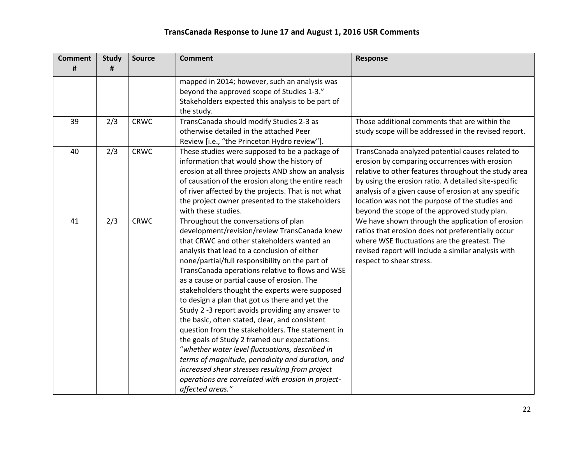| <b>Comment</b> | <b>Study</b> | <b>Source</b> | <b>Comment</b>                                      | <b>Response</b>                                      |
|----------------|--------------|---------------|-----------------------------------------------------|------------------------------------------------------|
| #              | #            |               |                                                     |                                                      |
|                |              |               | mapped in 2014; however, such an analysis was       |                                                      |
|                |              |               | beyond the approved scope of Studies 1-3."          |                                                      |
|                |              |               | Stakeholders expected this analysis to be part of   |                                                      |
|                |              |               | the study.                                          |                                                      |
| 39             | 2/3          | <b>CRWC</b>   | TransCanada should modify Studies 2-3 as            | Those additional comments that are within the        |
|                |              |               | otherwise detailed in the attached Peer             | study scope will be addressed in the revised report. |
|                |              |               | Review [i.e., "the Princeton Hydro review"].        |                                                      |
| 40             | 2/3          | <b>CRWC</b>   | These studies were supposed to be a package of      | TransCanada analyzed potential causes related to     |
|                |              |               | information that would show the history of          | erosion by comparing occurrences with erosion        |
|                |              |               | erosion at all three projects AND show an analysis  | relative to other features throughout the study area |
|                |              |               | of causation of the erosion along the entire reach  | by using the erosion ratio. A detailed site-specific |
|                |              |               | of river affected by the projects. That is not what | analysis of a given cause of erosion at any specific |
|                |              |               | the project owner presented to the stakeholders     | location was not the purpose of the studies and      |
|                |              |               | with these studies.                                 | beyond the scope of the approved study plan.         |
| 41             | 2/3          | <b>CRWC</b>   | Throughout the conversations of plan                | We have shown through the application of erosion     |
|                |              |               | development/revision/review TransCanada knew        | ratios that erosion does not preferentially occur    |
|                |              |               | that CRWC and other stakeholders wanted an          | where WSE fluctuations are the greatest. The         |
|                |              |               | analysis that lead to a conclusion of either        | revised report will include a similar analysis with  |
|                |              |               | none/partial/full responsibility on the part of     | respect to shear stress.                             |
|                |              |               | TransCanada operations relative to flows and WSE    |                                                      |
|                |              |               | as a cause or partial cause of erosion. The         |                                                      |
|                |              |               | stakeholders thought the experts were supposed      |                                                      |
|                |              |               | to design a plan that got us there and yet the      |                                                      |
|                |              |               | Study 2 -3 report avoids providing any answer to    |                                                      |
|                |              |               | the basic, often stated, clear, and consistent      |                                                      |
|                |              |               | question from the stakeholders. The statement in    |                                                      |
|                |              |               | the goals of Study 2 framed our expectations:       |                                                      |
|                |              |               | "whether water level fluctuations, described in     |                                                      |
|                |              |               | terms of magnitude, periodicity and duration, and   |                                                      |
|                |              |               | increased shear stresses resulting from project     |                                                      |
|                |              |               | operations are correlated with erosion in project-  |                                                      |
|                |              |               | affected areas."                                    |                                                      |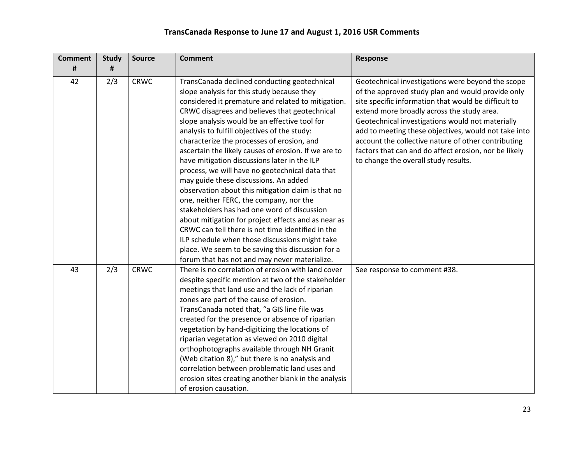| <b>Comment</b> | <b>Study</b> | <b>Source</b> | <b>Comment</b>                                                                                                                                                                                                                                                                                                                                                                                                                                                                                                                                                                                                                                                                                                                                                                                                                                                                                                          | Response                                                                                                                                                                                                                                                                                                                                                                                                                                                                         |
|----------------|--------------|---------------|-------------------------------------------------------------------------------------------------------------------------------------------------------------------------------------------------------------------------------------------------------------------------------------------------------------------------------------------------------------------------------------------------------------------------------------------------------------------------------------------------------------------------------------------------------------------------------------------------------------------------------------------------------------------------------------------------------------------------------------------------------------------------------------------------------------------------------------------------------------------------------------------------------------------------|----------------------------------------------------------------------------------------------------------------------------------------------------------------------------------------------------------------------------------------------------------------------------------------------------------------------------------------------------------------------------------------------------------------------------------------------------------------------------------|
| #              | #            |               |                                                                                                                                                                                                                                                                                                                                                                                                                                                                                                                                                                                                                                                                                                                                                                                                                                                                                                                         |                                                                                                                                                                                                                                                                                                                                                                                                                                                                                  |
| 42             | 2/3          | <b>CRWC</b>   | TransCanada declined conducting geotechnical<br>slope analysis for this study because they<br>considered it premature and related to mitigation.<br>CRWC disagrees and believes that geotechnical<br>slope analysis would be an effective tool for<br>analysis to fulfill objectives of the study:<br>characterize the processes of erosion, and<br>ascertain the likely causes of erosion. If we are to<br>have mitigation discussions later in the ILP<br>process, we will have no geotechnical data that<br>may guide these discussions. An added<br>observation about this mitigation claim is that no<br>one, neither FERC, the company, nor the<br>stakeholders has had one word of discussion<br>about mitigation for project effects and as near as<br>CRWC can tell there is not time identified in the<br>ILP schedule when those discussions might take<br>place. We seem to be saving this discussion for a | Geotechnical investigations were beyond the scope<br>of the approved study plan and would provide only<br>site specific information that would be difficult to<br>extend more broadly across the study area.<br>Geotechnical investigations would not materially<br>add to meeting these objectives, would not take into<br>account the collective nature of other contributing<br>factors that can and do affect erosion, nor be likely<br>to change the overall study results. |
|                |              |               | forum that has not and may never materialize.                                                                                                                                                                                                                                                                                                                                                                                                                                                                                                                                                                                                                                                                                                                                                                                                                                                                           |                                                                                                                                                                                                                                                                                                                                                                                                                                                                                  |
| 43             | 2/3          | <b>CRWC</b>   | There is no correlation of erosion with land cover<br>despite specific mention at two of the stakeholder<br>meetings that land use and the lack of riparian<br>zones are part of the cause of erosion.<br>TransCanada noted that, "a GIS line file was<br>created for the presence or absence of riparian<br>vegetation by hand-digitizing the locations of<br>riparian vegetation as viewed on 2010 digital<br>orthophotographs available through NH Granit<br>(Web citation 8)," but there is no analysis and<br>correlation between problematic land uses and<br>erosion sites creating another blank in the analysis<br>of erosion causation.                                                                                                                                                                                                                                                                       | See response to comment #38.                                                                                                                                                                                                                                                                                                                                                                                                                                                     |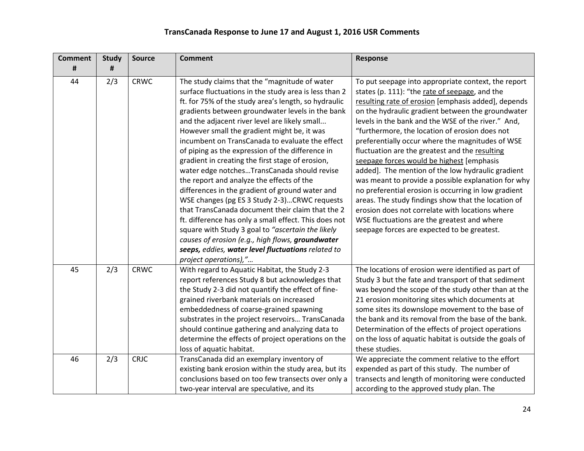| <b>Comment</b> | <b>Study</b> | <b>Source</b> | <b>Comment</b>                                                                                                                                                                                                                                                                                                                                                                                                                                                                                                                                                                                                                                                                                                                                                                                                                                                                                                                                                                    | Response                                                                                                                                                                                                                                                                                                                                                                                                                                                                                                                                                                                                                                                                                                                                                                                                                                                 |
|----------------|--------------|---------------|-----------------------------------------------------------------------------------------------------------------------------------------------------------------------------------------------------------------------------------------------------------------------------------------------------------------------------------------------------------------------------------------------------------------------------------------------------------------------------------------------------------------------------------------------------------------------------------------------------------------------------------------------------------------------------------------------------------------------------------------------------------------------------------------------------------------------------------------------------------------------------------------------------------------------------------------------------------------------------------|----------------------------------------------------------------------------------------------------------------------------------------------------------------------------------------------------------------------------------------------------------------------------------------------------------------------------------------------------------------------------------------------------------------------------------------------------------------------------------------------------------------------------------------------------------------------------------------------------------------------------------------------------------------------------------------------------------------------------------------------------------------------------------------------------------------------------------------------------------|
| #              | #            |               |                                                                                                                                                                                                                                                                                                                                                                                                                                                                                                                                                                                                                                                                                                                                                                                                                                                                                                                                                                                   |                                                                                                                                                                                                                                                                                                                                                                                                                                                                                                                                                                                                                                                                                                                                                                                                                                                          |
| 44             | 2/3          | <b>CRWC</b>   | The study claims that the "magnitude of water<br>surface fluctuations in the study area is less than 2<br>ft. for 75% of the study area's length, so hydraulic<br>gradients between groundwater levels in the bank<br>and the adjacent river level are likely small<br>However small the gradient might be, it was<br>incumbent on TransCanada to evaluate the effect<br>of piping as the expression of the difference in<br>gradient in creating the first stage of erosion,<br>water edge notchesTransCanada should revise<br>the report and analyze the effects of the<br>differences in the gradient of ground water and<br>WSE changes (pg ES 3 Study 2-3)CRWC requests<br>that TransCanada document their claim that the 2<br>ft. difference has only a small effect. This does not<br>square with Study 3 goal to "ascertain the likely<br>causes of erosion (e.g., high flows, groundwater<br>seeps, eddies, water level fluctuations related to<br>project operations)," | To put seepage into appropriate context, the report<br>states (p. 111): "the rate of seepage, and the<br>resulting rate of erosion [emphasis added], depends<br>on the hydraulic gradient between the groundwater<br>levels in the bank and the WSE of the river." And,<br>"furthermore, the location of erosion does not<br>preferentially occur where the magnitudes of WSE<br>fluctuation are the greatest and the resulting<br>seepage forces would be highest [emphasis<br>added]. The mention of the low hydraulic gradient<br>was meant to provide a possible explanation for why<br>no preferential erosion is occurring in low gradient<br>areas. The study findings show that the location of<br>erosion does not correlate with locations where<br>WSE fluctuations are the greatest and where<br>seepage forces are expected to be greatest. |
| 45             | 2/3          | <b>CRWC</b>   | With regard to Aquatic Habitat, the Study 2-3<br>report references Study 8 but acknowledges that<br>the Study 2-3 did not quantify the effect of fine-<br>grained riverbank materials on increased<br>embeddedness of coarse-grained spawning<br>substrates in the project reservoirs TransCanada<br>should continue gathering and analyzing data to<br>determine the effects of project operations on the<br>loss of aquatic habitat.                                                                                                                                                                                                                                                                                                                                                                                                                                                                                                                                            | The locations of erosion were identified as part of<br>Study 3 but the fate and transport of that sediment<br>was beyond the scope of the study other than at the<br>21 erosion monitoring sites which documents at<br>some sites its downslope movement to the base of<br>the bank and its removal from the base of the bank.<br>Determination of the effects of project operations<br>on the loss of aquatic habitat is outside the goals of<br>these studies.                                                                                                                                                                                                                                                                                                                                                                                         |
| 46             | 2/3          | <b>CRJC</b>   | TransCanada did an exemplary inventory of<br>existing bank erosion within the study area, but its<br>conclusions based on too few transects over only a<br>two-year interval are speculative, and its                                                                                                                                                                                                                                                                                                                                                                                                                                                                                                                                                                                                                                                                                                                                                                             | We appreciate the comment relative to the effort<br>expended as part of this study. The number of<br>transects and length of monitoring were conducted<br>according to the approved study plan. The                                                                                                                                                                                                                                                                                                                                                                                                                                                                                                                                                                                                                                                      |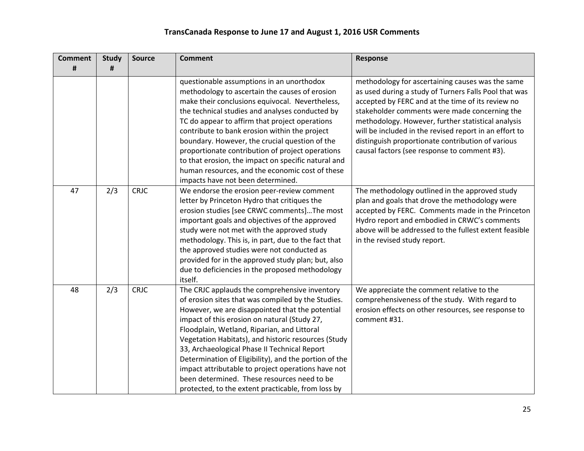| <b>Comment</b> | <b>Study</b> | <b>Source</b> | <b>Comment</b>                                                                                                                                                                                                                                                                                                                                                                                                                                                                                                                                                                   | <b>Response</b>                                                                                                                                                                                                                                                                                                                                                                                                                      |
|----------------|--------------|---------------|----------------------------------------------------------------------------------------------------------------------------------------------------------------------------------------------------------------------------------------------------------------------------------------------------------------------------------------------------------------------------------------------------------------------------------------------------------------------------------------------------------------------------------------------------------------------------------|--------------------------------------------------------------------------------------------------------------------------------------------------------------------------------------------------------------------------------------------------------------------------------------------------------------------------------------------------------------------------------------------------------------------------------------|
| #              | #            |               |                                                                                                                                                                                                                                                                                                                                                                                                                                                                                                                                                                                  |                                                                                                                                                                                                                                                                                                                                                                                                                                      |
|                |              |               | questionable assumptions in an unorthodox<br>methodology to ascertain the causes of erosion<br>make their conclusions equivocal. Nevertheless,<br>the technical studies and analyses conducted by<br>TC do appear to affirm that project operations<br>contribute to bank erosion within the project<br>boundary. However, the crucial question of the<br>proportionate contribution of project operations<br>to that erosion, the impact on specific natural and<br>human resources, and the economic cost of these<br>impacts have not been determined.                        | methodology for ascertaining causes was the same<br>as used during a study of Turners Falls Pool that was<br>accepted by FERC and at the time of its review no<br>stakeholder comments were made concerning the<br>methodology. However, further statistical analysis<br>will be included in the revised report in an effort to<br>distinguish proportionate contribution of various<br>causal factors (see response to comment #3). |
| 47             | 2/3          | <b>CRJC</b>   | We endorse the erosion peer-review comment<br>letter by Princeton Hydro that critiques the<br>erosion studies [see CRWC comments]The most<br>important goals and objectives of the approved<br>study were not met with the approved study<br>methodology. This is, in part, due to the fact that<br>the approved studies were not conducted as<br>provided for in the approved study plan; but, also<br>due to deficiencies in the proposed methodology<br>itself.                                                                                                               | The methodology outlined in the approved study<br>plan and goals that drove the methodology were<br>accepted by FERC. Comments made in the Princeton<br>Hydro report and embodied in CRWC's comments<br>above will be addressed to the fullest extent feasible<br>in the revised study report.                                                                                                                                       |
| 48             | 2/3          | <b>CRJC</b>   | The CRJC applauds the comprehensive inventory<br>of erosion sites that was compiled by the Studies.<br>However, we are disappointed that the potential<br>impact of this erosion on natural (Study 27,<br>Floodplain, Wetland, Riparian, and Littoral<br>Vegetation Habitats), and historic resources (Study<br>33, Archaeological Phase II Technical Report<br>Determination of Eligibility), and the portion of the<br>impact attributable to project operations have not<br>been determined. These resources need to be<br>protected, to the extent practicable, from loss by | We appreciate the comment relative to the<br>comprehensiveness of the study. With regard to<br>erosion effects on other resources, see response to<br>comment #31.                                                                                                                                                                                                                                                                   |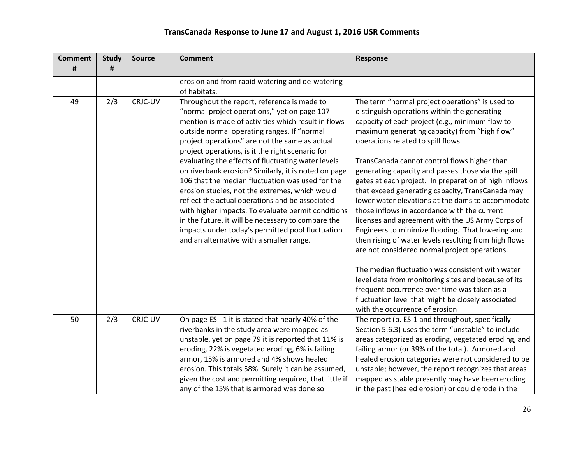| <b>Comment</b><br># | <b>Study</b><br># | <b>Source</b> | <b>Comment</b>                                                                                                                                                                                                                                                                                                                                                                                                                                                                                                                                                                                                                                                                                                                                                                             | Response                                                                                                                                                                                                                                                                                                                                                                                                                                                                                                                                                                                                                                                                                                                                                                                                                                 |
|---------------------|-------------------|---------------|--------------------------------------------------------------------------------------------------------------------------------------------------------------------------------------------------------------------------------------------------------------------------------------------------------------------------------------------------------------------------------------------------------------------------------------------------------------------------------------------------------------------------------------------------------------------------------------------------------------------------------------------------------------------------------------------------------------------------------------------------------------------------------------------|------------------------------------------------------------------------------------------------------------------------------------------------------------------------------------------------------------------------------------------------------------------------------------------------------------------------------------------------------------------------------------------------------------------------------------------------------------------------------------------------------------------------------------------------------------------------------------------------------------------------------------------------------------------------------------------------------------------------------------------------------------------------------------------------------------------------------------------|
|                     |                   |               | erosion and from rapid watering and de-watering<br>of habitats.                                                                                                                                                                                                                                                                                                                                                                                                                                                                                                                                                                                                                                                                                                                            |                                                                                                                                                                                                                                                                                                                                                                                                                                                                                                                                                                                                                                                                                                                                                                                                                                          |
| 49                  | 2/3               | CRJC-UV       | Throughout the report, reference is made to<br>"normal project operations," yet on page 107<br>mention is made of activities which result in flows<br>outside normal operating ranges. If "normal<br>project operations" are not the same as actual<br>project operations, is it the right scenario for<br>evaluating the effects of fluctuating water levels<br>on riverbank erosion? Similarly, it is noted on page<br>106 that the median fluctuation was used for the<br>erosion studies, not the extremes, which would<br>reflect the actual operations and be associated<br>with higher impacts. To evaluate permit conditions<br>in the future, it will be necessary to compare the<br>impacts under today's permitted pool fluctuation<br>and an alternative with a smaller range. | The term "normal project operations" is used to<br>distinguish operations within the generating<br>capacity of each project (e.g., minimum flow to<br>maximum generating capacity) from "high flow"<br>operations related to spill flows.<br>TransCanada cannot control flows higher than<br>generating capacity and passes those via the spill<br>gates at each project. In preparation of high inflows<br>that exceed generating capacity, TransCanada may<br>lower water elevations at the dams to accommodate<br>those inflows in accordance with the current<br>licenses and agreement with the US Army Corps of<br>Engineers to minimize flooding. That lowering and<br>then rising of water levels resulting from high flows<br>are not considered normal project operations.<br>The median fluctuation was consistent with water |
|                     |                   |               |                                                                                                                                                                                                                                                                                                                                                                                                                                                                                                                                                                                                                                                                                                                                                                                            | level data from monitoring sites and because of its<br>frequent occurrence over time was taken as a<br>fluctuation level that might be closely associated<br>with the occurrence of erosion                                                                                                                                                                                                                                                                                                                                                                                                                                                                                                                                                                                                                                              |
| 50                  | 2/3               | CRJC-UV       | On page ES - 1 it is stated that nearly 40% of the<br>riverbanks in the study area were mapped as<br>unstable, yet on page 79 it is reported that 11% is<br>eroding, 22% is vegetated eroding, 6% is failing<br>armor, 15% is armored and 4% shows healed<br>erosion. This totals 58%. Surely it can be assumed,<br>given the cost and permitting required, that little if<br>any of the 15% that is armored was done so                                                                                                                                                                                                                                                                                                                                                                   | The report (p. ES-1 and throughout, specifically<br>Section 5.6.3) uses the term "unstable" to include<br>areas categorized as eroding, vegetated eroding, and<br>failing armor (or 39% of the total). Armored and<br>healed erosion categories were not considered to be<br>unstable; however, the report recognizes that areas<br>mapped as stable presently may have been eroding<br>in the past (healed erosion) or could erode in the                                                                                                                                                                                                                                                                                                                                                                                               |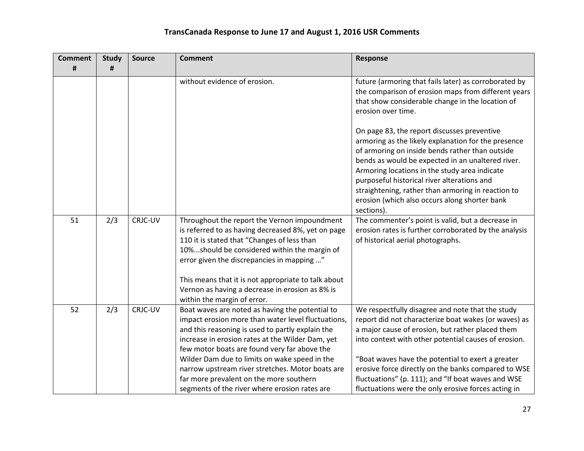| <b>Comment</b> | <b>Study</b> | <b>Source</b> | <b>Comment</b>                                                                                                                                                                                                                                                                                                                                                                                                                                                 | <b>Response</b>                                                                                                                                                                                                                                                                                                                                                                                                                               |
|----------------|--------------|---------------|----------------------------------------------------------------------------------------------------------------------------------------------------------------------------------------------------------------------------------------------------------------------------------------------------------------------------------------------------------------------------------------------------------------------------------------------------------------|-----------------------------------------------------------------------------------------------------------------------------------------------------------------------------------------------------------------------------------------------------------------------------------------------------------------------------------------------------------------------------------------------------------------------------------------------|
| #              | #            |               |                                                                                                                                                                                                                                                                                                                                                                                                                                                                |                                                                                                                                                                                                                                                                                                                                                                                                                                               |
|                |              |               | without evidence of erosion.                                                                                                                                                                                                                                                                                                                                                                                                                                   | future (armoring that fails later) as corroborated by<br>the comparison of erosion maps from different years<br>that show considerable change in the location of<br>erosion over time.                                                                                                                                                                                                                                                        |
|                |              |               |                                                                                                                                                                                                                                                                                                                                                                                                                                                                | On page 83, the report discusses preventive<br>armoring as the likely explanation for the presence<br>of armoring on inside bends rather than outside<br>bends as would be expected in an unaltered river.<br>Armoring locations in the study area indicate<br>purposeful historical river alterations and<br>straightening, rather than armoring in reaction to<br>erosion (which also occurs along shorter bank<br>sections).               |
| 51             | 2/3          | CRJC-UV       | Throughout the report the Vernon impoundment<br>is referred to as having decreased 8%, yet on page<br>110 it is stated that "Changes of less than<br>10%should be considered within the margin of<br>error given the discrepancies in mapping "<br>This means that it is not appropriate to talk about<br>Vernon as having a decrease in erosion as 8% is<br>within the margin of error.                                                                       | The commenter's point is valid, but a decrease in<br>erosion rates is further corroborated by the analysis<br>of historical aerial photographs.                                                                                                                                                                                                                                                                                               |
| 52             | 2/3          | CRJC-UV       | Boat waves are noted as having the potential to<br>impact erosion more than water level fluctuations,<br>and this reasoning is used to partly explain the<br>increase in erosion rates at the Wilder Dam, yet<br>few motor boats are found very far above the<br>Wilder Dam due to limits on wake speed in the<br>narrow upstream river stretches. Motor boats are<br>far more prevalent on the more southern<br>segments of the river where erosion rates are | We respectfully disagree and note that the study<br>report did not characterize boat wakes (or waves) as<br>a major cause of erosion, but rather placed them<br>into context with other potential causes of erosion.<br>"Boat waves have the potential to exert a greater<br>erosive force directly on the banks compared to WSE<br>fluctuations" (p. 111); and "If boat waves and WSE<br>fluctuations were the only erosive forces acting in |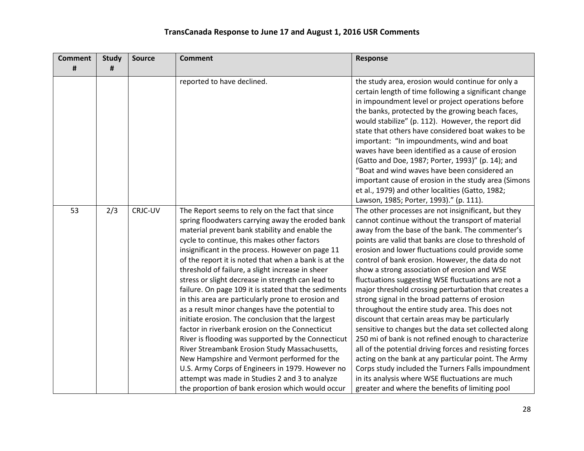| <b>Comment</b> | <b>Study</b> | <b>Source</b> | <b>Comment</b>                                                                                                                                                                                                                                                                                                                                                                                                                                                                                                                                                                                                                                                                                                                                                                                                                                                                                                                                                                                                    | <b>Response</b>                                                                                                                                                                                                                                                                                                                                                                                                                                                                                                                                                                                                                                                                                                                                                                                                                                                                                                                                                                                                                                       |
|----------------|--------------|---------------|-------------------------------------------------------------------------------------------------------------------------------------------------------------------------------------------------------------------------------------------------------------------------------------------------------------------------------------------------------------------------------------------------------------------------------------------------------------------------------------------------------------------------------------------------------------------------------------------------------------------------------------------------------------------------------------------------------------------------------------------------------------------------------------------------------------------------------------------------------------------------------------------------------------------------------------------------------------------------------------------------------------------|-------------------------------------------------------------------------------------------------------------------------------------------------------------------------------------------------------------------------------------------------------------------------------------------------------------------------------------------------------------------------------------------------------------------------------------------------------------------------------------------------------------------------------------------------------------------------------------------------------------------------------------------------------------------------------------------------------------------------------------------------------------------------------------------------------------------------------------------------------------------------------------------------------------------------------------------------------------------------------------------------------------------------------------------------------|
| #              | #            |               |                                                                                                                                                                                                                                                                                                                                                                                                                                                                                                                                                                                                                                                                                                                                                                                                                                                                                                                                                                                                                   |                                                                                                                                                                                                                                                                                                                                                                                                                                                                                                                                                                                                                                                                                                                                                                                                                                                                                                                                                                                                                                                       |
|                |              |               | reported to have declined.                                                                                                                                                                                                                                                                                                                                                                                                                                                                                                                                                                                                                                                                                                                                                                                                                                                                                                                                                                                        | the study area, erosion would continue for only a<br>certain length of time following a significant change<br>in impoundment level or project operations before<br>the banks, protected by the growing beach faces,<br>would stabilize" (p. 112). However, the report did<br>state that others have considered boat wakes to be<br>important: "In impoundments, wind and boat<br>waves have been identified as a cause of erosion<br>(Gatto and Doe, 1987; Porter, 1993)" (p. 14); and<br>"Boat and wind waves have been considered an<br>important cause of erosion in the study area (Simons<br>et al., 1979) and other localities (Gatto, 1982;<br>Lawson, 1985; Porter, 1993)." (p. 111).                                                                                                                                                                                                                                                                                                                                                         |
| 53             | 2/3          | CRJC-UV       | The Report seems to rely on the fact that since<br>spring floodwaters carrying away the eroded bank<br>material prevent bank stability and enable the<br>cycle to continue, this makes other factors<br>insignificant in the process. However on page 11<br>of the report it is noted that when a bank is at the<br>threshold of failure, a slight increase in sheer<br>stress or slight decrease in strength can lead to<br>failure. On page 109 it is stated that the sediments<br>in this area are particularly prone to erosion and<br>as a result minor changes have the potential to<br>initiate erosion. The conclusion that the largest<br>factor in riverbank erosion on the Connecticut<br>River is flooding was supported by the Connecticut<br>River Streambank Erosion Study Massachusetts,<br>New Hampshire and Vermont performed for the<br>U.S. Army Corps of Engineers in 1979. However no<br>attempt was made in Studies 2 and 3 to analyze<br>the proportion of bank erosion which would occur | The other processes are not insignificant, but they<br>cannot continue without the transport of material<br>away from the base of the bank. The commenter's<br>points are valid that banks are close to threshold of<br>erosion and lower fluctuations could provide some<br>control of bank erosion. However, the data do not<br>show a strong association of erosion and WSE<br>fluctuations suggesting WSE fluctuations are not a<br>major threshold crossing perturbation that creates a<br>strong signal in the broad patterns of erosion<br>throughout the entire study area. This does not<br>discount that certain areas may be particularly<br>sensitive to changes but the data set collected along<br>250 mi of bank is not refined enough to characterize<br>all of the potential driving forces and resisting forces<br>acting on the bank at any particular point. The Army<br>Corps study included the Turners Falls impoundment<br>in its analysis where WSE fluctuations are much<br>greater and where the benefits of limiting pool |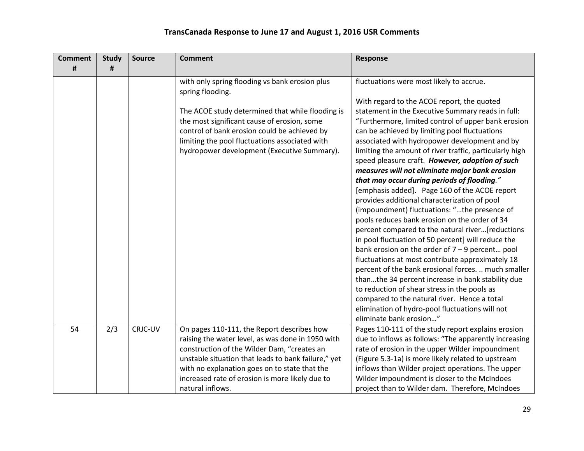| <b>Comment</b> | <b>Study</b> | <b>Source</b> | <b>Comment</b>                                                                                                                                                                                                                                                                                                                | <b>Response</b>                                                                                                                                                                                                                                                                                                                                                                                                                                                                                                                                                                                                                                                                                                                                                                                                                                                                                                                                                                                                                                                                                                                                                                                                                    |
|----------------|--------------|---------------|-------------------------------------------------------------------------------------------------------------------------------------------------------------------------------------------------------------------------------------------------------------------------------------------------------------------------------|------------------------------------------------------------------------------------------------------------------------------------------------------------------------------------------------------------------------------------------------------------------------------------------------------------------------------------------------------------------------------------------------------------------------------------------------------------------------------------------------------------------------------------------------------------------------------------------------------------------------------------------------------------------------------------------------------------------------------------------------------------------------------------------------------------------------------------------------------------------------------------------------------------------------------------------------------------------------------------------------------------------------------------------------------------------------------------------------------------------------------------------------------------------------------------------------------------------------------------|
| #              | #            |               |                                                                                                                                                                                                                                                                                                                               |                                                                                                                                                                                                                                                                                                                                                                                                                                                                                                                                                                                                                                                                                                                                                                                                                                                                                                                                                                                                                                                                                                                                                                                                                                    |
|                |              |               | with only spring flooding vs bank erosion plus<br>spring flooding.<br>The ACOE study determined that while flooding is<br>the most significant cause of erosion, some<br>control of bank erosion could be achieved by<br>limiting the pool fluctuations associated with<br>hydropower development (Executive Summary).        | fluctuations were most likely to accrue.<br>With regard to the ACOE report, the quoted<br>statement in the Executive Summary reads in full:<br>"Furthermore, limited control of upper bank erosion<br>can be achieved by limiting pool fluctuations<br>associated with hydropower development and by<br>limiting the amount of river traffic, particularly high<br>speed pleasure craft. However, adoption of such<br>measures will not eliminate major bank erosion<br>that may occur during periods of flooding."<br>[emphasis added]. Page 160 of the ACOE report<br>provides additional characterization of pool<br>(impoundment) fluctuations: "the presence of<br>pools reduces bank erosion on the order of 34<br>percent compared to the natural river[reductions<br>in pool fluctuation of 50 percent] will reduce the<br>bank erosion on the order of $7 - 9$ percent pool<br>fluctuations at most contribute approximately 18<br>percent of the bank erosional forces.  much smaller<br>thanthe 34 percent increase in bank stability due<br>to reduction of shear stress in the pools as<br>compared to the natural river. Hence a total<br>elimination of hydro-pool fluctuations will not<br>eliminate bank erosion" |
| 54             | 2/3          | CRJC-UV       | On pages 110-111, the Report describes how<br>raising the water level, as was done in 1950 with<br>construction of the Wilder Dam, "creates an<br>unstable situation that leads to bank failure," yet<br>with no explanation goes on to state that the<br>increased rate of erosion is more likely due to<br>natural inflows. | Pages 110-111 of the study report explains erosion<br>due to inflows as follows: "The apparently increasing<br>rate of erosion in the upper Wilder impoundment<br>(Figure 5.3-1a) is more likely related to upstream<br>inflows than Wilder project operations. The upper<br>Wilder impoundment is closer to the McIndoes<br>project than to Wilder dam. Therefore, McIndoes                                                                                                                                                                                                                                                                                                                                                                                                                                                                                                                                                                                                                                                                                                                                                                                                                                                       |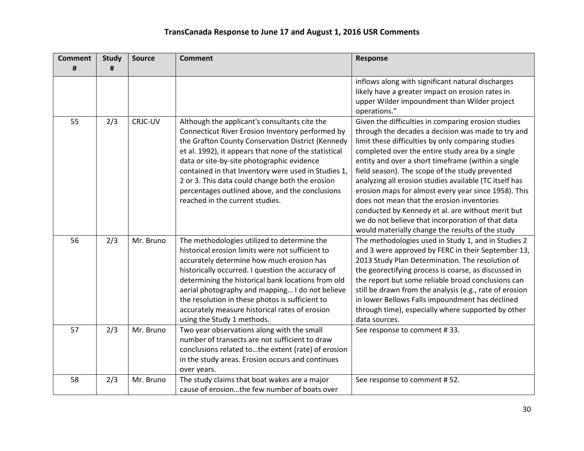| <b>Comment</b> | <b>Study</b> | <b>Source</b> | <b>Comment</b>                                                                                                                                                                                                                                                                                                                                                                                                                                                | Response                                                                                                                                                                                                                                                                                                                                                                                                                                                                                                                                                                                                                                                   |
|----------------|--------------|---------------|---------------------------------------------------------------------------------------------------------------------------------------------------------------------------------------------------------------------------------------------------------------------------------------------------------------------------------------------------------------------------------------------------------------------------------------------------------------|------------------------------------------------------------------------------------------------------------------------------------------------------------------------------------------------------------------------------------------------------------------------------------------------------------------------------------------------------------------------------------------------------------------------------------------------------------------------------------------------------------------------------------------------------------------------------------------------------------------------------------------------------------|
| #              | #            |               |                                                                                                                                                                                                                                                                                                                                                                                                                                                               |                                                                                                                                                                                                                                                                                                                                                                                                                                                                                                                                                                                                                                                            |
|                |              |               |                                                                                                                                                                                                                                                                                                                                                                                                                                                               | inflows along with significant natural discharges<br>likely have a greater impact on erosion rates in<br>upper Wilder impoundment than Wilder project                                                                                                                                                                                                                                                                                                                                                                                                                                                                                                      |
|                |              |               |                                                                                                                                                                                                                                                                                                                                                                                                                                                               | operations."                                                                                                                                                                                                                                                                                                                                                                                                                                                                                                                                                                                                                                               |
| 55             | 2/3          | CRJC-UV       | Although the applicant's consultants cite the<br>Connecticut River Erosion Inventory performed by<br>the Grafton County Conservation District (Kennedy<br>et al. 1992), it appears that none of the statistical<br>data or site-by-site photographic evidence<br>contained in that Inventory were used in Studies 1,<br>2 or 3. This data could change both the erosion<br>percentages outlined above, and the conclusions<br>reached in the current studies. | Given the difficulties in comparing erosion studies<br>through the decades a decision was made to try and<br>limit these difficulties by only comparing studies<br>completed over the entire study area by a single<br>entity and over a short timeframe (within a single<br>field season). The scope of the study prevented<br>analyzing all erosion studies available (TC itself has<br>erosion maps for almost every year since 1958). This<br>does not mean that the erosion inventories<br>conducted by Kennedy et al. are without merit but<br>we do not believe that incorporation of that data<br>would materially change the results of the study |
| 56             | 2/3          | Mr. Bruno     | The methodologies utilized to determine the<br>historical erosion limits were not sufficient to<br>accurately determine how much erosion has<br>historically occurred. I question the accuracy of<br>determining the historical bank locations from old<br>aerial photography and mapping I do not believe<br>the resolution in these photos is sufficient to<br>accurately measure historical rates of erosion<br>using the Study 1 methods.                 | The methodologies used in Study 1, and in Studies 2<br>and 3 were approved by FERC in their September 13,<br>2013 Study Plan Determination. The resolution of<br>the georectifying process is coarse, as discussed in<br>the report but some reliable broad conclusions can<br>still be drawn from the analysis (e.g., rate of erosion<br>in lower Bellows Falls impoundment has declined<br>through time), especially where supported by other<br>data sources.                                                                                                                                                                                           |
| 57             | 2/3          | Mr. Bruno     | Two year observations along with the small<br>number of transects are not sufficient to draw<br>conclusions related tothe extent (rate) of erosion<br>in the study areas. Erosion occurs and continues<br>over years.                                                                                                                                                                                                                                         | See response to comment #33.                                                                                                                                                                                                                                                                                                                                                                                                                                                                                                                                                                                                                               |
| 58             | 2/3          | Mr. Bruno     | The study claims that boat wakes are a major<br>cause of erosionthe few number of boats over                                                                                                                                                                                                                                                                                                                                                                  | See response to comment #52.                                                                                                                                                                                                                                                                                                                                                                                                                                                                                                                                                                                                                               |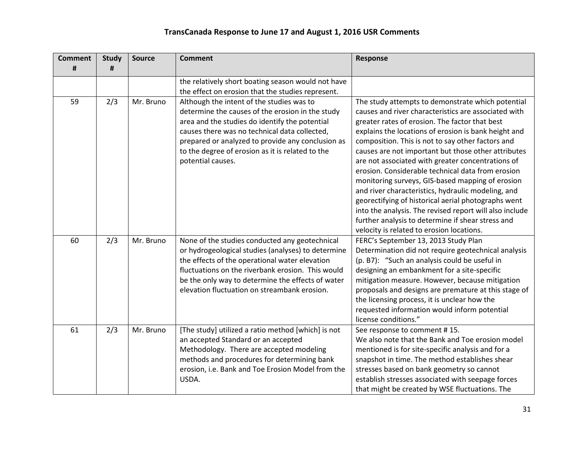| <b>Comment</b><br># | <b>Study</b><br># | <b>Source</b> | <b>Comment</b>                                                                                                                                                                                                                                                                                                                 | <b>Response</b>                                                                                                                                                                                                                                                                                                                                                                                                                                                                                                                                                                                                                                                                                                                                                         |
|---------------------|-------------------|---------------|--------------------------------------------------------------------------------------------------------------------------------------------------------------------------------------------------------------------------------------------------------------------------------------------------------------------------------|-------------------------------------------------------------------------------------------------------------------------------------------------------------------------------------------------------------------------------------------------------------------------------------------------------------------------------------------------------------------------------------------------------------------------------------------------------------------------------------------------------------------------------------------------------------------------------------------------------------------------------------------------------------------------------------------------------------------------------------------------------------------------|
|                     |                   |               | the relatively short boating season would not have<br>the effect on erosion that the studies represent.                                                                                                                                                                                                                        |                                                                                                                                                                                                                                                                                                                                                                                                                                                                                                                                                                                                                                                                                                                                                                         |
| 59                  | 2/3               | Mr. Bruno     | Although the intent of the studies was to<br>determine the causes of the erosion in the study<br>area and the studies do identify the potential<br>causes there was no technical data collected,<br>prepared or analyzed to provide any conclusion as<br>to the degree of erosion as it is related to the<br>potential causes. | The study attempts to demonstrate which potential<br>causes and river characteristics are associated with<br>greater rates of erosion. The factor that best<br>explains the locations of erosion is bank height and<br>composition. This is not to say other factors and<br>causes are not important but those other attributes<br>are not associated with greater concentrations of<br>erosion. Considerable technical data from erosion<br>monitoring surveys, GIS-based mapping of erosion<br>and river characteristics, hydraulic modeling, and<br>georectifying of historical aerial photographs went<br>into the analysis. The revised report will also include<br>further analysis to determine if shear stress and<br>velocity is related to erosion locations. |
| 60                  | 2/3               | Mr. Bruno     | None of the studies conducted any geotechnical<br>or hydrogeological studies (analyses) to determine<br>the effects of the operational water elevation<br>fluctuations on the riverbank erosion. This would<br>be the only way to determine the effects of water<br>elevation fluctuation on streambank erosion.               | FERC's September 13, 2013 Study Plan<br>Determination did not require geotechnical analysis<br>(p. B7): "Such an analysis could be useful in<br>designing an embankment for a site-specific<br>mitigation measure. However, because mitigation<br>proposals and designs are premature at this stage of<br>the licensing process, it is unclear how the<br>requested information would inform potential<br>license conditions."                                                                                                                                                                                                                                                                                                                                          |
| 61                  | 2/3               | Mr. Bruno     | [The study] utilized a ratio method [which] is not<br>an accepted Standard or an accepted<br>Methodology. There are accepted modeling<br>methods and procedures for determining bank<br>erosion, i.e. Bank and Toe Erosion Model from the<br>USDA.                                                                             | See response to comment #15.<br>We also note that the Bank and Toe erosion model<br>mentioned is for site-specific analysis and for a<br>snapshot in time. The method establishes shear<br>stresses based on bank geometry so cannot<br>establish stresses associated with seepage forces<br>that might be created by WSE fluctuations. The                                                                                                                                                                                                                                                                                                                                                                                                                             |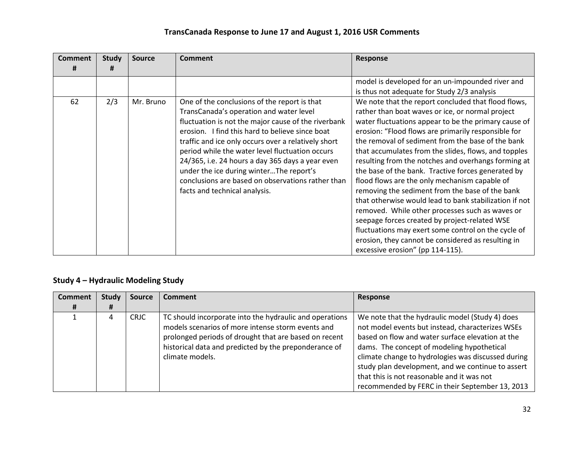| <b>Comment</b><br>Ħ | <b>Study</b><br># | <b>Source</b> | <b>Comment</b>                                                                                                                                                                                                                                                                                                                                                                                                                                                                                   | <b>Response</b>                                                                                                                                                                                                                                                                                                                                                                                                                                                                                                                                                                                                                                                                                                                                                                                                                                                     |
|---------------------|-------------------|---------------|--------------------------------------------------------------------------------------------------------------------------------------------------------------------------------------------------------------------------------------------------------------------------------------------------------------------------------------------------------------------------------------------------------------------------------------------------------------------------------------------------|---------------------------------------------------------------------------------------------------------------------------------------------------------------------------------------------------------------------------------------------------------------------------------------------------------------------------------------------------------------------------------------------------------------------------------------------------------------------------------------------------------------------------------------------------------------------------------------------------------------------------------------------------------------------------------------------------------------------------------------------------------------------------------------------------------------------------------------------------------------------|
|                     |                   |               |                                                                                                                                                                                                                                                                                                                                                                                                                                                                                                  | model is developed for an un-impounded river and<br>is thus not adequate for Study 2/3 analysis                                                                                                                                                                                                                                                                                                                                                                                                                                                                                                                                                                                                                                                                                                                                                                     |
| 62                  | 2/3               | Mr. Bruno     | One of the conclusions of the report is that<br>TransCanada's operation and water level<br>fluctuation is not the major cause of the riverbank<br>erosion. I find this hard to believe since boat<br>traffic and ice only occurs over a relatively short<br>period while the water level fluctuation occurs<br>24/365, i.e. 24 hours a day 365 days a year even<br>under the ice during winterThe report's<br>conclusions are based on observations rather than<br>facts and technical analysis. | We note that the report concluded that flood flows,<br>rather than boat waves or ice, or normal project<br>water fluctuations appear to be the primary cause of<br>erosion: "Flood flows are primarily responsible for<br>the removal of sediment from the base of the bank<br>that accumulates from the slides, flows, and topples<br>resulting from the notches and overhangs forming at<br>the base of the bank. Tractive forces generated by<br>flood flows are the only mechanism capable of<br>removing the sediment from the base of the bank<br>that otherwise would lead to bank stabilization if not<br>removed. While other processes such as waves or<br>seepage forces created by project-related WSE<br>fluctuations may exert some control on the cycle of<br>erosion, they cannot be considered as resulting in<br>excessive erosion" (pp 114-115). |

## **Study 4 – Hydraulic Modeling Study**

| <b>Comment</b> | <b>Study</b> | <b>Source</b> | <b>Comment</b>                                          | Response                                           |
|----------------|--------------|---------------|---------------------------------------------------------|----------------------------------------------------|
| #              | Ħ            |               |                                                         |                                                    |
|                |              | <b>CRJC</b>   | TC should incorporate into the hydraulic and operations | We note that the hydraulic model (Study 4) does    |
|                |              |               | models scenarios of more intense storm events and       | not model events but instead, characterizes WSEs   |
|                |              |               | prolonged periods of drought that are based on recent   | based on flow and water surface elevation at the   |
|                |              |               | historical data and predicted by the preponderance of   | dams. The concept of modeling hypothetical         |
|                |              |               | climate models.                                         | climate change to hydrologies was discussed during |
|                |              |               |                                                         | study plan development, and we continue to assert  |
|                |              |               |                                                         | that this is not reasonable and it was not         |
|                |              |               |                                                         | recommended by FERC in their September 13, 2013    |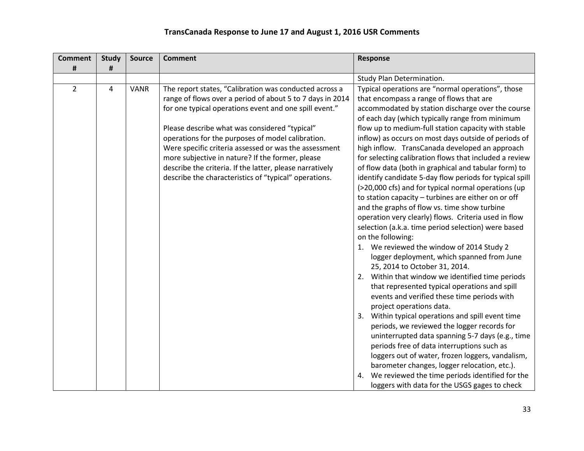| <b>Comment</b> | <b>Study</b>   | <b>Source</b> | <b>Comment</b>                                                                                                                                                                                                                                                                                                                                                                                                                                                                                                        | Response                                                                                                                                                                                                                                                                                                                                                                                                                                                                                                                                                                                                                                                                                                                                                                                                                                                                                                                                                                                                                                                                                                                                                                                                                                                                                                                                                                                                                                                                          |
|----------------|----------------|---------------|-----------------------------------------------------------------------------------------------------------------------------------------------------------------------------------------------------------------------------------------------------------------------------------------------------------------------------------------------------------------------------------------------------------------------------------------------------------------------------------------------------------------------|-----------------------------------------------------------------------------------------------------------------------------------------------------------------------------------------------------------------------------------------------------------------------------------------------------------------------------------------------------------------------------------------------------------------------------------------------------------------------------------------------------------------------------------------------------------------------------------------------------------------------------------------------------------------------------------------------------------------------------------------------------------------------------------------------------------------------------------------------------------------------------------------------------------------------------------------------------------------------------------------------------------------------------------------------------------------------------------------------------------------------------------------------------------------------------------------------------------------------------------------------------------------------------------------------------------------------------------------------------------------------------------------------------------------------------------------------------------------------------------|
| #              | #              |               |                                                                                                                                                                                                                                                                                                                                                                                                                                                                                                                       |                                                                                                                                                                                                                                                                                                                                                                                                                                                                                                                                                                                                                                                                                                                                                                                                                                                                                                                                                                                                                                                                                                                                                                                                                                                                                                                                                                                                                                                                                   |
|                |                |               |                                                                                                                                                                                                                                                                                                                                                                                                                                                                                                                       | Study Plan Determination.                                                                                                                                                                                                                                                                                                                                                                                                                                                                                                                                                                                                                                                                                                                                                                                                                                                                                                                                                                                                                                                                                                                                                                                                                                                                                                                                                                                                                                                         |
| $\overline{2}$ | $\overline{4}$ | VANR          | The report states, "Calibration was conducted across a<br>range of flows over a period of about 5 to 7 days in 2014<br>for one typical operations event and one spill event."<br>Please describe what was considered "typical"<br>operations for the purposes of model calibration.<br>Were specific criteria assessed or was the assessment<br>more subjective in nature? If the former, please<br>describe the criteria. If the latter, please narratively<br>describe the characteristics of "typical" operations. | Typical operations are "normal operations", those<br>that encompass a range of flows that are<br>accommodated by station discharge over the course<br>of each day (which typically range from minimum<br>flow up to medium-full station capacity with stable<br>inflow) as occurs on most days outside of periods of<br>high inflow. TransCanada developed an approach<br>for selecting calibration flows that included a review<br>of flow data (both in graphical and tabular form) to<br>identify candidate 5-day flow periods for typical spill<br>(>20,000 cfs) and for typical normal operations (up<br>to station capacity - turbines are either on or off<br>and the graphs of flow vs. time show turbine<br>operation very clearly) flows. Criteria used in flow<br>selection (a.k.a. time period selection) were based<br>on the following:<br>1. We reviewed the window of 2014 Study 2<br>logger deployment, which spanned from June<br>25, 2014 to October 31, 2014.<br>Within that window we identified time periods<br>2.<br>that represented typical operations and spill<br>events and verified these time periods with<br>project operations data.<br>Within typical operations and spill event time<br>3.<br>periods, we reviewed the logger records for<br>uninterrupted data spanning 5-7 days (e.g., time<br>periods free of data interruptions such as<br>loggers out of water, frozen loggers, vandalism,<br>barometer changes, logger relocation, etc.). |
|                |                |               |                                                                                                                                                                                                                                                                                                                                                                                                                                                                                                                       | We reviewed the time periods identified for the<br>4.<br>loggers with data for the USGS gages to check                                                                                                                                                                                                                                                                                                                                                                                                                                                                                                                                                                                                                                                                                                                                                                                                                                                                                                                                                                                                                                                                                                                                                                                                                                                                                                                                                                            |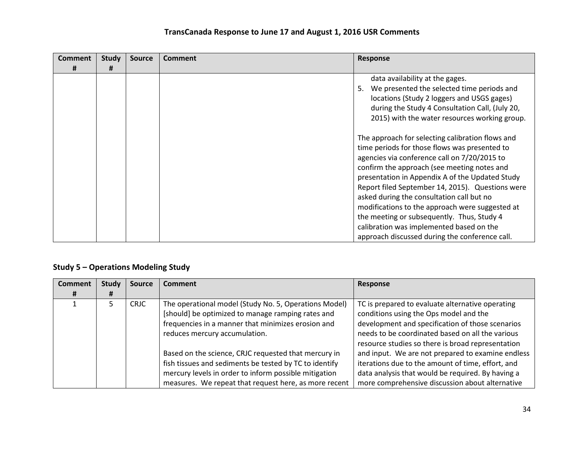| Comment | <b>Study</b> | <b>Source</b> | <b>Comment</b> | Response                                                                                                                                                                                                                                                                                                                                                                                                                                                                                                                                            |
|---------|--------------|---------------|----------------|-----------------------------------------------------------------------------------------------------------------------------------------------------------------------------------------------------------------------------------------------------------------------------------------------------------------------------------------------------------------------------------------------------------------------------------------------------------------------------------------------------------------------------------------------------|
| #       | #            |               |                |                                                                                                                                                                                                                                                                                                                                                                                                                                                                                                                                                     |
|         |              |               |                | data availability at the gages.<br>5. We presented the selected time periods and<br>locations (Study 2 loggers and USGS gages)<br>during the Study 4 Consultation Call, (July 20,<br>2015) with the water resources working group.                                                                                                                                                                                                                                                                                                                  |
|         |              |               |                | The approach for selecting calibration flows and<br>time periods for those flows was presented to<br>agencies via conference call on 7/20/2015 to<br>confirm the approach (see meeting notes and<br>presentation in Appendix A of the Updated Study<br>Report filed September 14, 2015). Questions were<br>asked during the consultation call but no<br>modifications to the approach were suggested at<br>the meeting or subsequently. Thus, Study 4<br>calibration was implemented based on the<br>approach discussed during the conference call. |

## **Study 5 – Operations Modeling Study**

| <b>Comment</b> | <b>Study</b> | <b>Source</b> | <b>Comment</b>                                                                                                                                                                                                                   | Response                                                                                                                                                                                                                                                |
|----------------|--------------|---------------|----------------------------------------------------------------------------------------------------------------------------------------------------------------------------------------------------------------------------------|---------------------------------------------------------------------------------------------------------------------------------------------------------------------------------------------------------------------------------------------------------|
|                | Ħ            |               |                                                                                                                                                                                                                                  |                                                                                                                                                                                                                                                         |
|                |              | <b>CRJC</b>   | The operational model (Study No. 5, Operations Model)<br>[should] be optimized to manage ramping rates and<br>frequencies in a manner that minimizes erosion and<br>reduces mercury accumulation.                                | TC is prepared to evaluate alternative operating<br>conditions using the Ops model and the<br>development and specification of those scenarios<br>needs to be coordinated based on all the various<br>resource studies so there is broad representation |
|                |              |               | Based on the science, CRJC requested that mercury in<br>fish tissues and sediments be tested by TC to identify<br>mercury levels in order to inform possible mitigation<br>measures. We repeat that request here, as more recent | and input. We are not prepared to examine endless<br>iterations due to the amount of time, effort, and<br>data analysis that would be required. By having a<br>more comprehensive discussion about alternative                                          |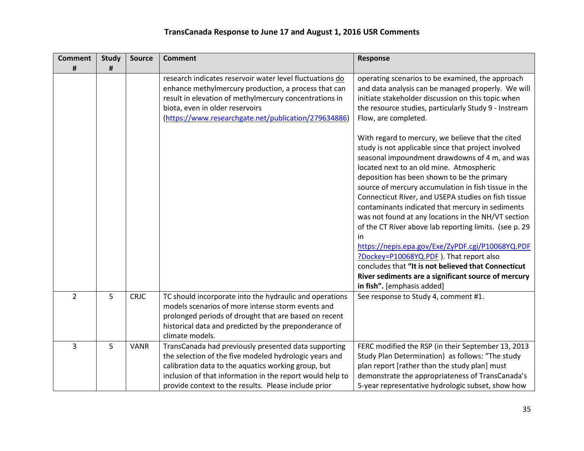| <b>Comment</b> | <b>Study</b> | <b>Source</b> | <b>Comment</b>                                                                                                                                                                                                                                                                             | <b>Response</b>                                                                                                                                                                                                                                                                                                                                                                                                                                                                                                                                                                                                                                                                                                                                                                            |
|----------------|--------------|---------------|--------------------------------------------------------------------------------------------------------------------------------------------------------------------------------------------------------------------------------------------------------------------------------------------|--------------------------------------------------------------------------------------------------------------------------------------------------------------------------------------------------------------------------------------------------------------------------------------------------------------------------------------------------------------------------------------------------------------------------------------------------------------------------------------------------------------------------------------------------------------------------------------------------------------------------------------------------------------------------------------------------------------------------------------------------------------------------------------------|
| #              | #            |               |                                                                                                                                                                                                                                                                                            |                                                                                                                                                                                                                                                                                                                                                                                                                                                                                                                                                                                                                                                                                                                                                                                            |
|                |              |               | research indicates reservoir water level fluctuations do<br>enhance methylmercury production, a process that can<br>result in elevation of methylmercury concentrations in<br>biota, even in older reservoirs<br>(https://www.researchgate.net/publication/279634886)                      | operating scenarios to be examined, the approach<br>and data analysis can be managed properly. We will<br>initiate stakeholder discussion on this topic when<br>the resource studies, particularly Study 9 - Instream<br>Flow, are completed.                                                                                                                                                                                                                                                                                                                                                                                                                                                                                                                                              |
|                |              |               |                                                                                                                                                                                                                                                                                            | With regard to mercury, we believe that the cited<br>study is not applicable since that project involved<br>seasonal impoundment drawdowns of 4 m, and was<br>located next to an old mine. Atmospheric<br>deposition has been shown to be the primary<br>source of mercury accumulation in fish tissue in the<br>Connecticut River, and USEPA studies on fish tissue<br>contaminants indicated that mercury in sediments<br>was not found at any locations in the NH/VT section<br>of the CT River above lab reporting limits. (see p. 29<br>in<br>https://nepis.epa.gov/Exe/ZyPDF.cgi/P10068YQ.PDF<br>?Dockey=P10068YQ.PDF). That report also<br>concludes that "It is not believed that Connecticut<br>River sediments are a significant source of mercury<br>in fish". [emphasis added] |
| $\overline{2}$ | 5            | <b>CRJC</b>   | TC should incorporate into the hydraulic and operations<br>models scenarios of more intense storm events and<br>prolonged periods of drought that are based on recent<br>historical data and predicted by the preponderance of<br>climate models.                                          | See response to Study 4, comment #1.                                                                                                                                                                                                                                                                                                                                                                                                                                                                                                                                                                                                                                                                                                                                                       |
| 3              | 5            | <b>VANR</b>   | TransCanada had previously presented data supporting<br>the selection of the five modeled hydrologic years and<br>calibration data to the aquatics working group, but<br>inclusion of that information in the report would help to<br>provide context to the results. Please include prior | FERC modified the RSP (in their September 13, 2013<br>Study Plan Determination) as follows: "The study<br>plan report [rather than the study plan] must<br>demonstrate the appropriateness of TransCanada's<br>5-year representative hydrologic subset, show how                                                                                                                                                                                                                                                                                                                                                                                                                                                                                                                           |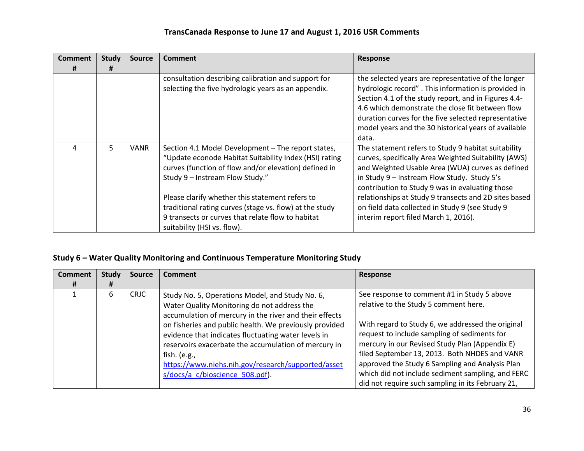| Comment | <b>Study</b> | <b>Source</b> | <b>Comment</b>                                                                                                                                                                                                                                                                                                                                                                                             | <b>Response</b>                                                                                                                                                                                                                                                                                                                                                                                                       |
|---------|--------------|---------------|------------------------------------------------------------------------------------------------------------------------------------------------------------------------------------------------------------------------------------------------------------------------------------------------------------------------------------------------------------------------------------------------------------|-----------------------------------------------------------------------------------------------------------------------------------------------------------------------------------------------------------------------------------------------------------------------------------------------------------------------------------------------------------------------------------------------------------------------|
| #       | Ħ            |               |                                                                                                                                                                                                                                                                                                                                                                                                            |                                                                                                                                                                                                                                                                                                                                                                                                                       |
|         |              |               | consultation describing calibration and support for<br>selecting the five hydrologic years as an appendix.                                                                                                                                                                                                                                                                                                 | the selected years are representative of the longer<br>hydrologic record". This information is provided in<br>Section 4.1 of the study report, and in Figures 4.4-<br>4.6 which demonstrate the close fit between flow<br>duration curves for the five selected representative<br>model years and the 30 historical years of available<br>data.                                                                       |
| 4       | 5.           | <b>VANR</b>   | Section 4.1 Model Development - The report states,<br>"Update econode Habitat Suitability Index (HSI) rating<br>curves (function of flow and/or elevation) defined in<br>Study 9 - Instream Flow Study."<br>Please clarify whether this statement refers to<br>traditional rating curves (stage vs. flow) at the study<br>9 transects or curves that relate flow to habitat<br>suitability (HSI vs. flow). | The statement refers to Study 9 habitat suitability<br>curves, specifically Area Weighted Suitability (AWS)<br>and Weighted Usable Area (WUA) curves as defined<br>in Study 9 - Instream Flow Study. Study 5's<br>contribution to Study 9 was in evaluating those<br>relationships at Study 9 transects and 2D sites based<br>on field data collected in Study 9 (see Study 9<br>interim report filed March 1, 2016). |

## **Study 6 – Water Quality Monitoring and Continuous Temperature Monitoring Study**

| <b>Comment</b> | <b>Study</b> | <b>Source</b> | <b>Comment</b>                                                                                                                                                                                                                                                                                                                                                                                                                             | <b>Response</b>                                                                                                                                                                                                                                                                                                                                                                                                                                           |
|----------------|--------------|---------------|--------------------------------------------------------------------------------------------------------------------------------------------------------------------------------------------------------------------------------------------------------------------------------------------------------------------------------------------------------------------------------------------------------------------------------------------|-----------------------------------------------------------------------------------------------------------------------------------------------------------------------------------------------------------------------------------------------------------------------------------------------------------------------------------------------------------------------------------------------------------------------------------------------------------|
|                | Ħ            |               |                                                                                                                                                                                                                                                                                                                                                                                                                                            |                                                                                                                                                                                                                                                                                                                                                                                                                                                           |
|                | 6            | <b>CRJC</b>   | Study No. 5, Operations Model, and Study No. 6,<br>Water Quality Monitoring do not address the<br>accumulation of mercury in the river and their effects<br>on fisheries and public health. We previously provided<br>evidence that indicates fluctuating water levels in<br>reservoirs exacerbate the accumulation of mercury in<br>fish. (e.g.,<br>https://www.niehs.nih.gov/research/supported/asset<br>s/docs/a c/bioscience 508.pdf). | See response to comment #1 in Study 5 above<br>relative to the Study 5 comment here.<br>With regard to Study 6, we addressed the original<br>request to include sampling of sediments for<br>mercury in our Revised Study Plan (Appendix E)<br>filed September 13, 2013. Both NHDES and VANR<br>approved the Study 6 Sampling and Analysis Plan<br>which did not include sediment sampling, and FERC<br>did not require such sampling in its February 21, |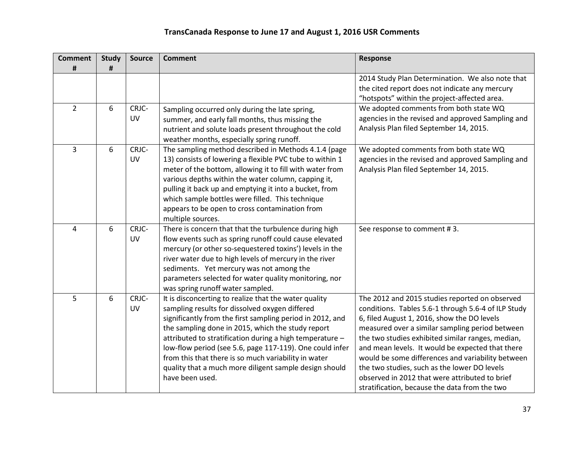| <b>Comment</b> | <b>Study</b> | <b>Source</b> | <b>Comment</b>                                                                                                    | <b>Response</b>                                     |
|----------------|--------------|---------------|-------------------------------------------------------------------------------------------------------------------|-----------------------------------------------------|
| #              | #            |               |                                                                                                                   |                                                     |
|                |              |               |                                                                                                                   | 2014 Study Plan Determination. We also note that    |
|                |              |               |                                                                                                                   | the cited report does not indicate any mercury      |
|                |              |               |                                                                                                                   | "hotspots" within the project-affected area.        |
| $\overline{2}$ | 6            | CRJC-         | Sampling occurred only during the late spring,                                                                    | We adopted comments from both state WQ              |
|                |              | <b>UV</b>     | summer, and early fall months, thus missing the                                                                   | agencies in the revised and approved Sampling and   |
|                |              |               | nutrient and solute loads present throughout the cold                                                             | Analysis Plan filed September 14, 2015.             |
|                |              |               | weather months, especially spring runoff.                                                                         |                                                     |
| 3              | 6            | CRJC-         | The sampling method described in Methods 4.1.4 (page                                                              | We adopted comments from both state WQ              |
|                |              | <b>UV</b>     | 13) consists of lowering a flexible PVC tube to within 1                                                          | agencies in the revised and approved Sampling and   |
|                |              |               | meter of the bottom, allowing it to fill with water from                                                          | Analysis Plan filed September 14, 2015.             |
|                |              |               | various depths within the water column, capping it,                                                               |                                                     |
|                |              |               | pulling it back up and emptying it into a bucket, from                                                            |                                                     |
|                |              |               | which sample bottles were filled. This technique                                                                  |                                                     |
|                |              |               | appears to be open to cross contamination from                                                                    |                                                     |
|                |              |               | multiple sources.                                                                                                 |                                                     |
| 4              | 6            | CRJC-         | There is concern that that the turbulence during high                                                             | See response to comment #3.                         |
|                |              | UV            | flow events such as spring runoff could cause elevated                                                            |                                                     |
|                |              |               | mercury (or other so-sequestered toxins') levels in the<br>river water due to high levels of mercury in the river |                                                     |
|                |              |               | sediments. Yet mercury was not among the                                                                          |                                                     |
|                |              |               | parameters selected for water quality monitoring, nor                                                             |                                                     |
|                |              |               | was spring runoff water sampled.                                                                                  |                                                     |
| 5              | 6            | CRJC-         | It is disconcerting to realize that the water quality                                                             | The 2012 and 2015 studies reported on observed      |
|                |              | <b>UV</b>     | sampling results for dissolved oxygen differed                                                                    | conditions. Tables 5.6-1 through 5.6-4 of ILP Study |
|                |              |               | significantly from the first sampling period in 2012, and                                                         | 6, filed August 1, 2016, show the DO levels         |
|                |              |               | the sampling done in 2015, which the study report                                                                 | measured over a similar sampling period between     |
|                |              |               | attributed to stratification during a high temperature -                                                          | the two studies exhibited similar ranges, median,   |
|                |              |               | low-flow period (see 5.6, page 117-119). One could infer                                                          | and mean levels. It would be expected that there    |
|                |              |               | from this that there is so much variability in water                                                              | would be some differences and variability between   |
|                |              |               | quality that a much more diligent sample design should                                                            | the two studies, such as the lower DO levels        |
|                |              |               | have been used.                                                                                                   | observed in 2012 that were attributed to brief      |
|                |              |               |                                                                                                                   | stratification, because the data from the two       |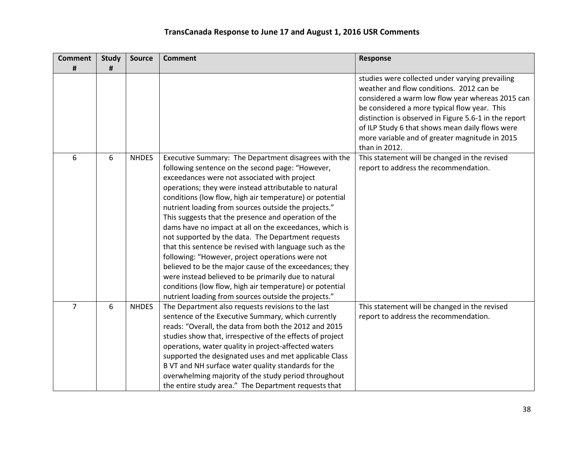| <b>Comment</b> | <b>Study</b> | <b>Source</b> | <b>Comment</b>                                                                                                   | <b>Response</b>                                                                             |
|----------------|--------------|---------------|------------------------------------------------------------------------------------------------------------------|---------------------------------------------------------------------------------------------|
| #              | #            |               |                                                                                                                  |                                                                                             |
|                |              |               |                                                                                                                  | studies were collected under varying prevailing<br>weather and flow conditions. 2012 can be |
|                |              |               |                                                                                                                  | considered a warm low flow year whereas 2015 can                                            |
|                |              |               |                                                                                                                  | be considered a more typical flow year. This                                                |
|                |              |               |                                                                                                                  | distinction is observed in Figure 5.6-1 in the report                                       |
|                |              |               |                                                                                                                  | of ILP Study 6 that shows mean daily flows were                                             |
|                |              |               |                                                                                                                  | more variable and of greater magnitude in 2015                                              |
|                |              |               |                                                                                                                  | than in 2012.                                                                               |
| 6              | 6            | <b>NHDES</b>  | Executive Summary: The Department disagrees with the                                                             | This statement will be changed in the revised                                               |
|                |              |               | following sentence on the second page: "However,                                                                 | report to address the recommendation.                                                       |
|                |              |               | exceedances were not associated with project                                                                     |                                                                                             |
|                |              |               | operations; they were instead attributable to natural                                                            |                                                                                             |
|                |              |               | conditions (low flow, high air temperature) or potential                                                         |                                                                                             |
|                |              |               | nutrient loading from sources outside the projects."                                                             |                                                                                             |
|                |              |               | This suggests that the presence and operation of the                                                             |                                                                                             |
|                |              |               | dams have no impact at all on the exceedances, which is                                                          |                                                                                             |
|                |              |               | not supported by the data. The Department requests                                                               |                                                                                             |
|                |              |               | that this sentence be revised with language such as the                                                          |                                                                                             |
|                |              |               | following: "However, project operations were not                                                                 |                                                                                             |
|                |              |               | believed to be the major cause of the exceedances; they                                                          |                                                                                             |
|                |              |               | were instead believed to be primarily due to natural                                                             |                                                                                             |
|                |              |               | conditions (low flow, high air temperature) or potential<br>nutrient loading from sources outside the projects." |                                                                                             |
| 7              | 6            | <b>NHDES</b>  | The Department also requests revisions to the last                                                               | This statement will be changed in the revised                                               |
|                |              |               | sentence of the Executive Summary, which currently                                                               | report to address the recommendation.                                                       |
|                |              |               | reads: "Overall, the data from both the 2012 and 2015                                                            |                                                                                             |
|                |              |               | studies show that, irrespective of the effects of project                                                        |                                                                                             |
|                |              |               | operations, water quality in project-affected waters                                                             |                                                                                             |
|                |              |               | supported the designated uses and met applicable Class                                                           |                                                                                             |
|                |              |               | B VT and NH surface water quality standards for the                                                              |                                                                                             |
|                |              |               | overwhelming majority of the study period throughout                                                             |                                                                                             |
|                |              |               | the entire study area." The Department requests that                                                             |                                                                                             |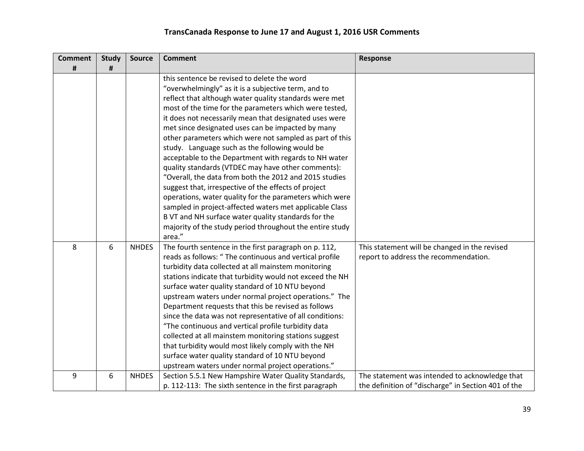| <b>Comment</b> | <b>Study</b> | <b>Source</b> | <b>Comment</b>                                                                                                | <b>Response</b>                                     |
|----------------|--------------|---------------|---------------------------------------------------------------------------------------------------------------|-----------------------------------------------------|
| #              | #            |               | this sentence be revised to delete the word                                                                   |                                                     |
|                |              |               |                                                                                                               |                                                     |
|                |              |               | "overwhelmingly" as it is a subjective term, and to<br>reflect that although water quality standards were met |                                                     |
|                |              |               |                                                                                                               |                                                     |
|                |              |               | most of the time for the parameters which were tested,                                                        |                                                     |
|                |              |               | it does not necessarily mean that designated uses were<br>met since designated uses can be impacted by many   |                                                     |
|                |              |               |                                                                                                               |                                                     |
|                |              |               | other parameters which were not sampled as part of this<br>study. Language such as the following would be     |                                                     |
|                |              |               | acceptable to the Department with regards to NH water                                                         |                                                     |
|                |              |               | quality standards (VTDEC may have other comments):                                                            |                                                     |
|                |              |               | "Overall, the data from both the 2012 and 2015 studies                                                        |                                                     |
|                |              |               | suggest that, irrespective of the effects of project                                                          |                                                     |
|                |              |               | operations, water quality for the parameters which were                                                       |                                                     |
|                |              |               | sampled in project-affected waters met applicable Class                                                       |                                                     |
|                |              |               | B VT and NH surface water quality standards for the                                                           |                                                     |
|                |              |               | majority of the study period throughout the entire study                                                      |                                                     |
|                |              |               | area."                                                                                                        |                                                     |
| 8              | 6            | <b>NHDES</b>  | The fourth sentence in the first paragraph on p. 112,                                                         | This statement will be changed in the revised       |
|                |              |               | reads as follows: " The continuous and vertical profile                                                       | report to address the recommendation.               |
|                |              |               | turbidity data collected at all mainstem monitoring                                                           |                                                     |
|                |              |               | stations indicate that turbidity would not exceed the NH                                                      |                                                     |
|                |              |               | surface water quality standard of 10 NTU beyond                                                               |                                                     |
|                |              |               | upstream waters under normal project operations." The                                                         |                                                     |
|                |              |               | Department requests that this be revised as follows                                                           |                                                     |
|                |              |               | since the data was not representative of all conditions:                                                      |                                                     |
|                |              |               | "The continuous and vertical profile turbidity data                                                           |                                                     |
|                |              |               | collected at all mainstem monitoring stations suggest                                                         |                                                     |
|                |              |               | that turbidity would most likely comply with the NH                                                           |                                                     |
|                |              |               | surface water quality standard of 10 NTU beyond                                                               |                                                     |
|                |              |               | upstream waters under normal project operations."                                                             |                                                     |
| 9              | 6            | <b>NHDES</b>  | Section 5.5.1 New Hampshire Water Quality Standards,                                                          | The statement was intended to acknowledge that      |
|                |              |               | p. 112-113: The sixth sentence in the first paragraph                                                         | the definition of "discharge" in Section 401 of the |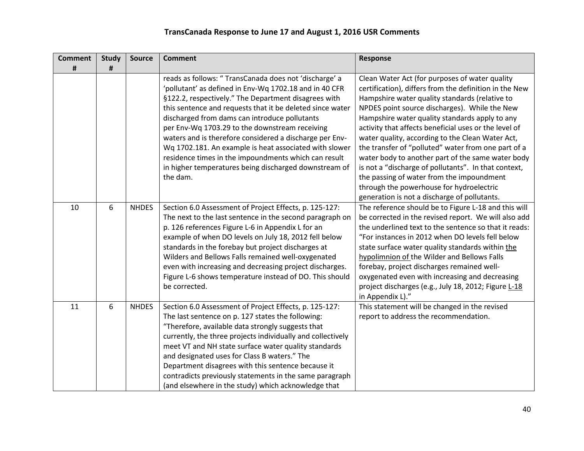| <b>Comment</b> | <b>Study</b> | <b>Source</b> | <b>Comment</b>                                                                                                                                                                                                                                                                                                                                                                                                                                                                                                                                                                             | Response                                                                                                                                                                                                                                                                                                                                                                                                                                                                                                                                                                                                                                                                                |
|----------------|--------------|---------------|--------------------------------------------------------------------------------------------------------------------------------------------------------------------------------------------------------------------------------------------------------------------------------------------------------------------------------------------------------------------------------------------------------------------------------------------------------------------------------------------------------------------------------------------------------------------------------------------|-----------------------------------------------------------------------------------------------------------------------------------------------------------------------------------------------------------------------------------------------------------------------------------------------------------------------------------------------------------------------------------------------------------------------------------------------------------------------------------------------------------------------------------------------------------------------------------------------------------------------------------------------------------------------------------------|
| #              | #            |               |                                                                                                                                                                                                                                                                                                                                                                                                                                                                                                                                                                                            |                                                                                                                                                                                                                                                                                                                                                                                                                                                                                                                                                                                                                                                                                         |
|                |              |               | reads as follows: " TransCanada does not 'discharge' a<br>'pollutant' as defined in Env-Wq 1702.18 and in 40 CFR<br>§122.2, respectively." The Department disagrees with<br>this sentence and requests that it be deleted since water<br>discharged from dams can introduce pollutants<br>per Env-Wq 1703.29 to the downstream receiving<br>waters and is therefore considered a discharge per Env-<br>Wq 1702.181. An example is heat associated with slower<br>residence times in the impoundments which can result<br>in higher temperatures being discharged downstream of<br>the dam. | Clean Water Act (for purposes of water quality<br>certification), differs from the definition in the New<br>Hampshire water quality standards (relative to<br>NPDES point source discharges). While the New<br>Hampshire water quality standards apply to any<br>activity that affects beneficial uses or the level of<br>water quality, according to the Clean Water Act,<br>the transfer of "polluted" water from one part of a<br>water body to another part of the same water body<br>is not a "discharge of pollutants". In that context,<br>the passing of water from the impoundment<br>through the powerhouse for hydroelectric<br>generation is not a discharge of pollutants. |
| 10             | 6            | <b>NHDES</b>  | Section 6.0 Assessment of Project Effects, p. 125-127:<br>The next to the last sentence in the second paragraph on<br>p. 126 references Figure L-6 in Appendix L for an<br>example of when DO levels on July 18, 2012 fell below<br>standards in the forebay but project discharges at<br>Wilders and Bellows Falls remained well-oxygenated<br>even with increasing and decreasing project discharges.<br>Figure L-6 shows temperature instead of DO. This should<br>be corrected.                                                                                                        | The reference should be to Figure L-18 and this will<br>be corrected in the revised report. We will also add<br>the underlined text to the sentence so that it reads:<br>"For instances in 2012 when DO levels fell below<br>state surface water quality standards within the<br>hypolimnion of the Wilder and Bellows Falls<br>forebay, project discharges remained well-<br>oxygenated even with increasing and decreasing<br>project discharges (e.g., July 18, 2012; Figure L-18<br>in Appendix L)."                                                                                                                                                                                |
| 11             | 6            | <b>NHDES</b>  | Section 6.0 Assessment of Project Effects, p. 125-127:<br>The last sentence on p. 127 states the following:<br>"Therefore, available data strongly suggests that<br>currently, the three projects individually and collectively<br>meet VT and NH state surface water quality standards<br>and designated uses for Class B waters." The<br>Department disagrees with this sentence because it<br>contradicts previously statements in the same paragraph<br>(and elsewhere in the study) which acknowledge that                                                                            | This statement will be changed in the revised<br>report to address the recommendation.                                                                                                                                                                                                                                                                                                                                                                                                                                                                                                                                                                                                  |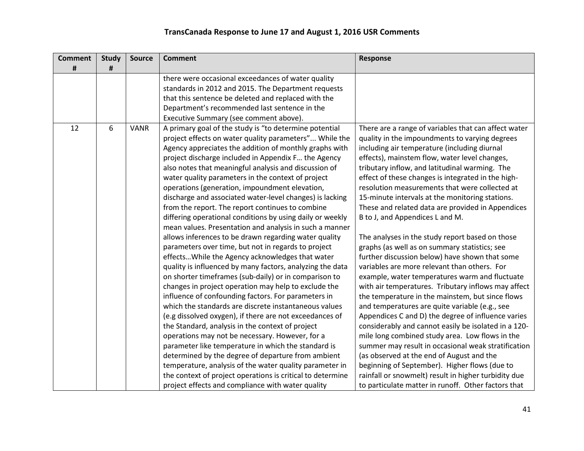| <b>Comment</b> | <b>Study</b> | Source      | <b>Comment</b>                                             | Response                                             |
|----------------|--------------|-------------|------------------------------------------------------------|------------------------------------------------------|
| #              | #            |             |                                                            |                                                      |
|                |              |             | there were occasional exceedances of water quality         |                                                      |
|                |              |             | standards in 2012 and 2015. The Department requests        |                                                      |
|                |              |             | that this sentence be deleted and replaced with the        |                                                      |
|                |              |             | Department's recommended last sentence in the              |                                                      |
|                |              |             | Executive Summary (see comment above).                     |                                                      |
| 12             | 6            | <b>VANR</b> | A primary goal of the study is "to determine potential     | There are a range of variables that can affect water |
|                |              |             | project effects on water quality parameters" While the     | quality in the impoundments to varying degrees       |
|                |              |             | Agency appreciates the addition of monthly graphs with     | including air temperature (including diurnal         |
|                |              |             | project discharge included in Appendix F the Agency        | effects), mainstem flow, water level changes,        |
|                |              |             | also notes that meaningful analysis and discussion of      | tributary inflow, and latitudinal warming. The       |
|                |              |             | water quality parameters in the context of project         | effect of these changes is integrated in the high-   |
|                |              |             | operations (generation, impoundment elevation,             | resolution measurements that were collected at       |
|                |              |             | discharge and associated water-level changes) is lacking   | 15-minute intervals at the monitoring stations.      |
|                |              |             | from the report. The report continues to combine           | These and related data are provided in Appendices    |
|                |              |             | differing operational conditions by using daily or weekly  | B to J, and Appendices L and M.                      |
|                |              |             | mean values. Presentation and analysis in such a manner    |                                                      |
|                |              |             | allows inferences to be drawn regarding water quality      | The analyses in the study report based on those      |
|                |              |             | parameters over time, but not in regards to project        | graphs (as well as on summary statistics; see        |
|                |              |             | effects While the Agency acknowledges that water           | further discussion below) have shown that some       |
|                |              |             | quality is influenced by many factors, analyzing the data  | variables are more relevant than others. For         |
|                |              |             | on shorter timeframes (sub-daily) or in comparison to      | example, water temperatures warm and fluctuate       |
|                |              |             | changes in project operation may help to exclude the       | with air temperatures. Tributary inflows may affect  |
|                |              |             | influence of confounding factors. For parameters in        | the temperature in the mainstem, but since flows     |
|                |              |             | which the standards are discrete instantaneous values      | and temperatures are quite variable (e.g., see       |
|                |              |             | (e.g dissolved oxygen), if there are not exceedances of    | Appendices C and D) the degree of influence varies   |
|                |              |             | the Standard, analysis in the context of project           | considerably and cannot easily be isolated in a 120- |
|                |              |             | operations may not be necessary. However, for a            | mile long combined study area. Low flows in the      |
|                |              |             | parameter like temperature in which the standard is        | summer may result in occasional weak stratification  |
|                |              |             | determined by the degree of departure from ambient         | (as observed at the end of August and the            |
|                |              |             | temperature, analysis of the water quality parameter in    | beginning of September). Higher flows (due to        |
|                |              |             | the context of project operations is critical to determine | rainfall or snowmelt) result in higher turbidity due |
|                |              |             | project effects and compliance with water quality          | to particulate matter in runoff. Other factors that  |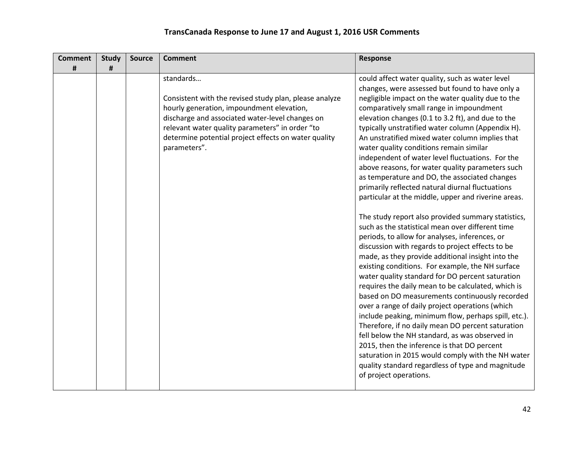| <b>Comment</b> | <b>Study</b> | <b>Source</b> | <b>Comment</b>                                                                                                                                                                                                                                                                                 | <b>Response</b>                                                                                                                                                                                                                                                                                                                                                                                                                                                                                                                                                                                                                                                                                                                                                                                                                                                                                                                                                                                                                                                                                                                                                                                                                                                                                                                                                                                                                                                                                                                                                           |
|----------------|--------------|---------------|------------------------------------------------------------------------------------------------------------------------------------------------------------------------------------------------------------------------------------------------------------------------------------------------|---------------------------------------------------------------------------------------------------------------------------------------------------------------------------------------------------------------------------------------------------------------------------------------------------------------------------------------------------------------------------------------------------------------------------------------------------------------------------------------------------------------------------------------------------------------------------------------------------------------------------------------------------------------------------------------------------------------------------------------------------------------------------------------------------------------------------------------------------------------------------------------------------------------------------------------------------------------------------------------------------------------------------------------------------------------------------------------------------------------------------------------------------------------------------------------------------------------------------------------------------------------------------------------------------------------------------------------------------------------------------------------------------------------------------------------------------------------------------------------------------------------------------------------------------------------------------|
| #              | #            |               |                                                                                                                                                                                                                                                                                                |                                                                                                                                                                                                                                                                                                                                                                                                                                                                                                                                                                                                                                                                                                                                                                                                                                                                                                                                                                                                                                                                                                                                                                                                                                                                                                                                                                                                                                                                                                                                                                           |
|                |              |               | standards<br>Consistent with the revised study plan, please analyze<br>hourly generation, impoundment elevation,<br>discharge and associated water-level changes on<br>relevant water quality parameters" in order "to<br>determine potential project effects on water quality<br>parameters". | could affect water quality, such as water level<br>changes, were assessed but found to have only a<br>negligible impact on the water quality due to the<br>comparatively small range in impoundment<br>elevation changes (0.1 to 3.2 ft), and due to the<br>typically unstratified water column (Appendix H).<br>An unstratified mixed water column implies that<br>water quality conditions remain similar<br>independent of water level fluctuations. For the<br>above reasons, for water quality parameters such<br>as temperature and DO, the associated changes<br>primarily reflected natural diurnal fluctuations<br>particular at the middle, upper and riverine areas.<br>The study report also provided summary statistics,<br>such as the statistical mean over different time<br>periods, to allow for analyses, inferences, or<br>discussion with regards to project effects to be<br>made, as they provide additional insight into the<br>existing conditions. For example, the NH surface<br>water quality standard for DO percent saturation<br>requires the daily mean to be calculated, which is<br>based on DO measurements continuously recorded<br>over a range of daily project operations (which<br>include peaking, minimum flow, perhaps spill, etc.).<br>Therefore, if no daily mean DO percent saturation<br>fell below the NH standard, as was observed in<br>2015, then the inference is that DO percent<br>saturation in 2015 would comply with the NH water<br>quality standard regardless of type and magnitude<br>of project operations. |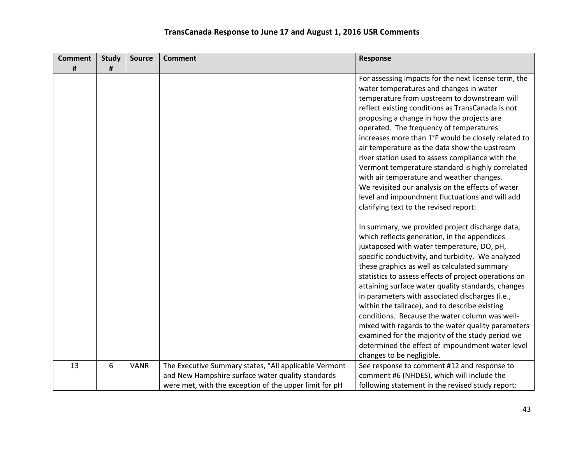| <b>Comment</b> | <b>Study</b> | Source      | <b>Comment</b>                                         | <b>Response</b>                                                                                                                                                                                                                                                                                                                                                                                                                                                                                                                                                                                                                                                                                                     |
|----------------|--------------|-------------|--------------------------------------------------------|---------------------------------------------------------------------------------------------------------------------------------------------------------------------------------------------------------------------------------------------------------------------------------------------------------------------------------------------------------------------------------------------------------------------------------------------------------------------------------------------------------------------------------------------------------------------------------------------------------------------------------------------------------------------------------------------------------------------|
| #              | #            |             |                                                        |                                                                                                                                                                                                                                                                                                                                                                                                                                                                                                                                                                                                                                                                                                                     |
|                |              |             |                                                        | For assessing impacts for the next license term, the<br>water temperatures and changes in water<br>temperature from upstream to downstream will<br>reflect existing conditions as TransCanada is not<br>proposing a change in how the projects are<br>operated. The frequency of temperatures<br>increases more than 1°F would be closely related to<br>air temperature as the data show the upstream<br>river station used to assess compliance with the<br>Vermont temperature standard is highly correlated<br>with air temperature and weather changes.<br>We revisited our analysis on the effects of water<br>level and impoundment fluctuations and will add<br>clarifying text to the revised report:       |
|                |              |             |                                                        | In summary, we provided project discharge data,<br>which reflects generation, in the appendices<br>juxtaposed with water temperature, DO, pH,<br>specific conductivity, and turbidity. We analyzed<br>these graphics as well as calculated summary<br>statistics to assess effects of project operations on<br>attaining surface water quality standards, changes<br>in parameters with associated discharges (i.e.,<br>within the tailrace), and to describe existing<br>conditions. Because the water column was well-<br>mixed with regards to the water quality parameters<br>examined for the majority of the study period we<br>determined the effect of impoundment water level<br>changes to be negligible. |
| 13             | 6            | <b>VANR</b> | The Executive Summary states, "All applicable Vermont  | See response to comment #12 and response to                                                                                                                                                                                                                                                                                                                                                                                                                                                                                                                                                                                                                                                                         |
|                |              |             | and New Hampshire surface water quality standards      | comment #6 (NHDES), which will include the                                                                                                                                                                                                                                                                                                                                                                                                                                                                                                                                                                                                                                                                          |
|                |              |             | were met, with the exception of the upper limit for pH | following statement in the revised study report:                                                                                                                                                                                                                                                                                                                                                                                                                                                                                                                                                                                                                                                                    |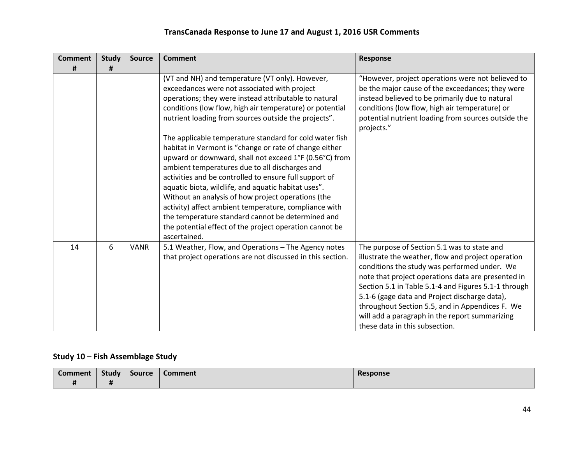| <b>Comment</b> | <b>Study</b> | <b>Source</b> | <b>Comment</b>                                                                                                                                                                                                                                                                                                                                                                                                                                                                                                                                                                                | <b>Response</b>                                                                                                                                                                                                                                                                                                                                                                                                                                         |
|----------------|--------------|---------------|-----------------------------------------------------------------------------------------------------------------------------------------------------------------------------------------------------------------------------------------------------------------------------------------------------------------------------------------------------------------------------------------------------------------------------------------------------------------------------------------------------------------------------------------------------------------------------------------------|---------------------------------------------------------------------------------------------------------------------------------------------------------------------------------------------------------------------------------------------------------------------------------------------------------------------------------------------------------------------------------------------------------------------------------------------------------|
| #              | #            |               |                                                                                                                                                                                                                                                                                                                                                                                                                                                                                                                                                                                               |                                                                                                                                                                                                                                                                                                                                                                                                                                                         |
|                |              |               | (VT and NH) and temperature (VT only). However,<br>exceedances were not associated with project<br>operations; they were instead attributable to natural<br>conditions (low flow, high air temperature) or potential<br>nutrient loading from sources outside the projects".                                                                                                                                                                                                                                                                                                                  | "However, project operations were not believed to<br>be the major cause of the exceedances; they were<br>instead believed to be primarily due to natural<br>conditions (low flow, high air temperature) or<br>potential nutrient loading from sources outside the<br>projects."                                                                                                                                                                         |
|                |              |               | The applicable temperature standard for cold water fish<br>habitat in Vermont is "change or rate of change either<br>upward or downward, shall not exceed 1°F (0.56°C) from<br>ambient temperatures due to all discharges and<br>activities and be controlled to ensure full support of<br>aquatic biota, wildlife, and aquatic habitat uses".<br>Without an analysis of how project operations (the<br>activity) affect ambient temperature, compliance with<br>the temperature standard cannot be determined and<br>the potential effect of the project operation cannot be<br>ascertained. |                                                                                                                                                                                                                                                                                                                                                                                                                                                         |
| 14             | 6            | <b>VANR</b>   | 5.1 Weather, Flow, and Operations - The Agency notes<br>that project operations are not discussed in this section.                                                                                                                                                                                                                                                                                                                                                                                                                                                                            | The purpose of Section 5.1 was to state and<br>illustrate the weather, flow and project operation<br>conditions the study was performed under. We<br>note that project operations data are presented in<br>Section 5.1 in Table 5.1-4 and Figures 5.1-1 through<br>5.1-6 (gage data and Project discharge data),<br>throughout Section 5.5, and in Appendices F. We<br>will add a paragraph in the report summarizing<br>these data in this subsection. |

## **Study 10 – Fish Assemblage Study**

| <b>Comment</b> | Study          | <b>Source</b> | <b>Comment</b> | Response |
|----------------|----------------|---------------|----------------|----------|
|                | $\bullet$<br>. |               |                |          |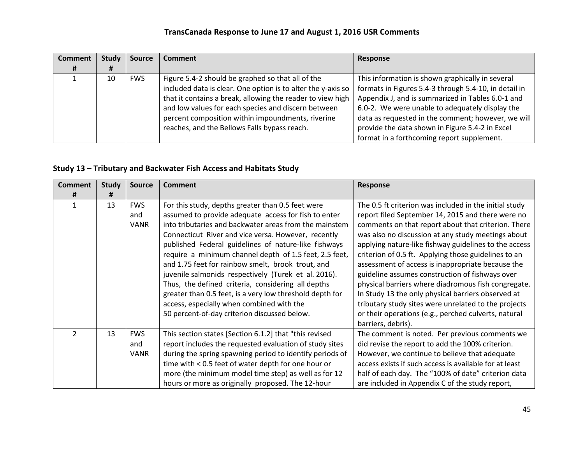| <b>Comment</b> | Study | <b>Source</b> | <b>Comment</b>                                               | Response                                              |
|----------------|-------|---------------|--------------------------------------------------------------|-------------------------------------------------------|
| #              | Ħ     |               |                                                              |                                                       |
|                | 10    | <b>FWS</b>    | Figure 5.4-2 should be graphed so that all of the            | This information is shown graphically in several      |
|                |       |               | included data is clear. One option is to alter the y-axis so | formats in Figures 5.4-3 through 5.4-10, in detail in |
|                |       |               | that it contains a break, allowing the reader to view high   | Appendix J, and is summarized in Tables 6.0-1 and     |
|                |       |               | and low values for each species and discern between          | 6.0-2. We were unable to adequately display the       |
|                |       |               | percent composition within impoundments, riverine            | data as requested in the comment; however, we will    |
|                |       |               | reaches, and the Bellows Falls bypass reach.                 | provide the data shown in Figure 5.4-2 in Excel       |
|                |       |               |                                                              | format in a forthcoming report supplement.            |

### **Study 13 – Tributary and Backwater Fish Access and Habitats Study**

| <b>Comment</b> | <b>Study</b> | <b>Source</b> | <b>Comment</b>                                           | <b>Response</b>                                        |
|----------------|--------------|---------------|----------------------------------------------------------|--------------------------------------------------------|
| #              | #            |               |                                                          |                                                        |
|                | 13           | <b>FWS</b>    | For this study, depths greater than 0.5 feet were        | The 0.5 ft criterion was included in the initial study |
|                |              | and           | assumed to provide adequate access for fish to enter     | report filed September 14, 2015 and there were no      |
|                |              | <b>VANR</b>   | into tributaries and backwater areas from the mainstem   | comments on that report about that criterion. There    |
|                |              |               | Connecticut River and vice versa. However, recently      | was also no discussion at any study meetings about     |
|                |              |               | published Federal guidelines of nature-like fishways     | applying nature-like fishway guidelines to the access  |
|                |              |               | require a minimum channel depth of 1.5 feet, 2.5 feet,   | criterion of 0.5 ft. Applying those guidelines to an   |
|                |              |               | and 1.75 feet for rainbow smelt, brook trout, and        | assessment of access is inappropriate because the      |
|                |              |               | juvenile salmonids respectively (Turek et al. 2016).     | guideline assumes construction of fishways over        |
|                |              |               | Thus, the defined criteria, considering all depths       | physical barriers where diadromous fish congregate.    |
|                |              |               | greater than 0.5 feet, is a very low threshold depth for | In Study 13 the only physical barriers observed at     |
|                |              |               | access, especially when combined with the                | tributary study sites were unrelated to the projects   |
|                |              |               | 50 percent-of-day criterion discussed below.             | or their operations (e.g., perched culverts, natural   |
|                |              |               |                                                          | barriers, debris).                                     |
| $\overline{2}$ | 13           | <b>FWS</b>    | This section states [Section 6.1.2] that "this revised   | The comment is noted. Per previous comments we         |
|                |              | and           | report includes the requested evaluation of study sites  | did revise the report to add the 100% criterion.       |
|                |              | VANR          | during the spring spawning period to identify periods of | However, we continue to believe that adequate          |
|                |              |               | time with < 0.5 feet of water depth for one hour or      | access exists if such access is available for at least |
|                |              |               | more (the minimum model time step) as well as for 12     | half of each day. The "100% of date" criterion data    |
|                |              |               | hours or more as originally proposed. The 12-hour        | are included in Appendix C of the study report,        |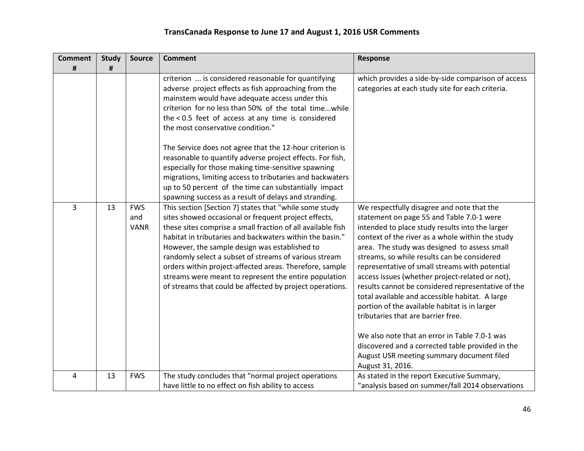| <b>Comment</b> | <b>Study</b> | <b>Source</b>                    | <b>Comment</b>                                                                                                                                                                                                                                                                                                                                                                                                                                                                                                                      | <b>Response</b>                                                                                                                                                                                                                                                                                                                                                                                                                                                                                                                                                                                                                                                                                                                                                          |
|----------------|--------------|----------------------------------|-------------------------------------------------------------------------------------------------------------------------------------------------------------------------------------------------------------------------------------------------------------------------------------------------------------------------------------------------------------------------------------------------------------------------------------------------------------------------------------------------------------------------------------|--------------------------------------------------------------------------------------------------------------------------------------------------------------------------------------------------------------------------------------------------------------------------------------------------------------------------------------------------------------------------------------------------------------------------------------------------------------------------------------------------------------------------------------------------------------------------------------------------------------------------------------------------------------------------------------------------------------------------------------------------------------------------|
| #              | #            |                                  |                                                                                                                                                                                                                                                                                                                                                                                                                                                                                                                                     |                                                                                                                                                                                                                                                                                                                                                                                                                                                                                                                                                                                                                                                                                                                                                                          |
|                |              |                                  | criterion  is considered reasonable for quantifying<br>adverse project effects as fish approaching from the<br>mainstem would have adequate access under this<br>criterion for no less than 50% of the total timewhile<br>the < 0.5 feet of access at any time is considered<br>the most conservative condition."                                                                                                                                                                                                                   | which provides a side-by-side comparison of access<br>categories at each study site for each criteria.                                                                                                                                                                                                                                                                                                                                                                                                                                                                                                                                                                                                                                                                   |
|                |              |                                  | The Service does not agree that the 12-hour criterion is<br>reasonable to quantify adverse project effects. For fish,<br>especially for those making time-sensitive spawning<br>migrations, limiting access to tributaries and backwaters<br>up to 50 percent of the time can substantially impact<br>spawning success as a result of delays and stranding.                                                                                                                                                                         |                                                                                                                                                                                                                                                                                                                                                                                                                                                                                                                                                                                                                                                                                                                                                                          |
| 3              | 13           | <b>FWS</b><br>and<br><b>VANR</b> | This section [Section 7] states that "while some study<br>sites showed occasional or frequent project effects,<br>these sites comprise a small fraction of all available fish<br>habitat in tributaries and backwaters within the basin."<br>However, the sample design was established to<br>randomly select a subset of streams of various stream<br>orders within project-affected areas. Therefore, sample<br>streams were meant to represent the entire population<br>of streams that could be affected by project operations. | We respectfully disagree and note that the<br>statement on page 55 and Table 7.0-1 were<br>intended to place study results into the larger<br>context of the river as a whole within the study<br>area. The study was designed to assess small<br>streams, so while results can be considered<br>representative of small streams with potential<br>access issues (whether project-related or not),<br>results cannot be considered representative of the<br>total available and accessible habitat. A large<br>portion of the available habitat is in larger<br>tributaries that are barrier free.<br>We also note that an error in Table 7.0-1 was<br>discovered and a corrected table provided in the<br>August USR meeting summary document filed<br>August 31, 2016. |
| 4              | 13           | <b>FWS</b>                       | The study concludes that "normal project operations<br>have little to no effect on fish ability to access                                                                                                                                                                                                                                                                                                                                                                                                                           | As stated in the report Executive Summary,<br>"analysis based on summer/fall 2014 observations                                                                                                                                                                                                                                                                                                                                                                                                                                                                                                                                                                                                                                                                           |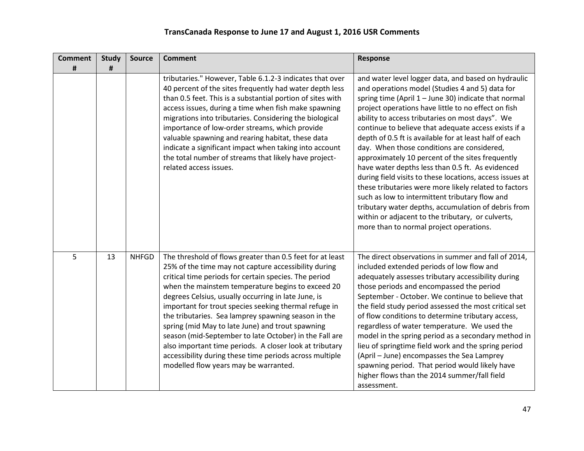| <b>Comment</b> | <b>Study</b> | Source       | <b>Comment</b>                                                                                                                                                                                                                                                                                                                                                                                                                                                                                                                                                                                                                                                                      | <b>Response</b>                                                                                                                                                                                                                                                                                                                                                                                                                                                                                                                                                                                                                                                                                                                                                                                                                                                                  |
|----------------|--------------|--------------|-------------------------------------------------------------------------------------------------------------------------------------------------------------------------------------------------------------------------------------------------------------------------------------------------------------------------------------------------------------------------------------------------------------------------------------------------------------------------------------------------------------------------------------------------------------------------------------------------------------------------------------------------------------------------------------|----------------------------------------------------------------------------------------------------------------------------------------------------------------------------------------------------------------------------------------------------------------------------------------------------------------------------------------------------------------------------------------------------------------------------------------------------------------------------------------------------------------------------------------------------------------------------------------------------------------------------------------------------------------------------------------------------------------------------------------------------------------------------------------------------------------------------------------------------------------------------------|
| #              | #            |              | tributaries." However, Table 6.1.2-3 indicates that over<br>40 percent of the sites frequently had water depth less<br>than 0.5 feet. This is a substantial portion of sites with<br>access issues, during a time when fish make spawning<br>migrations into tributaries. Considering the biological<br>importance of low-order streams, which provide<br>valuable spawning and rearing habitat, these data<br>indicate a significant impact when taking into account<br>the total number of streams that likely have project-<br>related access issues.                                                                                                                            | and water level logger data, and based on hydraulic<br>and operations model (Studies 4 and 5) data for<br>spring time (April $1 -$ June 30) indicate that normal<br>project operations have little to no effect on fish<br>ability to access tributaries on most days". We<br>continue to believe that adequate access exists if a<br>depth of 0.5 ft is available for at least half of each<br>day. When those conditions are considered,<br>approximately 10 percent of the sites frequently<br>have water depths less than 0.5 ft. As evidenced<br>during field visits to these locations, access issues at<br>these tributaries were more likely related to factors<br>such as low to intermittent tributary flow and<br>tributary water depths, accumulation of debris from<br>within or adjacent to the tributary, or culverts,<br>more than to normal project operations. |
| 5              | 13           | <b>NHFGD</b> | The threshold of flows greater than 0.5 feet for at least<br>25% of the time may not capture accessibility during<br>critical time periods for certain species. The period<br>when the mainstem temperature begins to exceed 20<br>degrees Celsius, usually occurring in late June, is<br>important for trout species seeking thermal refuge in<br>the tributaries. Sea lamprey spawning season in the<br>spring (mid May to late June) and trout spawning<br>season (mid-September to late October) in the Fall are<br>also important time periods. A closer look at tributary<br>accessibility during these time periods across multiple<br>modelled flow years may be warranted. | The direct observations in summer and fall of 2014,<br>included extended periods of low flow and<br>adequately assesses tributary accessibility during<br>those periods and encompassed the period<br>September - October. We continue to believe that<br>the field study period assessed the most critical set<br>of flow conditions to determine tributary access,<br>regardless of water temperature. We used the<br>model in the spring period as a secondary method in<br>lieu of springtime field work and the spring period<br>(April - June) encompasses the Sea Lamprey<br>spawning period. That period would likely have<br>higher flows than the 2014 summer/fall field<br>assessment.                                                                                                                                                                                |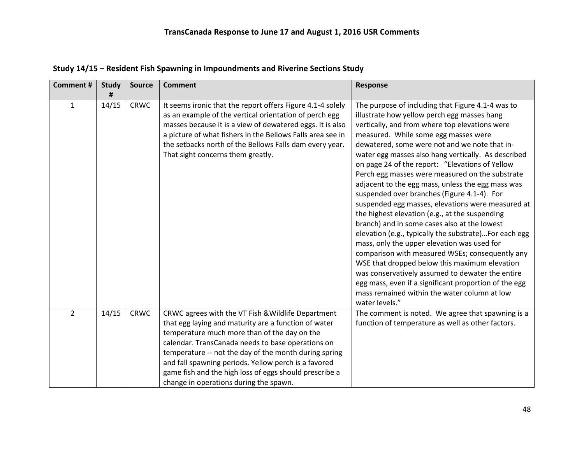| <b>Comment#</b> | <b>Study</b> | <b>Source</b> | <b>Comment</b>                                                                                                                                                                                                                                                                                                                                                                                                                       | Response                                                                                                                                                                                                                                                                                                                                                                                                                                                                                                                                                                                                                                                                                                                                                                                                                                                                                                                                                                                                                                                       |
|-----------------|--------------|---------------|--------------------------------------------------------------------------------------------------------------------------------------------------------------------------------------------------------------------------------------------------------------------------------------------------------------------------------------------------------------------------------------------------------------------------------------|----------------------------------------------------------------------------------------------------------------------------------------------------------------------------------------------------------------------------------------------------------------------------------------------------------------------------------------------------------------------------------------------------------------------------------------------------------------------------------------------------------------------------------------------------------------------------------------------------------------------------------------------------------------------------------------------------------------------------------------------------------------------------------------------------------------------------------------------------------------------------------------------------------------------------------------------------------------------------------------------------------------------------------------------------------------|
| $\mathbf{1}$    | 14/15        | <b>CRWC</b>   | It seems ironic that the report offers Figure 4.1-4 solely<br>as an example of the vertical orientation of perch egg<br>masses because it is a view of dewatered eggs. It is also<br>a picture of what fishers in the Bellows Falls area see in<br>the setbacks north of the Bellows Falls dam every year.<br>That sight concerns them greatly.                                                                                      | The purpose of including that Figure 4.1-4 was to<br>illustrate how yellow perch egg masses hang<br>vertically, and from where top elevations were<br>measured. While some egg masses were<br>dewatered, some were not and we note that in-<br>water egg masses also hang vertically. As described<br>on page 24 of the report: "Elevations of Yellow<br>Perch egg masses were measured on the substrate<br>adjacent to the egg mass, unless the egg mass was<br>suspended over branches (Figure 4.1-4). For<br>suspended egg masses, elevations were measured at<br>the highest elevation (e.g., at the suspending<br>branch) and in some cases also at the lowest<br>elevation (e.g., typically the substrate)For each egg<br>mass, only the upper elevation was used for<br>comparison with measured WSEs; consequently any<br>WSE that dropped below this maximum elevation<br>was conservatively assumed to dewater the entire<br>egg mass, even if a significant proportion of the egg<br>mass remained within the water column at low<br>water levels." |
| $\overline{2}$  | 14/15        | <b>CRWC</b>   | CRWC agrees with the VT Fish & Wildlife Department<br>that egg laying and maturity are a function of water<br>temperature much more than of the day on the<br>calendar. TransCanada needs to base operations on<br>temperature -- not the day of the month during spring<br>and fall spawning periods. Yellow perch is a favored<br>game fish and the high loss of eggs should prescribe a<br>change in operations during the spawn. | The comment is noted. We agree that spawning is a<br>function of temperature as well as other factors.                                                                                                                                                                                                                                                                                                                                                                                                                                                                                                                                                                                                                                                                                                                                                                                                                                                                                                                                                         |

**Study 14/15 – Resident Fish Spawning in Impoundments and Riverine Sections Study**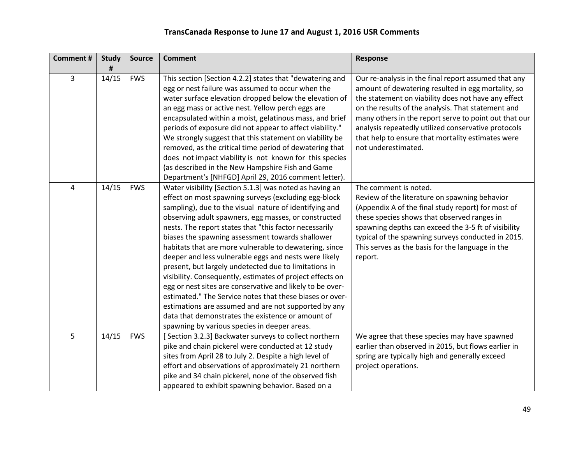| <b>Comment#</b> | <b>Study</b><br># | <b>Source</b> | <b>Comment</b>                                                                                                                                                                                                                                                                                                                                                                                                                                                                                                                                                                                                                                                                                                                                                                                                                                                                 | Response                                                                                                                                                                                                                                                                                                                                                                                                            |
|-----------------|-------------------|---------------|--------------------------------------------------------------------------------------------------------------------------------------------------------------------------------------------------------------------------------------------------------------------------------------------------------------------------------------------------------------------------------------------------------------------------------------------------------------------------------------------------------------------------------------------------------------------------------------------------------------------------------------------------------------------------------------------------------------------------------------------------------------------------------------------------------------------------------------------------------------------------------|---------------------------------------------------------------------------------------------------------------------------------------------------------------------------------------------------------------------------------------------------------------------------------------------------------------------------------------------------------------------------------------------------------------------|
| 3               | 14/15             | <b>FWS</b>    | This section [Section 4.2.2] states that "dewatering and<br>egg or nest failure was assumed to occur when the<br>water surface elevation dropped below the elevation of<br>an egg mass or active nest. Yellow perch eggs are<br>encapsulated within a moist, gelatinous mass, and brief<br>periods of exposure did not appear to affect viability."<br>We strongly suggest that this statement on viability be<br>removed, as the critical time period of dewatering that<br>does not impact viability is not known for this species<br>(as described in the New Hampshire Fish and Game<br>Department's [NHFGD] April 29, 2016 comment letter).                                                                                                                                                                                                                               | Our re-analysis in the final report assumed that any<br>amount of dewatering resulted in egg mortality, so<br>the statement on viability does not have any effect<br>on the results of the analysis. That statement and<br>many others in the report serve to point out that our<br>analysis repeatedly utilized conservative protocols<br>that help to ensure that mortality estimates were<br>not underestimated. |
| 4               | 14/15             | <b>FWS</b>    | Water visibility [Section 5.1.3] was noted as having an<br>effect on most spawning surveys (excluding egg-block<br>sampling), due to the visual nature of identifying and<br>observing adult spawners, egg masses, or constructed<br>nests. The report states that "this factor necessarily<br>biases the spawning assessment towards shallower<br>habitats that are more vulnerable to dewatering, since<br>deeper and less vulnerable eggs and nests were likely<br>present, but largely undetected due to limitations in<br>visibility. Consequently, estimates of project effects on<br>egg or nest sites are conservative and likely to be over-<br>estimated." The Service notes that these biases or over-<br>estimations are assumed and are not supported by any<br>data that demonstrates the existence or amount of<br>spawning by various species in deeper areas. | The comment is noted.<br>Review of the literature on spawning behavior<br>(Appendix A of the final study report) for most of<br>these species shows that observed ranges in<br>spawning depths can exceed the 3-5 ft of visibility<br>typical of the spawning surveys conducted in 2015.<br>This serves as the basis for the language in the<br>report.                                                             |
| 5               | 14/15             | <b>FWS</b>    | [Section 3.2.3] Backwater surveys to collect northern<br>pike and chain pickerel were conducted at 12 study<br>sites from April 28 to July 2. Despite a high level of<br>effort and observations of approximately 21 northern<br>pike and 34 chain pickerel, none of the observed fish<br>appeared to exhibit spawning behavior. Based on a                                                                                                                                                                                                                                                                                                                                                                                                                                                                                                                                    | We agree that these species may have spawned<br>earlier than observed in 2015, but flows earlier in<br>spring are typically high and generally exceed<br>project operations.                                                                                                                                                                                                                                        |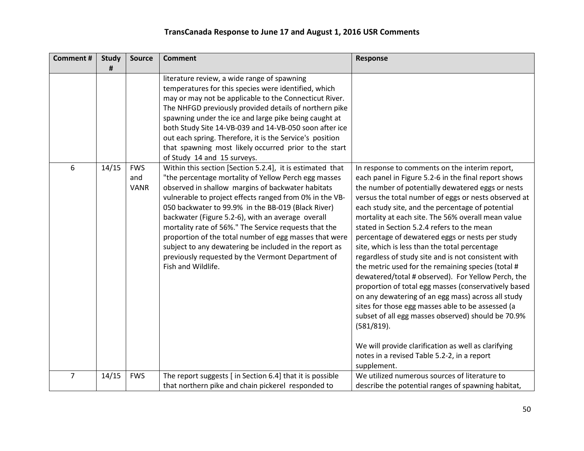| <b>Comment#</b> | <b>Study</b><br># | <b>Source</b>                    | <b>Comment</b>                                                                                                                                                                                                                                                                                                                                                                                                                                                                                                                                                                                       | <b>Response</b>                                                                                                                                                                                                                                                                                                                                                                                                                                                                                                                                                                                                                                                                                                                                                                                                                                                                                                                                                                                                |
|-----------------|-------------------|----------------------------------|------------------------------------------------------------------------------------------------------------------------------------------------------------------------------------------------------------------------------------------------------------------------------------------------------------------------------------------------------------------------------------------------------------------------------------------------------------------------------------------------------------------------------------------------------------------------------------------------------|----------------------------------------------------------------------------------------------------------------------------------------------------------------------------------------------------------------------------------------------------------------------------------------------------------------------------------------------------------------------------------------------------------------------------------------------------------------------------------------------------------------------------------------------------------------------------------------------------------------------------------------------------------------------------------------------------------------------------------------------------------------------------------------------------------------------------------------------------------------------------------------------------------------------------------------------------------------------------------------------------------------|
|                 |                   |                                  | literature review, a wide range of spawning<br>temperatures for this species were identified, which<br>may or may not be applicable to the Connecticut River.<br>The NHFGD previously provided details of northern pike<br>spawning under the ice and large pike being caught at<br>both Study Site 14-VB-039 and 14-VB-050 soon after ice<br>out each spring. Therefore, it is the Service's position<br>that spawning most likely occurred prior to the start<br>of Study 14 and 15 surveys.                                                                                                       |                                                                                                                                                                                                                                                                                                                                                                                                                                                                                                                                                                                                                                                                                                                                                                                                                                                                                                                                                                                                                |
| 6               | 14/15             | <b>FWS</b><br>and<br><b>VANR</b> | Within this section [Section 5.2.4], it is estimated that<br>"the percentage mortality of Yellow Perch egg masses<br>observed in shallow margins of backwater habitats<br>vulnerable to project effects ranged from 0% in the VB-<br>050 backwater to 99.9% in the BB-019 (Black River)<br>backwater (Figure 5.2-6), with an average overall<br>mortality rate of 56%." The Service requests that the<br>proportion of the total number of egg masses that were<br>subject to any dewatering be included in the report as<br>previously requested by the Vermont Department of<br>Fish and Wildlife. | In response to comments on the interim report,<br>each panel in Figure 5.2-6 in the final report shows<br>the number of potentially dewatered eggs or nests<br>versus the total number of eggs or nests observed at<br>each study site, and the percentage of potential<br>mortality at each site. The 56% overall mean value<br>stated in Section 5.2.4 refers to the mean<br>percentage of dewatered eggs or nests per study<br>site, which is less than the total percentage<br>regardless of study site and is not consistent with<br>the metric used for the remaining species (total #<br>dewatered/total # observed). For Yellow Perch, the<br>proportion of total egg masses (conservatively based<br>on any dewatering of an egg mass) across all study<br>sites for those egg masses able to be assessed (a<br>subset of all egg masses observed) should be 70.9%<br>(581/819).<br>We will provide clarification as well as clarifying<br>notes in a revised Table 5.2-2, in a report<br>supplement. |
| $\overline{7}$  | 14/15             | <b>FWS</b>                       | The report suggests [ in Section 6.4] that it is possible<br>that northern pike and chain pickerel responded to                                                                                                                                                                                                                                                                                                                                                                                                                                                                                      | We utilized numerous sources of literature to<br>describe the potential ranges of spawning habitat,                                                                                                                                                                                                                                                                                                                                                                                                                                                                                                                                                                                                                                                                                                                                                                                                                                                                                                            |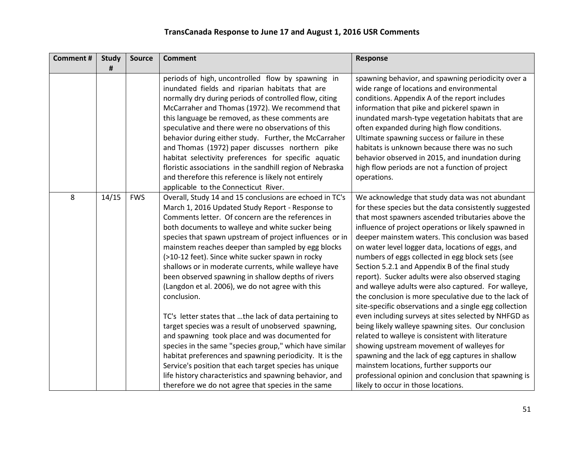| <b>Comment#</b> | <b>Study</b> | <b>Source</b> | <b>Comment</b>                                            | Response                                               |
|-----------------|--------------|---------------|-----------------------------------------------------------|--------------------------------------------------------|
|                 | #            |               |                                                           |                                                        |
|                 |              |               | periods of high, uncontrolled flow by spawning in         | spawning behavior, and spawning periodicity over a     |
|                 |              |               | inundated fields and riparian habitats that are           | wide range of locations and environmental              |
|                 |              |               | normally dry during periods of controlled flow, citing    | conditions. Appendix A of the report includes          |
|                 |              |               | McCarraher and Thomas (1972). We recommend that           | information that pike and pickerel spawn in            |
|                 |              |               | this language be removed, as these comments are           | inundated marsh-type vegetation habitats that are      |
|                 |              |               | speculative and there were no observations of this        | often expanded during high flow conditions.            |
|                 |              |               | behavior during either study. Further, the McCarraher     | Ultimate spawning success or failure in these          |
|                 |              |               | and Thomas (1972) paper discusses northern pike           | habitats is unknown because there was no such          |
|                 |              |               | habitat selectivity preferences for specific aquatic      | behavior observed in 2015, and inundation during       |
|                 |              |               | floristic associations in the sandhill region of Nebraska | high flow periods are not a function of project        |
|                 |              |               | and therefore this reference is likely not entirely       | operations.                                            |
|                 |              |               | applicable to the Connecticut River.                      |                                                        |
| 8               | 14/15        | <b>FWS</b>    | Overall, Study 14 and 15 conclusions are echoed in TC's   | We acknowledge that study data was not abundant        |
|                 |              |               | March 1, 2016 Updated Study Report - Response to          | for these species but the data consistently suggested  |
|                 |              |               | Comments letter. Of concern are the references in         | that most spawners ascended tributaries above the      |
|                 |              |               | both documents to walleye and white sucker being          | influence of project operations or likely spawned in   |
|                 |              |               | species that spawn upstream of project influences or in   | deeper mainstem waters. This conclusion was based      |
|                 |              |               | mainstem reaches deeper than sampled by egg blocks        | on water level logger data, locations of eggs, and     |
|                 |              |               | (>10-12 feet). Since white sucker spawn in rocky          | numbers of eggs collected in egg block sets (see       |
|                 |              |               | shallows or in moderate currents, while walleye have      | Section 5.2.1 and Appendix B of the final study        |
|                 |              |               | been observed spawning in shallow depths of rivers        | report). Sucker adults were also observed staging      |
|                 |              |               | (Langdon et al. 2006), we do not agree with this          | and walleye adults were also captured. For walleye,    |
|                 |              |               | conclusion.                                               | the conclusion is more speculative due to the lack of  |
|                 |              |               |                                                           | site-specific observations and a single egg collection |
|                 |              |               | TC's letter states that the lack of data pertaining to    | even including surveys at sites selected by NHFGD as   |
|                 |              |               | target species was a result of unobserved spawning,       | being likely walleye spawning sites. Our conclusion    |
|                 |              |               | and spawning took place and was documented for            | related to walleye is consistent with literature       |
|                 |              |               | species in the same "species group," which have similar   | showing upstream movement of walleyes for              |
|                 |              |               | habitat preferences and spawning periodicity. It is the   | spawning and the lack of egg captures in shallow       |
|                 |              |               | Service's position that each target species has unique    | mainstem locations, further supports our               |
|                 |              |               | life history characteristics and spawning behavior, and   | professional opinion and conclusion that spawning is   |
|                 |              |               | therefore we do not agree that species in the same        | likely to occur in those locations.                    |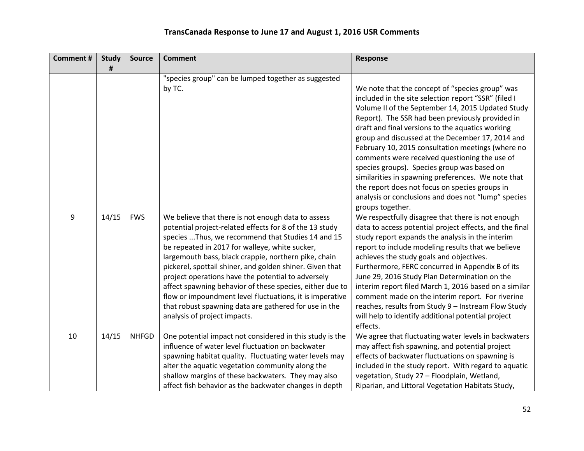| <b>Comment#</b> | <b>Study</b><br># | <b>Source</b> | <b>Comment</b>                                                                                                                                                                                                                                                                                                                                                                                                                                                                                                                                                                                                   | Response                                                                                                                                                                                                                                                                                                                                                                                                                                                                                                                                                                                                                                     |
|-----------------|-------------------|---------------|------------------------------------------------------------------------------------------------------------------------------------------------------------------------------------------------------------------------------------------------------------------------------------------------------------------------------------------------------------------------------------------------------------------------------------------------------------------------------------------------------------------------------------------------------------------------------------------------------------------|----------------------------------------------------------------------------------------------------------------------------------------------------------------------------------------------------------------------------------------------------------------------------------------------------------------------------------------------------------------------------------------------------------------------------------------------------------------------------------------------------------------------------------------------------------------------------------------------------------------------------------------------|
|                 |                   |               | "species group" can be lumped together as suggested                                                                                                                                                                                                                                                                                                                                                                                                                                                                                                                                                              |                                                                                                                                                                                                                                                                                                                                                                                                                                                                                                                                                                                                                                              |
|                 |                   |               | by TC.                                                                                                                                                                                                                                                                                                                                                                                                                                                                                                                                                                                                           | We note that the concept of "species group" was<br>included in the site selection report "SSR" (filed I<br>Volume II of the September 14, 2015 Updated Study<br>Report). The SSR had been previously provided in<br>draft and final versions to the aquatics working<br>group and discussed at the December 17, 2014 and<br>February 10, 2015 consultation meetings (where no<br>comments were received questioning the use of<br>species groups). Species group was based on<br>similarities in spawning preferences. We note that<br>the report does not focus on species groups in<br>analysis or conclusions and does not "lump" species |
|                 |                   |               |                                                                                                                                                                                                                                                                                                                                                                                                                                                                                                                                                                                                                  | groups together.                                                                                                                                                                                                                                                                                                                                                                                                                                                                                                                                                                                                                             |
| 9               | 14/15             | <b>FWS</b>    | We believe that there is not enough data to assess<br>potential project-related effects for 8 of the 13 study<br>species  Thus, we recommend that Studies 14 and 15<br>be repeated in 2017 for walleye, white sucker,<br>largemouth bass, black crappie, northern pike, chain<br>pickerel, spottail shiner, and golden shiner. Given that<br>project operations have the potential to adversely<br>affect spawning behavior of these species, either due to<br>flow or impoundment level fluctuations, it is imperative<br>that robust spawning data are gathered for use in the<br>analysis of project impacts. | We respectfully disagree that there is not enough<br>data to access potential project effects, and the final<br>study report expands the analysis in the interim<br>report to include modeling results that we believe<br>achieves the study goals and objectives.<br>Furthermore, FERC concurred in Appendix B of its<br>June 29, 2016 Study Plan Determination on the<br>interim report filed March 1, 2016 based on a similar<br>comment made on the interim report. For riverine<br>reaches, results from Study 9 - Instream Flow Study<br>will help to identify additional potential project<br>effects.                                |
| 10              | 14/15             | <b>NHFGD</b>  | One potential impact not considered in this study is the<br>influence of water level fluctuation on backwater<br>spawning habitat quality. Fluctuating water levels may<br>alter the aquatic vegetation community along the<br>shallow margins of these backwaters. They may also<br>affect fish behavior as the backwater changes in depth                                                                                                                                                                                                                                                                      | We agree that fluctuating water levels in backwaters<br>may affect fish spawning, and potential project<br>effects of backwater fluctuations on spawning is<br>included in the study report. With regard to aquatic<br>vegetation, Study 27 - Floodplain, Wetland,<br>Riparian, and Littoral Vegetation Habitats Study,                                                                                                                                                                                                                                                                                                                      |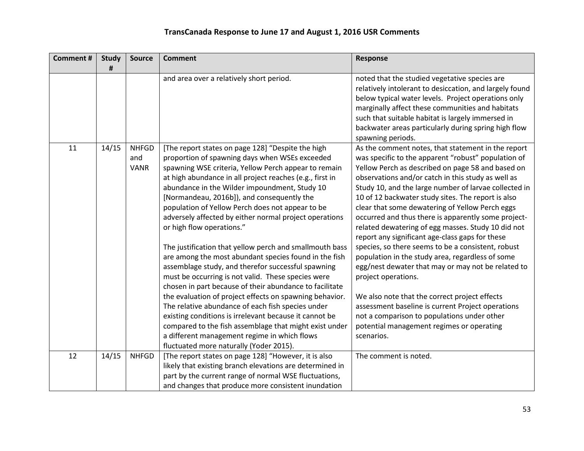| <b>Comment#</b> | <b>Study</b><br># | <b>Source</b>                      | <b>Comment</b>                                                                                                                                                                                                                                                                                                                                                                                                                                                                                                                                                                                                                                                                                                                                                                                                                                                                                                                                                                                                                                   | Response                                                                                                                                                                                                                                                                                                                                                                                                                                                                                                                                                                                                                                                                                                                                                                                                                                                                                                                                                      |
|-----------------|-------------------|------------------------------------|--------------------------------------------------------------------------------------------------------------------------------------------------------------------------------------------------------------------------------------------------------------------------------------------------------------------------------------------------------------------------------------------------------------------------------------------------------------------------------------------------------------------------------------------------------------------------------------------------------------------------------------------------------------------------------------------------------------------------------------------------------------------------------------------------------------------------------------------------------------------------------------------------------------------------------------------------------------------------------------------------------------------------------------------------|---------------------------------------------------------------------------------------------------------------------------------------------------------------------------------------------------------------------------------------------------------------------------------------------------------------------------------------------------------------------------------------------------------------------------------------------------------------------------------------------------------------------------------------------------------------------------------------------------------------------------------------------------------------------------------------------------------------------------------------------------------------------------------------------------------------------------------------------------------------------------------------------------------------------------------------------------------------|
|                 |                   |                                    | and area over a relatively short period.                                                                                                                                                                                                                                                                                                                                                                                                                                                                                                                                                                                                                                                                                                                                                                                                                                                                                                                                                                                                         | noted that the studied vegetative species are<br>relatively intolerant to desiccation, and largely found<br>below typical water levels. Project operations only<br>marginally affect these communities and habitats<br>such that suitable habitat is largely immersed in<br>backwater areas particularly during spring high flow<br>spawning periods.                                                                                                                                                                                                                                                                                                                                                                                                                                                                                                                                                                                                         |
| 11              | 14/15             | <b>NHFGD</b><br>and<br><b>VANR</b> | [The report states on page 128] "Despite the high<br>proportion of spawning days when WSEs exceeded<br>spawning WSE criteria, Yellow Perch appear to remain<br>at high abundance in all project reaches (e.g., first in<br>abundance in the Wilder impoundment, Study 10<br>[Normandeau, 2016b]), and consequently the<br>population of Yellow Perch does not appear to be<br>adversely affected by either normal project operations<br>or high flow operations."<br>The justification that yellow perch and smallmouth bass<br>are among the most abundant species found in the fish<br>assemblage study, and therefor successful spawning<br>must be occurring is not valid. These species were<br>chosen in part because of their abundance to facilitate<br>the evaluation of project effects on spawning behavior.<br>The relative abundance of each fish species under<br>existing conditions is irrelevant because it cannot be<br>compared to the fish assemblage that might exist under<br>a different management regime in which flows | As the comment notes, that statement in the report<br>was specific to the apparent "robust" population of<br>Yellow Perch as described on page 58 and based on<br>observations and/or catch in this study as well as<br>Study 10, and the large number of larvae collected in<br>10 of 12 backwater study sites. The report is also<br>clear that some dewatering of Yellow Perch eggs<br>occurred and thus there is apparently some project-<br>related dewatering of egg masses. Study 10 did not<br>report any significant age-class gaps for these<br>species, so there seems to be a consistent, robust<br>population in the study area, regardless of some<br>egg/nest dewater that may or may not be related to<br>project operations.<br>We also note that the correct project effects<br>assessment baseline is current Project operations<br>not a comparison to populations under other<br>potential management regimes or operating<br>scenarios. |
|                 |                   |                                    | fluctuated more naturally (Yoder 2015).                                                                                                                                                                                                                                                                                                                                                                                                                                                                                                                                                                                                                                                                                                                                                                                                                                                                                                                                                                                                          |                                                                                                                                                                                                                                                                                                                                                                                                                                                                                                                                                                                                                                                                                                                                                                                                                                                                                                                                                               |
| 12              | 14/15             | <b>NHFGD</b>                       | [The report states on page 128] "However, it is also<br>likely that existing branch elevations are determined in<br>part by the current range of normal WSE fluctuations,<br>and changes that produce more consistent inundation                                                                                                                                                                                                                                                                                                                                                                                                                                                                                                                                                                                                                                                                                                                                                                                                                 | The comment is noted.                                                                                                                                                                                                                                                                                                                                                                                                                                                                                                                                                                                                                                                                                                                                                                                                                                                                                                                                         |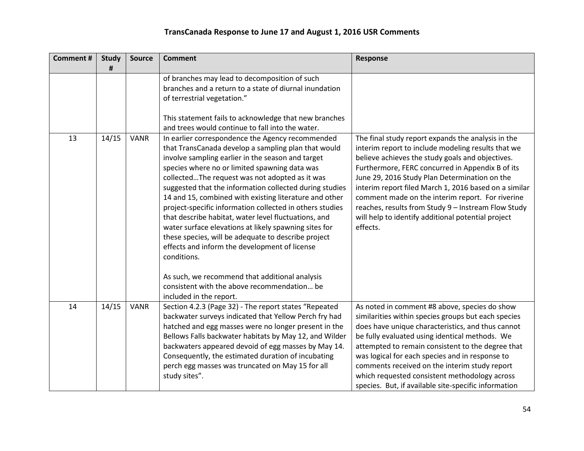| <b>Comment#</b> | <b>Study</b><br># | <b>Source</b> | <b>Comment</b>                                                                                                                                                                                                                                                                                                                                                                                                                                                                                                                                                                                                                                                                                                                                                                            | Response                                                                                                                                                                                                                                                                                                                                                                                                                                                                                                |
|-----------------|-------------------|---------------|-------------------------------------------------------------------------------------------------------------------------------------------------------------------------------------------------------------------------------------------------------------------------------------------------------------------------------------------------------------------------------------------------------------------------------------------------------------------------------------------------------------------------------------------------------------------------------------------------------------------------------------------------------------------------------------------------------------------------------------------------------------------------------------------|---------------------------------------------------------------------------------------------------------------------------------------------------------------------------------------------------------------------------------------------------------------------------------------------------------------------------------------------------------------------------------------------------------------------------------------------------------------------------------------------------------|
|                 |                   |               | of branches may lead to decomposition of such<br>branches and a return to a state of diurnal inundation<br>of terrestrial vegetation."<br>This statement fails to acknowledge that new branches<br>and trees would continue to fall into the water.                                                                                                                                                                                                                                                                                                                                                                                                                                                                                                                                       |                                                                                                                                                                                                                                                                                                                                                                                                                                                                                                         |
| 13              | 14/15             | <b>VANR</b>   | In earlier correspondence the Agency recommended<br>that TransCanada develop a sampling plan that would<br>involve sampling earlier in the season and target<br>species where no or limited spawning data was<br>collectedThe request was not adopted as it was<br>suggested that the information collected during studies<br>14 and 15, combined with existing literature and other<br>project-specific information collected in others studies<br>that describe habitat, water level fluctuations, and<br>water surface elevations at likely spawning sites for<br>these species, will be adequate to describe project<br>effects and inform the development of license<br>conditions.<br>As such, we recommend that additional analysis<br>consistent with the above recommendation be | The final study report expands the analysis in the<br>interim report to include modeling results that we<br>believe achieves the study goals and objectives.<br>Furthermore, FERC concurred in Appendix B of its<br>June 29, 2016 Study Plan Determination on the<br>interim report filed March 1, 2016 based on a similar<br>comment made on the interim report. For riverine<br>reaches, results from Study 9 - Instream Flow Study<br>will help to identify additional potential project<br>effects. |
|                 |                   |               | included in the report.                                                                                                                                                                                                                                                                                                                                                                                                                                                                                                                                                                                                                                                                                                                                                                   |                                                                                                                                                                                                                                                                                                                                                                                                                                                                                                         |
| 14              | 14/15             | <b>VANR</b>   | Section 4.2.3 (Page 32) - The report states "Repeated<br>backwater surveys indicated that Yellow Perch fry had<br>hatched and egg masses were no longer present in the<br>Bellows Falls backwater habitats by May 12, and Wilder<br>backwaters appeared devoid of egg masses by May 14.<br>Consequently, the estimated duration of incubating<br>perch egg masses was truncated on May 15 for all<br>study sites".                                                                                                                                                                                                                                                                                                                                                                        | As noted in comment #8 above, species do show<br>similarities within species groups but each species<br>does have unique characteristics, and thus cannot<br>be fully evaluated using identical methods. We<br>attempted to remain consistent to the degree that<br>was logical for each species and in response to<br>comments received on the interim study report<br>which requested consistent methodology across<br>species. But, if available site-specific information                           |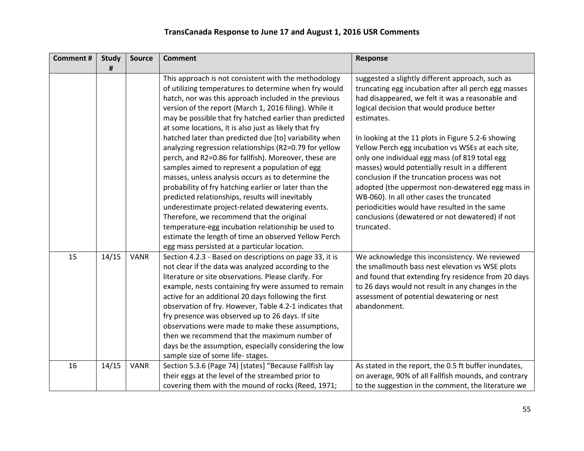| <b>Comment#</b> | <b>Study</b> | <b>Source</b> | <b>Comment</b>                                                                                                                                                                                                                                                                                                                                                                                                                                                                                                                                                                                                                                                                                                                                                                                                                                                                                                                                                                                                        | <b>Response</b>                                                                                                                                                                                                                                                                                                                                                                                                                                                                                                                                                                                                                                                                                             |
|-----------------|--------------|---------------|-----------------------------------------------------------------------------------------------------------------------------------------------------------------------------------------------------------------------------------------------------------------------------------------------------------------------------------------------------------------------------------------------------------------------------------------------------------------------------------------------------------------------------------------------------------------------------------------------------------------------------------------------------------------------------------------------------------------------------------------------------------------------------------------------------------------------------------------------------------------------------------------------------------------------------------------------------------------------------------------------------------------------|-------------------------------------------------------------------------------------------------------------------------------------------------------------------------------------------------------------------------------------------------------------------------------------------------------------------------------------------------------------------------------------------------------------------------------------------------------------------------------------------------------------------------------------------------------------------------------------------------------------------------------------------------------------------------------------------------------------|
|                 | #            |               |                                                                                                                                                                                                                                                                                                                                                                                                                                                                                                                                                                                                                                                                                                                                                                                                                                                                                                                                                                                                                       |                                                                                                                                                                                                                                                                                                                                                                                                                                                                                                                                                                                                                                                                                                             |
|                 |              |               | This approach is not consistent with the methodology<br>of utilizing temperatures to determine when fry would<br>hatch, nor was this approach included in the previous<br>version of the report (March 1, 2016 filing). While it<br>may be possible that fry hatched earlier than predicted<br>at some locations, it is also just as likely that fry<br>hatched later than predicted due [to] variability when<br>analyzing regression relationships (R2=0.79 for yellow<br>perch, and R2=0.86 for fallfish). Moreover, these are<br>samples aimed to represent a population of egg<br>masses, unless analysis occurs as to determine the<br>probability of fry hatching earlier or later than the<br>predicted relationships, results will inevitably<br>underestimate project-related dewatering events.<br>Therefore, we recommend that the original<br>temperature-egg incubation relationship be used to<br>estimate the length of time an observed Yellow Perch<br>egg mass persisted at a particular location. | suggested a slightly different approach, such as<br>truncating egg incubation after all perch egg masses<br>had disappeared, we felt it was a reasonable and<br>logical decision that would produce better<br>estimates.<br>In looking at the 11 plots in Figure 5.2-6 showing<br>Yellow Perch egg incubation vs WSEs at each site,<br>only one individual egg mass (of 819 total egg<br>masses) would potentially result in a different<br>conclusion if the truncation process was not<br>adopted (the uppermost non-dewatered egg mass in<br>WB-060). In all other cases the truncated<br>periodicities would have resulted in the same<br>conclusions (dewatered or not dewatered) if not<br>truncated. |
| 15              | 14/15        | <b>VANR</b>   | Section 4.2.3 - Based on descriptions on page 33, it is<br>not clear if the data was analyzed according to the<br>literature or site observations. Please clarify. For<br>example, nests containing fry were assumed to remain<br>active for an additional 20 days following the first<br>observation of fry. However, Table 4.2-1 indicates that<br>fry presence was observed up to 26 days. If site<br>observations were made to make these assumptions,<br>then we recommend that the maximum number of<br>days be the assumption, especially considering the low<br>sample size of some life- stages.                                                                                                                                                                                                                                                                                                                                                                                                             | We acknowledge this inconsistency. We reviewed<br>the smallmouth bass nest elevation vs WSE plots<br>and found that extending fry residence from 20 days<br>to 26 days would not result in any changes in the<br>assessment of potential dewatering or nest<br>abandonment.                                                                                                                                                                                                                                                                                                                                                                                                                                 |
| 16              | 14/15        | <b>VANR</b>   | Section 5.3.6 (Page 74) [states] "Because Fallfish lay<br>their eggs at the level of the streambed prior to<br>covering them with the mound of rocks (Reed, 1971;                                                                                                                                                                                                                                                                                                                                                                                                                                                                                                                                                                                                                                                                                                                                                                                                                                                     | As stated in the report, the 0.5 ft buffer inundates,<br>on average, 90% of all Fallfish mounds, and contrary<br>to the suggestion in the comment, the literature we                                                                                                                                                                                                                                                                                                                                                                                                                                                                                                                                        |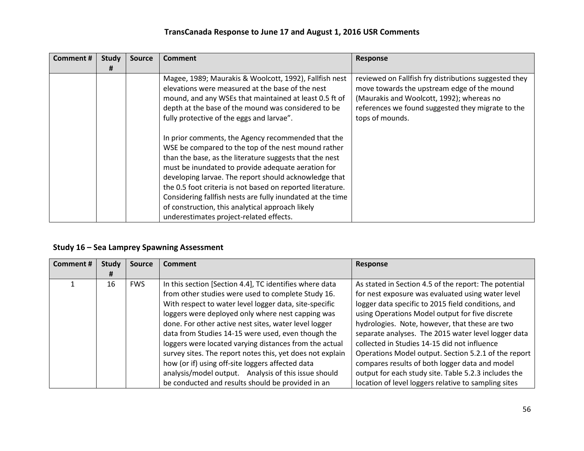| <b>Comment #</b> | <b>Study</b> | <b>Source</b> | Comment                                                                                                                                                                                                                                                                                                                                                                                                                                                                                                                                                                                                                                                                                                                                         | <b>Response</b>                                                                                                                                                                                                           |
|------------------|--------------|---------------|-------------------------------------------------------------------------------------------------------------------------------------------------------------------------------------------------------------------------------------------------------------------------------------------------------------------------------------------------------------------------------------------------------------------------------------------------------------------------------------------------------------------------------------------------------------------------------------------------------------------------------------------------------------------------------------------------------------------------------------------------|---------------------------------------------------------------------------------------------------------------------------------------------------------------------------------------------------------------------------|
|                  | Ħ            |               |                                                                                                                                                                                                                                                                                                                                                                                                                                                                                                                                                                                                                                                                                                                                                 |                                                                                                                                                                                                                           |
|                  |              |               | Magee, 1989; Maurakis & Woolcott, 1992), Fallfish nest<br>elevations were measured at the base of the nest<br>mound, and any WSEs that maintained at least 0.5 ft of<br>depth at the base of the mound was considered to be<br>fully protective of the eggs and larvae".<br>In prior comments, the Agency recommended that the<br>WSE be compared to the top of the nest mound rather<br>than the base, as the literature suggests that the nest<br>must be inundated to provide adequate aeration for<br>developing larvae. The report should acknowledge that<br>the 0.5 foot criteria is not based on reported literature.<br>Considering fallfish nests are fully inundated at the time<br>of construction, this analytical approach likely | reviewed on Fallfish fry distributions suggested they<br>move towards the upstream edge of the mound<br>(Maurakis and Woolcott, 1992); whereas no<br>references we found suggested they migrate to the<br>tops of mounds. |
|                  |              |               | underestimates project-related effects.                                                                                                                                                                                                                                                                                                                                                                                                                                                                                                                                                                                                                                                                                                         |                                                                                                                                                                                                                           |

#### **Study 16 – Sea Lamprey Spawning Assessment**

| <b>Comment#</b> | <b>Study</b> | <b>Source</b> | Comment                                                   | Response                                              |
|-----------------|--------------|---------------|-----------------------------------------------------------|-------------------------------------------------------|
|                 | #            |               |                                                           |                                                       |
|                 | 16           | <b>FWS</b>    | In this section [Section 4.4], TC identifies where data   | As stated in Section 4.5 of the report: The potential |
|                 |              |               | from other studies were used to complete Study 16.        | for nest exposure was evaluated using water level     |
|                 |              |               | With respect to water level logger data, site-specific    | logger data specific to 2015 field conditions, and    |
|                 |              |               | loggers were deployed only where nest capping was         | using Operations Model output for five discrete       |
|                 |              |               | done. For other active nest sites, water level logger     | hydrologies. Note, however, that these are two        |
|                 |              |               | data from Studies 14-15 were used, even though the        | separate analyses. The 2015 water level logger data   |
|                 |              |               | loggers were located varying distances from the actual    | collected in Studies 14-15 did not influence          |
|                 |              |               | survey sites. The report notes this, yet does not explain | Operations Model output. Section 5.2.1 of the report  |
|                 |              |               | how (or if) using off-site loggers affected data          | compares results of both logger data and model        |
|                 |              |               | analysis/model output. Analysis of this issue should      | output for each study site. Table 5.2.3 includes the  |
|                 |              |               | be conducted and results should be provided in an         | location of level loggers relative to sampling sites  |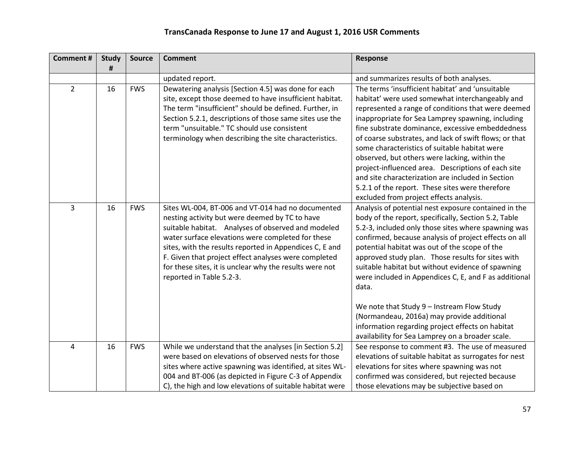| <b>Comment#</b> | <b>Study</b><br># | <b>Source</b> | <b>Comment</b>                                                                                                                                                                                                                                                                                                                                                                                                           | Response                                                                                                                                                                                                                                                                                                                                                                                                                                                                                                                                                                                                                                                      |
|-----------------|-------------------|---------------|--------------------------------------------------------------------------------------------------------------------------------------------------------------------------------------------------------------------------------------------------------------------------------------------------------------------------------------------------------------------------------------------------------------------------|---------------------------------------------------------------------------------------------------------------------------------------------------------------------------------------------------------------------------------------------------------------------------------------------------------------------------------------------------------------------------------------------------------------------------------------------------------------------------------------------------------------------------------------------------------------------------------------------------------------------------------------------------------------|
|                 |                   |               | updated report.                                                                                                                                                                                                                                                                                                                                                                                                          | and summarizes results of both analyses.                                                                                                                                                                                                                                                                                                                                                                                                                                                                                                                                                                                                                      |
| $\overline{2}$  | 16                | <b>FWS</b>    | Dewatering analysis [Section 4.5] was done for each<br>site, except those deemed to have insufficient habitat.<br>The term "insufficient" should be defined. Further, in<br>Section 5.2.1, descriptions of those same sites use the<br>term "unsuitable." TC should use consistent<br>terminology when describing the site characteristics.                                                                              | The terms 'insufficient habitat' and 'unsuitable<br>habitat' were used somewhat interchangeably and<br>represented a range of conditions that were deemed<br>inappropriate for Sea Lamprey spawning, including<br>fine substrate dominance, excessive embeddedness<br>of coarse substrates, and lack of swift flows; or that<br>some characteristics of suitable habitat were<br>observed, but others were lacking, within the<br>project-influenced area. Descriptions of each site<br>and site characterization are included in Section<br>5.2.1 of the report. These sites were therefore<br>excluded from project effects analysis.                       |
| 3               | 16                | <b>FWS</b>    | Sites WL-004, BT-006 and VT-014 had no documented<br>nesting activity but were deemed by TC to have<br>suitable habitat. Analyses of observed and modeled<br>water surface elevations were completed for these<br>sites, with the results reported in Appendices C, E and<br>F. Given that project effect analyses were completed<br>for these sites, it is unclear why the results were not<br>reported in Table 5.2-3. | Analysis of potential nest exposure contained in the<br>body of the report, specifically, Section 5.2, Table<br>5.2-3, included only those sites where spawning was<br>confirmed, because analysis of project effects on all<br>potential habitat was out of the scope of the<br>approved study plan. Those results for sites with<br>suitable habitat but without evidence of spawning<br>were included in Appendices C, E, and F as additional<br>data.<br>We note that Study 9 - Instream Flow Study<br>(Normandeau, 2016a) may provide additional<br>information regarding project effects on habitat<br>availability for Sea Lamprey on a broader scale. |
| 4               | 16                | <b>FWS</b>    | While we understand that the analyses [in Section 5.2]<br>were based on elevations of observed nests for those<br>sites where active spawning was identified, at sites WL-<br>004 and BT-006 (as depicted in Figure C-3 of Appendix<br>C), the high and low elevations of suitable habitat were                                                                                                                          | See response to comment #3. The use of measured<br>elevations of suitable habitat as surrogates for nest<br>elevations for sites where spawning was not<br>confirmed was considered, but rejected because<br>those elevations may be subjective based on                                                                                                                                                                                                                                                                                                                                                                                                      |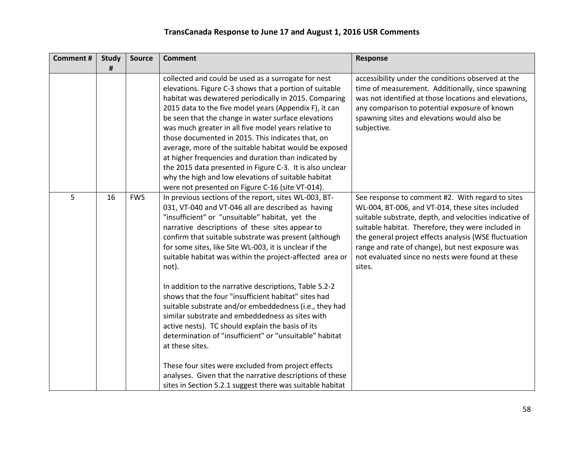| <b>Comment#</b> | <b>Study</b><br># | <b>Source</b> | <b>Comment</b>                                                                                                                                                                                                                                                                                                                                                                                                                                                                                                                                                                                                                                                                                  | Response                                                                                                                                                                                                                                                                                                                                                                                         |
|-----------------|-------------------|---------------|-------------------------------------------------------------------------------------------------------------------------------------------------------------------------------------------------------------------------------------------------------------------------------------------------------------------------------------------------------------------------------------------------------------------------------------------------------------------------------------------------------------------------------------------------------------------------------------------------------------------------------------------------------------------------------------------------|--------------------------------------------------------------------------------------------------------------------------------------------------------------------------------------------------------------------------------------------------------------------------------------------------------------------------------------------------------------------------------------------------|
|                 |                   |               | collected and could be used as a surrogate for nest<br>elevations. Figure C-3 shows that a portion of suitable<br>habitat was dewatered periodically in 2015. Comparing<br>2015 data to the five model years (Appendix F), it can<br>be seen that the change in water surface elevations<br>was much greater in all five model years relative to<br>those documented in 2015. This indicates that, on<br>average, more of the suitable habitat would be exposed<br>at higher frequencies and duration than indicated by<br>the 2015 data presented in Figure C-3. It is also unclear<br>why the high and low elevations of suitable habitat<br>were not presented on Figure C-16 (site VT-014). | accessibility under the conditions observed at the<br>time of measurement. Additionally, since spawning<br>was not identified at those locations and elevations,<br>any comparison to potential exposure of known<br>spawning sites and elevations would also be<br>subjective.                                                                                                                  |
| 5               | 16                | <b>FWS</b>    | In previous sections of the report, sites WL-003, BT-<br>031, VT-040 and VT-046 all are described as having<br>"insufficient" or "unsuitable" habitat, yet the<br>narrative descriptions of these sites appear to<br>confirm that suitable substrate was present (although<br>for some sites, like Site WL-003, it is unclear if the<br>suitable habitat was within the project-affected area or<br>not).                                                                                                                                                                                                                                                                                       | See response to comment #2. With regard to sites<br>WL-004, BT-006, and VT-014, these sites included<br>suitable substrate, depth, and velocities indicative of<br>suitable habitat. Therefore, they were included in<br>the general project effects analysis (WSE fluctuation<br>range and rate of change), but nest exposure was<br>not evaluated since no nests were found at these<br>sites. |
|                 |                   |               | In addition to the narrative descriptions, Table 5.2-2<br>shows that the four "insufficient habitat" sites had<br>suitable substrate and/or embeddedness (i.e., they had<br>similar substrate and embeddedness as sites with<br>active nests). TC should explain the basis of its<br>determination of "insufficient" or "unsuitable" habitat<br>at these sites.                                                                                                                                                                                                                                                                                                                                 |                                                                                                                                                                                                                                                                                                                                                                                                  |
|                 |                   |               | These four sites were excluded from project effects<br>analyses. Given that the narrative descriptions of these<br>sites in Section 5.2.1 suggest there was suitable habitat                                                                                                                                                                                                                                                                                                                                                                                                                                                                                                                    |                                                                                                                                                                                                                                                                                                                                                                                                  |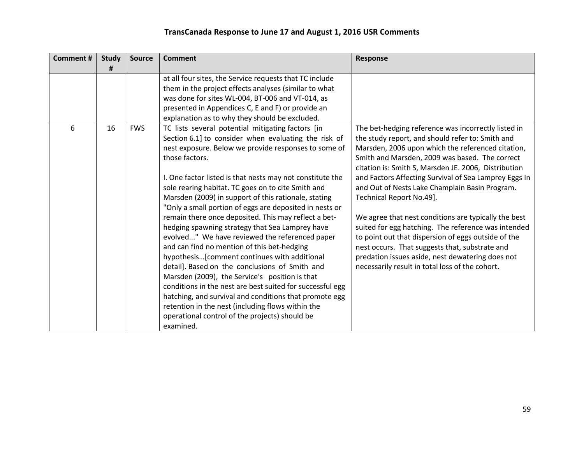| <b>Comment#</b> | <b>Study</b><br># | <b>Source</b> | <b>Comment</b>                                                                                                                                                                                                                                                                                                                                                                                                                                                                                                                                                                                                                                                                                                                                                                                                                                                                                                                                                                                                                       | Response                                                                                                                                                                                                                                                                                                                                                                                                                                                                                                                                                                                                                                                                                                                                     |
|-----------------|-------------------|---------------|--------------------------------------------------------------------------------------------------------------------------------------------------------------------------------------------------------------------------------------------------------------------------------------------------------------------------------------------------------------------------------------------------------------------------------------------------------------------------------------------------------------------------------------------------------------------------------------------------------------------------------------------------------------------------------------------------------------------------------------------------------------------------------------------------------------------------------------------------------------------------------------------------------------------------------------------------------------------------------------------------------------------------------------|----------------------------------------------------------------------------------------------------------------------------------------------------------------------------------------------------------------------------------------------------------------------------------------------------------------------------------------------------------------------------------------------------------------------------------------------------------------------------------------------------------------------------------------------------------------------------------------------------------------------------------------------------------------------------------------------------------------------------------------------|
|                 |                   |               | at all four sites, the Service requests that TC include<br>them in the project effects analyses (similar to what<br>was done for sites WL-004, BT-006 and VT-014, as<br>presented in Appendices C, E and F) or provide an<br>explanation as to why they should be excluded.                                                                                                                                                                                                                                                                                                                                                                                                                                                                                                                                                                                                                                                                                                                                                          |                                                                                                                                                                                                                                                                                                                                                                                                                                                                                                                                                                                                                                                                                                                                              |
| 6               | 16                | <b>FWS</b>    | TC lists several potential mitigating factors [in<br>Section 6.1] to consider when evaluating the risk of<br>nest exposure. Below we provide responses to some of<br>those factors.<br>I. One factor listed is that nests may not constitute the<br>sole rearing habitat. TC goes on to cite Smith and<br>Marsden (2009) in support of this rationale, stating<br>"Only a small portion of eggs are deposited in nests or<br>remain there once deposited. This may reflect a bet-<br>hedging spawning strategy that Sea Lamprey have<br>evolved" We have reviewed the referenced paper<br>and can find no mention of this bet-hedging<br>hypothesis[comment continues with additional<br>detail]. Based on the conclusions of Smith and<br>Marsden (2009), the Service's position is that<br>conditions in the nest are best suited for successful egg<br>hatching, and survival and conditions that promote egg<br>retention in the nest (including flows within the<br>operational control of the projects) should be<br>examined. | The bet-hedging reference was incorrectly listed in<br>the study report, and should refer to: Smith and<br>Marsden, 2006 upon which the referenced citation,<br>Smith and Marsden, 2009 was based. The correct<br>citation is: Smith S, Marsden JE. 2006, Distribution<br>and Factors Affecting Survival of Sea Lamprey Eggs In<br>and Out of Nests Lake Champlain Basin Program.<br>Technical Report No.49].<br>We agree that nest conditions are typically the best<br>suited for egg hatching. The reference was intended<br>to point out that dispersion of eggs outside of the<br>nest occurs. That suggests that, substrate and<br>predation issues aside, nest dewatering does not<br>necessarily result in total loss of the cohort. |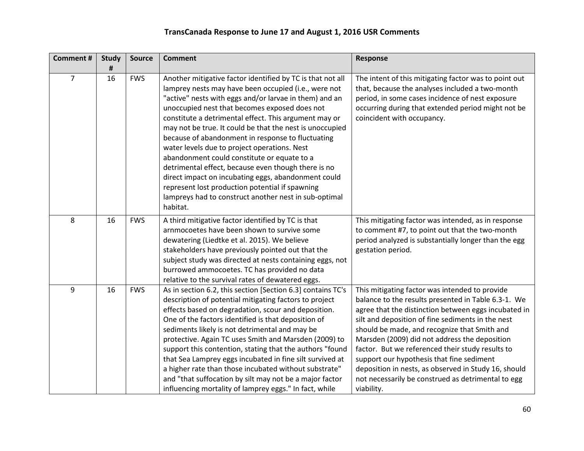| <b>Comment#</b> | <b>Study</b> | <b>Source</b> | <b>Comment</b>                                                                                                                                                                                                                                                                                                                                                                                                                                                                                                                                                                                                                                                                                                                               | Response                                                                                                                                                                                                                                                                                                                                                                                                                                                                                                                                         |
|-----------------|--------------|---------------|----------------------------------------------------------------------------------------------------------------------------------------------------------------------------------------------------------------------------------------------------------------------------------------------------------------------------------------------------------------------------------------------------------------------------------------------------------------------------------------------------------------------------------------------------------------------------------------------------------------------------------------------------------------------------------------------------------------------------------------------|--------------------------------------------------------------------------------------------------------------------------------------------------------------------------------------------------------------------------------------------------------------------------------------------------------------------------------------------------------------------------------------------------------------------------------------------------------------------------------------------------------------------------------------------------|
| $\overline{7}$  | #<br>16      | <b>FWS</b>    | Another mitigative factor identified by TC is that not all<br>lamprey nests may have been occupied (i.e., were not<br>"active" nests with eggs and/or larvae in them) and an<br>unoccupied nest that becomes exposed does not<br>constitute a detrimental effect. This argument may or<br>may not be true. It could be that the nest is unoccupied<br>because of abandonment in response to fluctuating<br>water levels due to project operations. Nest<br>abandonment could constitute or equate to a<br>detrimental effect, because even though there is no<br>direct impact on incubating eggs, abandonment could<br>represent lost production potential if spawning<br>lampreys had to construct another nest in sub-optimal<br>habitat. | The intent of this mitigating factor was to point out<br>that, because the analyses included a two-month<br>period, in some cases incidence of nest exposure<br>occurring during that extended period might not be<br>coincident with occupancy.                                                                                                                                                                                                                                                                                                 |
| 8               | 16           | <b>FWS</b>    | A third mitigative factor identified by TC is that<br>arnmocoetes have been shown to survive some<br>dewatering (Liedtke et al. 2015). We believe<br>stakeholders have previously pointed out that the<br>subject study was directed at nests containing eggs, not<br>burrowed ammocoetes. TC has provided no data<br>relative to the survival rates of dewatered eggs.                                                                                                                                                                                                                                                                                                                                                                      | This mitigating factor was intended, as in response<br>to comment #7, to point out that the two-month<br>period analyzed is substantially longer than the egg<br>gestation period.                                                                                                                                                                                                                                                                                                                                                               |
| 9               | 16           | <b>FWS</b>    | As in section 6.2, this section [Section 6.3] contains TC's<br>description of potential mitigating factors to project<br>effects based on degradation, scour and deposition.<br>One of the factors identified is that deposition of<br>sediments likely is not detrimental and may be<br>protective. Again TC uses Smith and Marsden (2009) to<br>support this contention, stating that the authors "found<br>that Sea Lamprey eggs incubated in fine silt survived at<br>a higher rate than those incubated without substrate"<br>and "that suffocation by silt may not be a major factor<br>influencing mortality of lamprey eggs." In fact, while                                                                                         | This mitigating factor was intended to provide<br>balance to the results presented in Table 6.3-1. We<br>agree that the distinction between eggs incubated in<br>silt and deposition of fine sediments in the nest<br>should be made, and recognize that Smith and<br>Marsden (2009) did not address the deposition<br>factor. But we referenced their study results to<br>support our hypothesis that fine sediment<br>deposition in nests, as observed in Study 16, should<br>not necessarily be construed as detrimental to egg<br>viability. |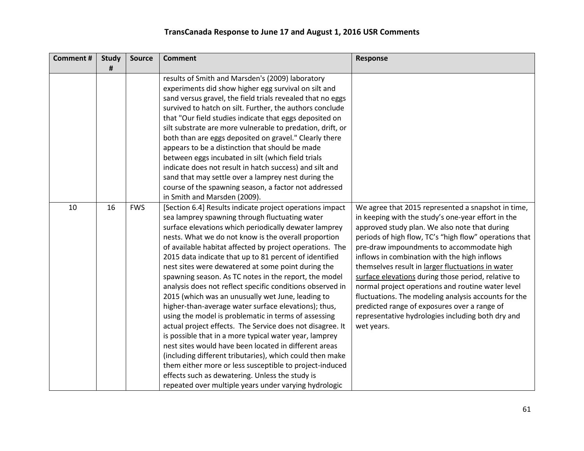| <b>Comment#</b> | <b>Study</b> | <b>Source</b> | <b>Comment</b>                                                                                                                                                                                                                                                                                                                                                                                                                                                                                                                                                                                                                                                                                                                                                                                                                                                                                                                                                                                                                                                                                                        | <b>Response</b>                                                                                                                                                                                                                                                                                                                                                                                                                                                                                                                                                                                                                                              |
|-----------------|--------------|---------------|-----------------------------------------------------------------------------------------------------------------------------------------------------------------------------------------------------------------------------------------------------------------------------------------------------------------------------------------------------------------------------------------------------------------------------------------------------------------------------------------------------------------------------------------------------------------------------------------------------------------------------------------------------------------------------------------------------------------------------------------------------------------------------------------------------------------------------------------------------------------------------------------------------------------------------------------------------------------------------------------------------------------------------------------------------------------------------------------------------------------------|--------------------------------------------------------------------------------------------------------------------------------------------------------------------------------------------------------------------------------------------------------------------------------------------------------------------------------------------------------------------------------------------------------------------------------------------------------------------------------------------------------------------------------------------------------------------------------------------------------------------------------------------------------------|
|                 | #            |               | results of Smith and Marsden's (2009) laboratory<br>experiments did show higher egg survival on silt and<br>sand versus gravel, the field trials revealed that no eggs<br>survived to hatch on silt. Further, the authors conclude<br>that "Our field studies indicate that eggs deposited on<br>silt substrate are more vulnerable to predation, drift, or<br>both than are eggs deposited on gravel." Clearly there                                                                                                                                                                                                                                                                                                                                                                                                                                                                                                                                                                                                                                                                                                 |                                                                                                                                                                                                                                                                                                                                                                                                                                                                                                                                                                                                                                                              |
|                 |              |               | appears to be a distinction that should be made<br>between eggs incubated in silt (which field trials<br>indicate does not result in hatch success) and silt and<br>sand that may settle over a lamprey nest during the<br>course of the spawning season, a factor not addressed<br>in Smith and Marsden (2009).                                                                                                                                                                                                                                                                                                                                                                                                                                                                                                                                                                                                                                                                                                                                                                                                      |                                                                                                                                                                                                                                                                                                                                                                                                                                                                                                                                                                                                                                                              |
| 10              | 16           | <b>FWS</b>    | [Section 6.4] Results indicate project operations impact<br>sea lamprey spawning through fluctuating water<br>surface elevations which periodically dewater lamprey<br>nests. What we do not know is the overall proportion<br>of available habitat affected by project operations. The<br>2015 data indicate that up to 81 percent of identified<br>nest sites were dewatered at some point during the<br>spawning season. As TC notes in the report, the model<br>analysis does not reflect specific conditions observed in<br>2015 (which was an unusually wet June, leading to<br>higher-than-average water surface elevations); thus,<br>using the model is problematic in terms of assessing<br>actual project effects. The Service does not disagree. It<br>is possible that in a more typical water year, lamprey<br>nest sites would have been located in different areas<br>(including different tributaries), which could then make<br>them either more or less susceptible to project-induced<br>effects such as dewatering. Unless the study is<br>repeated over multiple years under varying hydrologic | We agree that 2015 represented a snapshot in time,<br>in keeping with the study's one-year effort in the<br>approved study plan. We also note that during<br>periods of high flow, TC's "high flow" operations that<br>pre-draw impoundments to accommodate high<br>inflows in combination with the high inflows<br>themselves result in larger fluctuations in water<br>surface elevations during those period, relative to<br>normal project operations and routine water level<br>fluctuations. The modeling analysis accounts for the<br>predicted range of exposures over a range of<br>representative hydrologies including both dry and<br>wet years. |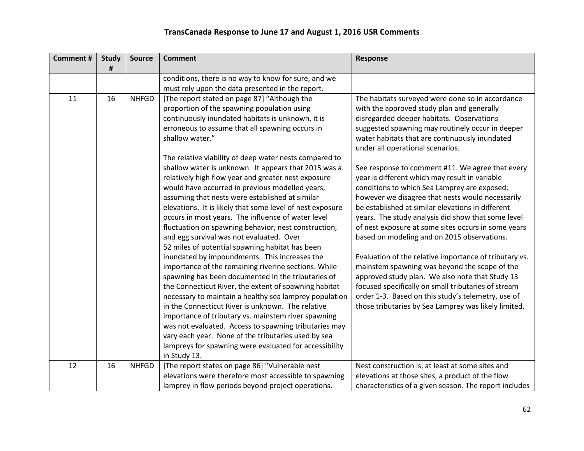| <b>Comment#</b> | <b>Study</b> | <b>Source</b> | <b>Comment</b>                                            | Response                                               |
|-----------------|--------------|---------------|-----------------------------------------------------------|--------------------------------------------------------|
|                 | #            |               |                                                           |                                                        |
|                 |              |               | conditions, there is no way to know for sure, and we      |                                                        |
|                 |              |               | must rely upon the data presented in the report.          |                                                        |
| 11              | 16           | <b>NHFGD</b>  | [The report stated on page 87] "Although the              | The habitats surveyed were done so in accordance       |
|                 |              |               | proportion of the spawning population using               | with the approved study plan and generally             |
|                 |              |               | continuously inundated habitats is unknown, it is         | disregarded deeper habitats. Observations              |
|                 |              |               | erroneous to assume that all spawning occurs in           | suggested spawning may routinely occur in deeper       |
|                 |              |               | shallow water."                                           | water habitats that are continuously inundated         |
|                 |              |               |                                                           | under all operational scenarios.                       |
|                 |              |               | The relative viability of deep water nests compared to    |                                                        |
|                 |              |               | shallow water is unknown. It appears that 2015 was a      | See response to comment #11. We agree that every       |
|                 |              |               | relatively high flow year and greater nest exposure       | year is different which may result in variable         |
|                 |              |               | would have occurred in previous modelled years,           | conditions to which Sea Lamprey are exposed;           |
|                 |              |               | assuming that nests were established at similar           | however we disagree that nests would necessarily       |
|                 |              |               | elevations. It is likely that some level of nest exposure | be established at similar elevations in different      |
|                 |              |               | occurs in most years. The influence of water level        | years. The study analysis did show that some level     |
|                 |              |               | fluctuation on spawning behavior, nest construction,      | of nest exposure at some sites occurs in some years    |
|                 |              |               | and egg survival was not evaluated. Over                  | based on modeling and on 2015 observations.            |
|                 |              |               | 52 miles of potential spawning habitat has been           |                                                        |
|                 |              |               | inundated by impoundments. This increases the             | Evaluation of the relative importance of tributary vs. |
|                 |              |               | importance of the remaining riverine sections. While      | mainstem spawning was beyond the scope of the          |
|                 |              |               | spawning has been documented in the tributaries of        | approved study plan. We also note that Study 13        |
|                 |              |               | the Connecticut River, the extent of spawning habitat     | focused specifically on small tributaries of stream    |
|                 |              |               | necessary to maintain a healthy sea lamprey population    | order 1-3. Based on this study's telemetry, use of     |
|                 |              |               | in the Connecticut River is unknown. The relative         | those tributaries by Sea Lamprey was likely limited.   |
|                 |              |               | importance of tributary vs. mainstem river spawning       |                                                        |
|                 |              |               | was not evaluated. Access to spawning tributaries may     |                                                        |
|                 |              |               | vary each year. None of the tributaries used by sea       |                                                        |
|                 |              |               | lampreys for spawning were evaluated for accessibility    |                                                        |
|                 |              |               | in Study 13.                                              |                                                        |
| 12              | 16           | <b>NHFGD</b>  | [The report states on page 86] "Vulnerable nest           | Nest construction is, at least at some sites and       |
|                 |              |               | elevations were therefore most accessible to spawning     | elevations at those sites, a product of the flow       |
|                 |              |               | lamprey in flow periods beyond project operations.        | characteristics of a given season. The report includes |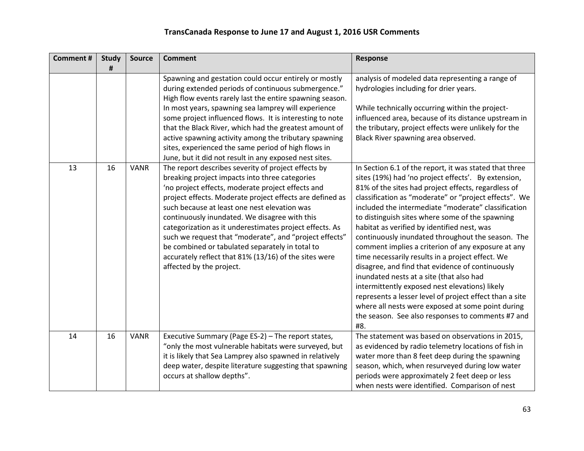| <b>Comment#</b> | <b>Study</b><br># | <b>Source</b> | <b>Comment</b>                                                                                                                                                                                                                                                                                                                                                                                                                                                                                                                                                                       | <b>Response</b>                                                                                                                                                                                                                                                                                                                                                                                                                                                                                                                                                                                                                                                                                                                                                                                                                                                                     |
|-----------------|-------------------|---------------|--------------------------------------------------------------------------------------------------------------------------------------------------------------------------------------------------------------------------------------------------------------------------------------------------------------------------------------------------------------------------------------------------------------------------------------------------------------------------------------------------------------------------------------------------------------------------------------|-------------------------------------------------------------------------------------------------------------------------------------------------------------------------------------------------------------------------------------------------------------------------------------------------------------------------------------------------------------------------------------------------------------------------------------------------------------------------------------------------------------------------------------------------------------------------------------------------------------------------------------------------------------------------------------------------------------------------------------------------------------------------------------------------------------------------------------------------------------------------------------|
|                 |                   |               | Spawning and gestation could occur entirely or mostly<br>during extended periods of continuous submergence."<br>High flow events rarely last the entire spawning season.<br>In most years, spawning sea lamprey will experience<br>some project influenced flows. It is interesting to note<br>that the Black River, which had the greatest amount of<br>active spawning activity among the tributary spawning<br>sites, experienced the same period of high flows in<br>June, but it did not result in any exposed nest sites.                                                      | analysis of modeled data representing a range of<br>hydrologies including for drier years.<br>While technically occurring within the project-<br>influenced area, because of its distance upstream in<br>the tributary, project effects were unlikely for the<br>Black River spawning area observed.                                                                                                                                                                                                                                                                                                                                                                                                                                                                                                                                                                                |
| 13              | 16                | <b>VANR</b>   | The report describes severity of project effects by<br>breaking project impacts into three categories<br>'no project effects, moderate project effects and<br>project effects. Moderate project effects are defined as<br>such because at least one nest elevation was<br>continuously inundated. We disagree with this<br>categorization as it underestimates project effects. As<br>such we request that "moderate", and "project effects"<br>be combined or tabulated separately in total to<br>accurately reflect that 81% (13/16) of the sites were<br>affected by the project. | In Section 6.1 of the report, it was stated that three<br>sites (19%) had 'no project effects'. By extension,<br>81% of the sites had project effects, regardless of<br>classification as "moderate" or "project effects". We<br>included the intermediate "moderate" classification<br>to distinguish sites where some of the spawning<br>habitat as verified by identified nest, was<br>continuously inundated throughout the season. The<br>comment implies a criterion of any exposure at any<br>time necessarily results in a project effect. We<br>disagree, and find that evidence of continuously<br>inundated nests at a site (that also had<br>intermittently exposed nest elevations) likely<br>represents a lesser level of project effect than a site<br>where all nests were exposed at some point during<br>the season. See also responses to comments #7 and<br>#8. |
| 14              | 16                | <b>VANR</b>   | Executive Summary (Page ES-2) - The report states,<br>"only the most vulnerable habitats were surveyed, but<br>it is likely that Sea Lamprey also spawned in relatively<br>deep water, despite literature suggesting that spawning<br>occurs at shallow depths".                                                                                                                                                                                                                                                                                                                     | The statement was based on observations in 2015,<br>as evidenced by radio telemetry locations of fish in<br>water more than 8 feet deep during the spawning<br>season, which, when resurveyed during low water<br>periods were approximately 2 feet deep or less<br>when nests were identified. Comparison of nest                                                                                                                                                                                                                                                                                                                                                                                                                                                                                                                                                                  |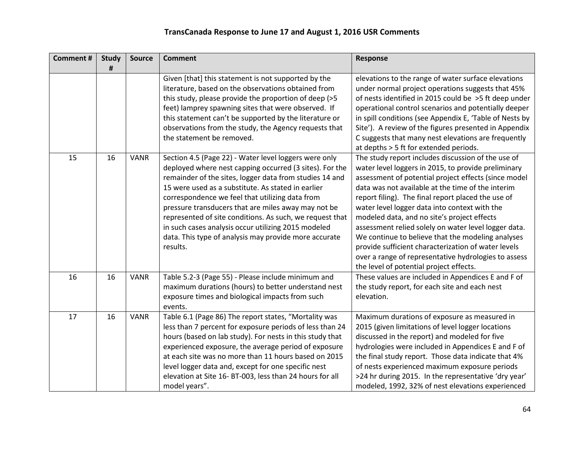| <b>Comment#</b> | <b>Study</b><br># | <b>Source</b> | <b>Comment</b>                                                                                                                                                                                                                                                                                                                                                                                                                                                                                                                      | <b>Response</b>                                                                                                                                                                                                                                                                                                                                                                                                                                                                                                                                                                                                                                     |
|-----------------|-------------------|---------------|-------------------------------------------------------------------------------------------------------------------------------------------------------------------------------------------------------------------------------------------------------------------------------------------------------------------------------------------------------------------------------------------------------------------------------------------------------------------------------------------------------------------------------------|-----------------------------------------------------------------------------------------------------------------------------------------------------------------------------------------------------------------------------------------------------------------------------------------------------------------------------------------------------------------------------------------------------------------------------------------------------------------------------------------------------------------------------------------------------------------------------------------------------------------------------------------------------|
|                 |                   |               | Given [that] this statement is not supported by the<br>literature, based on the observations obtained from<br>this study, please provide the proportion of deep (>5<br>feet) lamprey spawning sites that were observed. If<br>this statement can't be supported by the literature or<br>observations from the study, the Agency requests that<br>the statement be removed.                                                                                                                                                          | elevations to the range of water surface elevations<br>under normal project operations suggests that 45%<br>of nests identified in 2015 could be >5 ft deep under<br>operational control scenarios and potentially deeper<br>in spill conditions (see Appendix E, 'Table of Nests by<br>Site'). A review of the figures presented in Appendix<br>C suggests that many nest elevations are frequently<br>at depths > 5 ft for extended periods.                                                                                                                                                                                                      |
| 15              | 16                | <b>VANR</b>   | Section 4.5 (Page 22) - Water level loggers were only<br>deployed where nest capping occurred (3 sites). For the<br>remainder of the sites, logger data from studies 14 and<br>15 were used as a substitute. As stated in earlier<br>correspondence we feel that utilizing data from<br>pressure transducers that are miles away may not be<br>represented of site conditions. As such, we request that<br>in such cases analysis occur utilizing 2015 modeled<br>data. This type of analysis may provide more accurate<br>results. | The study report includes discussion of the use of<br>water level loggers in 2015, to provide preliminary<br>assessment of potential project effects (since model<br>data was not available at the time of the interim<br>report filing). The final report placed the use of<br>water level logger data into context with the<br>modeled data, and no site's project effects<br>assessment relied solely on water level logger data.<br>We continue to believe that the modeling analyses<br>provide sufficient characterization of water levels<br>over a range of representative hydrologies to assess<br>the level of potential project effects. |
| 16              | 16                | <b>VANR</b>   | Table 5.2-3 (Page 55) - Please include minimum and<br>maximum durations (hours) to better understand nest<br>exposure times and biological impacts from such<br>events.                                                                                                                                                                                                                                                                                                                                                             | These values are included in Appendices E and F of<br>the study report, for each site and each nest<br>elevation.                                                                                                                                                                                                                                                                                                                                                                                                                                                                                                                                   |
| 17              | 16                | <b>VANR</b>   | Table 6.1 (Page 86) The report states, "Mortality was<br>less than 7 percent for exposure periods of less than 24<br>hours (based on lab study). For nests in this study that<br>experienced exposure, the average period of exposure<br>at each site was no more than 11 hours based on 2015<br>level logger data and, except for one specific nest<br>elevation at Site 16- BT-003, less than 24 hours for all<br>model years".                                                                                                   | Maximum durations of exposure as measured in<br>2015 (given limitations of level logger locations<br>discussed in the report) and modeled for five<br>hydrologies were included in Appendices E and F of<br>the final study report. Those data indicate that 4%<br>of nests experienced maximum exposure periods<br>>24 hr during 2015. In the representative 'dry year'<br>modeled, 1992, 32% of nest elevations experienced                                                                                                                                                                                                                       |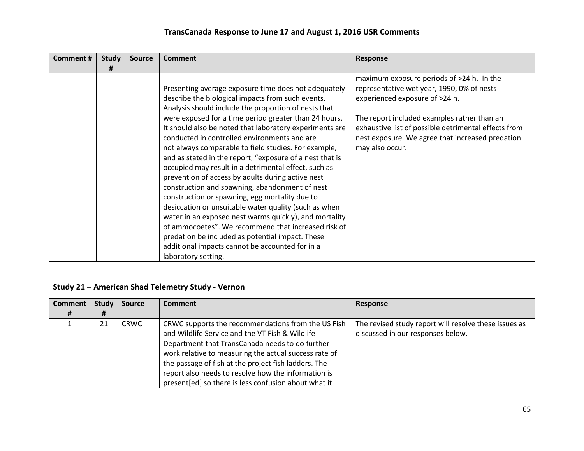| Comment# | <b>Study</b><br># | <b>Source</b> | <b>Comment</b>                                                                                                                                                                                                                                                                                                                                                                                                                                                                                                                                                                                                                                                                                                                                                                                                                                                                                                                                                                     | Response                                                                                                                                                                                                                                                                                                |
|----------|-------------------|---------------|------------------------------------------------------------------------------------------------------------------------------------------------------------------------------------------------------------------------------------------------------------------------------------------------------------------------------------------------------------------------------------------------------------------------------------------------------------------------------------------------------------------------------------------------------------------------------------------------------------------------------------------------------------------------------------------------------------------------------------------------------------------------------------------------------------------------------------------------------------------------------------------------------------------------------------------------------------------------------------|---------------------------------------------------------------------------------------------------------------------------------------------------------------------------------------------------------------------------------------------------------------------------------------------------------|
|          |                   |               | Presenting average exposure time does not adequately<br>describe the biological impacts from such events.<br>Analysis should include the proportion of nests that<br>were exposed for a time period greater than 24 hours.<br>It should also be noted that laboratory experiments are<br>conducted in controlled environments and are<br>not always comparable to field studies. For example,<br>and as stated in the report, "exposure of a nest that is<br>occupied may result in a detrimental effect, such as<br>prevention of access by adults during active nest<br>construction and spawning, abandonment of nest<br>construction or spawning, egg mortality due to<br>desiccation or unsuitable water quality (such as when<br>water in an exposed nest warms quickly), and mortality<br>of ammocoetes". We recommend that increased risk of<br>predation be included as potential impact. These<br>additional impacts cannot be accounted for in a<br>laboratory setting. | maximum exposure periods of >24 h. In the<br>representative wet year, 1990, 0% of nests<br>experienced exposure of >24 h.<br>The report included examples rather than an<br>exhaustive list of possible detrimental effects from<br>nest exposure. We agree that increased predation<br>may also occur. |

### **Study 21 – American Shad Telemetry Study - Vernon**

| <b>Comment</b> | Study | <b>Source</b> | <b>Comment</b>                                                                                                                                                                                                                                                            | Response                                                                                   |
|----------------|-------|---------------|---------------------------------------------------------------------------------------------------------------------------------------------------------------------------------------------------------------------------------------------------------------------------|--------------------------------------------------------------------------------------------|
| Ħ              | #     |               |                                                                                                                                                                                                                                                                           |                                                                                            |
|                | 21    | <b>CRWC</b>   | CRWC supports the recommendations from the US Fish<br>and Wildlife Service and the VT Fish & Wildlife<br>Department that TransCanada needs to do further<br>work relative to measuring the actual success rate of<br>the passage of fish at the project fish ladders. The | The revised study report will resolve these issues as<br>discussed in our responses below. |
|                |       |               | report also needs to resolve how the information is<br>present[ed] so there is less confusion about what it                                                                                                                                                               |                                                                                            |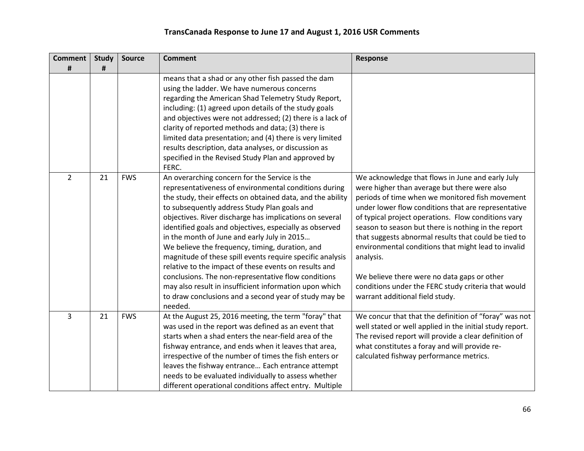| <b>Comment</b><br># | <b>Study</b><br># | <b>Source</b> | <b>Comment</b>                                                                                                                                                                                                                                                                                                                                                                                                                                                                                                                                                                                                                                                                                                                                          | Response                                                                                                                                                                                                                                                                                                                                                                                                                                                                                                                                                                                      |
|---------------------|-------------------|---------------|---------------------------------------------------------------------------------------------------------------------------------------------------------------------------------------------------------------------------------------------------------------------------------------------------------------------------------------------------------------------------------------------------------------------------------------------------------------------------------------------------------------------------------------------------------------------------------------------------------------------------------------------------------------------------------------------------------------------------------------------------------|-----------------------------------------------------------------------------------------------------------------------------------------------------------------------------------------------------------------------------------------------------------------------------------------------------------------------------------------------------------------------------------------------------------------------------------------------------------------------------------------------------------------------------------------------------------------------------------------------|
|                     |                   |               | means that a shad or any other fish passed the dam<br>using the ladder. We have numerous concerns<br>regarding the American Shad Telemetry Study Report,<br>including: (1) agreed upon details of the study goals<br>and objectives were not addressed; (2) there is a lack of<br>clarity of reported methods and data; (3) there is<br>limited data presentation; and (4) there is very limited<br>results description, data analyses, or discussion as<br>specified in the Revised Study Plan and approved by<br>FERC.                                                                                                                                                                                                                                |                                                                                                                                                                                                                                                                                                                                                                                                                                                                                                                                                                                               |
| $\overline{2}$      | 21                | <b>FWS</b>    | An overarching concern for the Service is the<br>representativeness of environmental conditions during<br>the study, their effects on obtained data, and the ability<br>to subsequently address Study Plan goals and<br>objectives. River discharge has implications on several<br>identified goals and objectives, especially as observed<br>in the month of June and early July in 2015<br>We believe the frequency, timing, duration, and<br>magnitude of these spill events require specific analysis<br>relative to the impact of these events on results and<br>conclusions. The non-representative flow conditions<br>may also result in insufficient information upon which<br>to draw conclusions and a second year of study may be<br>needed. | We acknowledge that flows in June and early July<br>were higher than average but there were also<br>periods of time when we monitored fish movement<br>under lower flow conditions that are representative<br>of typical project operations. Flow conditions vary<br>season to season but there is nothing in the report<br>that suggests abnormal results that could be tied to<br>environmental conditions that might lead to invalid<br>analysis.<br>We believe there were no data gaps or other<br>conditions under the FERC study criteria that would<br>warrant additional field study. |
| 3                   | 21                | <b>FWS</b>    | At the August 25, 2016 meeting, the term "foray" that<br>was used in the report was defined as an event that<br>starts when a shad enters the near-field area of the<br>fishway entrance, and ends when it leaves that area,<br>irrespective of the number of times the fish enters or<br>leaves the fishway entrance Each entrance attempt<br>needs to be evaluated individually to assess whether<br>different operational conditions affect entry. Multiple                                                                                                                                                                                                                                                                                          | We concur that that the definition of "foray" was not<br>well stated or well applied in the initial study report.<br>The revised report will provide a clear definition of<br>what constitutes a foray and will provide re-<br>calculated fishway performance metrics.                                                                                                                                                                                                                                                                                                                        |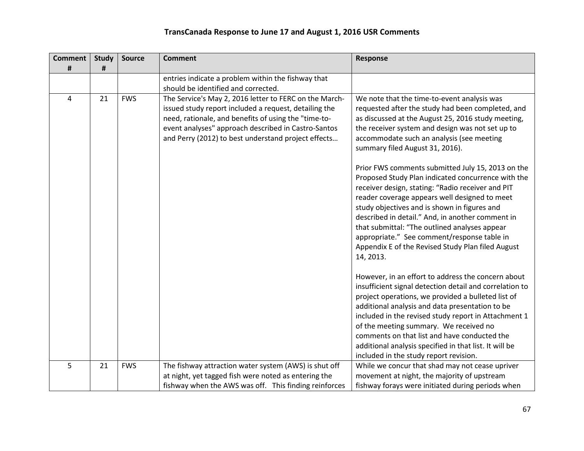| <b>Comment</b> | <b>Study</b> | <b>Source</b> | <b>Comment</b>                                                                                                                                                                                                                                                                        | <b>Response</b>                                                                                                                                                                                                                                                                                                                                                                                                                                                                     |
|----------------|--------------|---------------|---------------------------------------------------------------------------------------------------------------------------------------------------------------------------------------------------------------------------------------------------------------------------------------|-------------------------------------------------------------------------------------------------------------------------------------------------------------------------------------------------------------------------------------------------------------------------------------------------------------------------------------------------------------------------------------------------------------------------------------------------------------------------------------|
| #              | #            |               | entries indicate a problem within the fishway that                                                                                                                                                                                                                                    |                                                                                                                                                                                                                                                                                                                                                                                                                                                                                     |
|                |              |               | should be identified and corrected.                                                                                                                                                                                                                                                   |                                                                                                                                                                                                                                                                                                                                                                                                                                                                                     |
| 4              | 21           | <b>FWS</b>    | The Service's May 2, 2016 letter to FERC on the March-<br>issued study report included a request, detailing the<br>need, rationale, and benefits of using the "time-to-<br>event analyses" approach described in Castro-Santos<br>and Perry (2012) to best understand project effects | We note that the time-to-event analysis was<br>requested after the study had been completed, and<br>as discussed at the August 25, 2016 study meeting,<br>the receiver system and design was not set up to<br>accommodate such an analysis (see meeting<br>summary filed August 31, 2016).                                                                                                                                                                                          |
|                |              |               |                                                                                                                                                                                                                                                                                       | Prior FWS comments submitted July 15, 2013 on the<br>Proposed Study Plan indicated concurrence with the<br>receiver design, stating: "Radio receiver and PIT<br>reader coverage appears well designed to meet<br>study objectives and is shown in figures and<br>described in detail." And, in another comment in<br>that submittal: "The outlined analyses appear<br>appropriate." See comment/response table in<br>Appendix E of the Revised Study Plan filed August<br>14, 2013. |
|                |              |               |                                                                                                                                                                                                                                                                                       | However, in an effort to address the concern about<br>insufficient signal detection detail and correlation to<br>project operations, we provided a bulleted list of<br>additional analysis and data presentation to be<br>included in the revised study report in Attachment 1<br>of the meeting summary. We received no<br>comments on that list and have conducted the<br>additional analysis specified in that list. It will be<br>included in the study report revision.        |
| 5              | 21           | <b>FWS</b>    | The fishway attraction water system (AWS) is shut off<br>at night, yet tagged fish were noted as entering the<br>fishway when the AWS was off. This finding reinforces                                                                                                                | While we concur that shad may not cease upriver<br>movement at night, the majority of upstream<br>fishway forays were initiated during periods when                                                                                                                                                                                                                                                                                                                                 |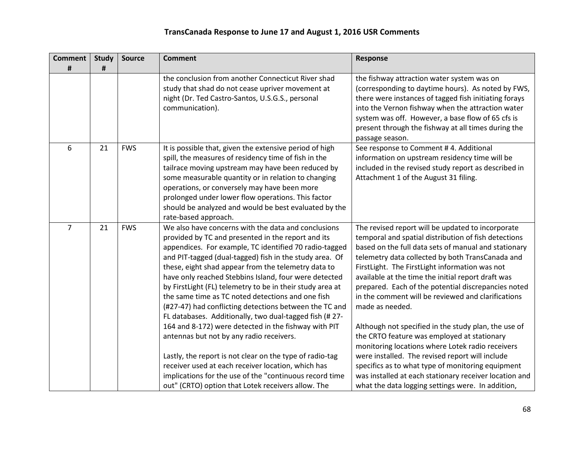| <b>Comment</b> | <b>Study</b> | <b>Source</b> | <b>Comment</b>                                            | <b>Response</b>                                                                                        |
|----------------|--------------|---------------|-----------------------------------------------------------|--------------------------------------------------------------------------------------------------------|
| #              | #            |               | the conclusion from another Connecticut River shad        |                                                                                                        |
|                |              |               | study that shad do not cease upriver movement at          | the fishway attraction water system was on<br>(corresponding to daytime hours). As noted by FWS,       |
|                |              |               | night (Dr. Ted Castro-Santos, U.S.G.S., personal          | there were instances of tagged fish initiating forays                                                  |
|                |              |               | communication).                                           | into the Vernon fishway when the attraction water<br>system was off. However, a base flow of 65 cfs is |
|                |              |               |                                                           | present through the fishway at all times during the                                                    |
|                |              |               |                                                           | passage season.                                                                                        |
| 6              | 21           | <b>FWS</b>    | It is possible that, given the extensive period of high   | See response to Comment # 4. Additional                                                                |
|                |              |               | spill, the measures of residency time of fish in the      | information on upstream residency time will be                                                         |
|                |              |               | tailrace moving upstream may have been reduced by         | included in the revised study report as described in                                                   |
|                |              |               | some measurable quantity or in relation to changing       | Attachment 1 of the August 31 filing.                                                                  |
|                |              |               | operations, or conversely may have been more              |                                                                                                        |
|                |              |               | prolonged under lower flow operations. This factor        |                                                                                                        |
|                |              |               | should be analyzed and would be best evaluated by the     |                                                                                                        |
|                |              |               | rate-based approach.                                      |                                                                                                        |
| $\overline{7}$ | 21           | <b>FWS</b>    | We also have concerns with the data and conclusions       | The revised report will be updated to incorporate                                                      |
|                |              |               | provided by TC and presented in the report and its        | temporal and spatial distribution of fish detections                                                   |
|                |              |               | appendices. For example, TC identified 70 radio-tagged    | based on the full data sets of manual and stationary                                                   |
|                |              |               | and PIT-tagged (dual-tagged) fish in the study area. Of   | telemetry data collected by both TransCanada and                                                       |
|                |              |               | these, eight shad appear from the telemetry data to       | FirstLight. The FirstLight information was not                                                         |
|                |              |               | have only reached Stebbins Island, four were detected     | available at the time the initial report draft was                                                     |
|                |              |               | by FirstLight (FL) telemetry to be in their study area at | prepared. Each of the potential discrepancies noted                                                    |
|                |              |               | the same time as TC noted detections and one fish         | in the comment will be reviewed and clarifications                                                     |
|                |              |               | (#27-47) had conflicting detections between the TC and    | made as needed.                                                                                        |
|                |              |               | FL databases. Additionally, two dual-tagged fish (#27-    |                                                                                                        |
|                |              |               | 164 and 8-172) were detected in the fishway with PIT      | Although not specified in the study plan, the use of                                                   |
|                |              |               | antennas but not by any radio receivers.                  | the CRTO feature was employed at stationary                                                            |
|                |              |               |                                                           | monitoring locations where Lotek radio receivers                                                       |
|                |              |               | Lastly, the report is not clear on the type of radio-tag  | were installed. The revised report will include                                                        |
|                |              |               | receiver used at each receiver location, which has        | specifics as to what type of monitoring equipment                                                      |
|                |              |               | implications for the use of the "continuous record time   | was installed at each stationary receiver location and                                                 |
|                |              |               | out" (CRTO) option that Lotek receivers allow. The        | what the data logging settings were. In addition,                                                      |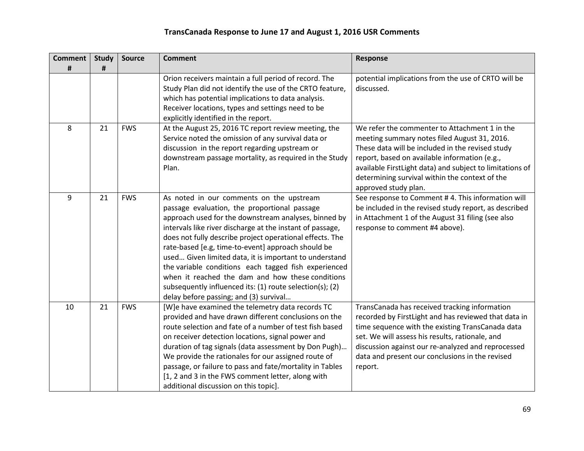| <b>Comment</b> | <b>Study</b> | <b>Source</b> | <b>Comment</b>                                                                                                                                                                                                                                                                                                                                                                                                                                                                                                                                                                                              | <b>Response</b>                                                                                                                                                                                                                                                                                                                          |
|----------------|--------------|---------------|-------------------------------------------------------------------------------------------------------------------------------------------------------------------------------------------------------------------------------------------------------------------------------------------------------------------------------------------------------------------------------------------------------------------------------------------------------------------------------------------------------------------------------------------------------------------------------------------------------------|------------------------------------------------------------------------------------------------------------------------------------------------------------------------------------------------------------------------------------------------------------------------------------------------------------------------------------------|
| #              | #            |               | Orion receivers maintain a full period of record. The<br>Study Plan did not identify the use of the CRTO feature,<br>which has potential implications to data analysis.<br>Receiver locations, types and settings need to be<br>explicitly identified in the report.                                                                                                                                                                                                                                                                                                                                        | potential implications from the use of CRTO will be<br>discussed.                                                                                                                                                                                                                                                                        |
| 8              | 21           | <b>FWS</b>    | At the August 25, 2016 TC report review meeting, the<br>Service noted the omission of any survival data or<br>discussion in the report regarding upstream or<br>downstream passage mortality, as required in the Study<br>Plan.                                                                                                                                                                                                                                                                                                                                                                             | We refer the commenter to Attachment 1 in the<br>meeting summary notes filed August 31, 2016.<br>These data will be included in the revised study<br>report, based on available information (e.g.,<br>available FirstLight data) and subject to limitations of<br>determining survival within the context of the<br>approved study plan. |
| 9              | 21           | <b>FWS</b>    | As noted in our comments on the upstream<br>passage evaluation, the proportional passage<br>approach used for the downstream analyses, binned by<br>intervals like river discharge at the instant of passage,<br>does not fully describe project operational effects. The<br>rate-based [e.g, time-to-event] approach should be<br>used Given limited data, it is important to understand<br>the variable conditions each tagged fish experienced<br>when it reached the dam and how these conditions<br>subsequently influenced its: (1) route selection(s); (2)<br>delay before passing; and (3) survival | See response to Comment #4. This information will<br>be included in the revised study report, as described<br>in Attachment 1 of the August 31 filing (see also<br>response to comment #4 above).                                                                                                                                        |
| 10             | 21           | <b>FWS</b>    | [W]e have examined the telemetry data records TC<br>provided and have drawn different conclusions on the<br>route selection and fate of a number of test fish based<br>on receiver detection locations, signal power and<br>duration of tag signals (data assessment by Don Pugh)<br>We provide the rationales for our assigned route of<br>passage, or failure to pass and fate/mortality in Tables<br>[1, 2 and 3 in the FWS comment letter, along with<br>additional discussion on this topic].                                                                                                          | TransCanada has received tracking information<br>recorded by FirstLight and has reviewed that data in<br>time sequence with the existing TransCanada data<br>set. We will assess his results, rationale, and<br>discussion against our re-analyzed and reprocessed<br>data and present our conclusions in the revised<br>report.         |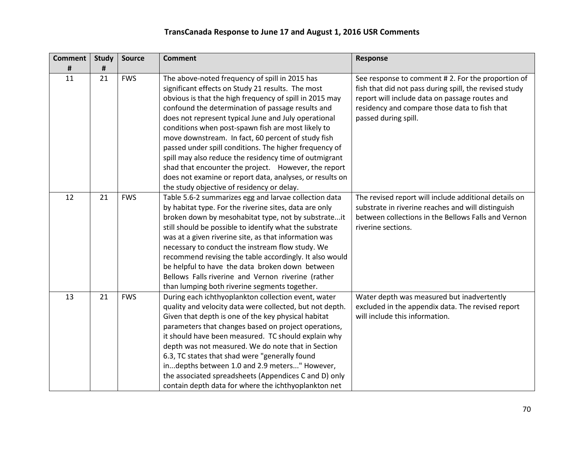| <b>Comment</b> | <b>Study</b> | <b>Source</b> | <b>Comment</b>                                                                                                                                                                                                                                                                                                                                                                                                                                                                                                                                                                                                                  | <b>Response</b>                                                                                                                                                                                                                        |
|----------------|--------------|---------------|---------------------------------------------------------------------------------------------------------------------------------------------------------------------------------------------------------------------------------------------------------------------------------------------------------------------------------------------------------------------------------------------------------------------------------------------------------------------------------------------------------------------------------------------------------------------------------------------------------------------------------|----------------------------------------------------------------------------------------------------------------------------------------------------------------------------------------------------------------------------------------|
| #              | #            |               |                                                                                                                                                                                                                                                                                                                                                                                                                                                                                                                                                                                                                                 |                                                                                                                                                                                                                                        |
| 11             | 21           | <b>FWS</b>    | The above-noted frequency of spill in 2015 has<br>significant effects on Study 21 results. The most<br>obvious is that the high frequency of spill in 2015 may<br>confound the determination of passage results and<br>does not represent typical June and July operational<br>conditions when post-spawn fish are most likely to<br>move downstream. In fact, 60 percent of study fish<br>passed under spill conditions. The higher frequency of<br>spill may also reduce the residency time of outmigrant<br>shad that encounter the project. However, the report<br>does not examine or report data, analyses, or results on | See response to comment #2. For the proportion of<br>fish that did not pass during spill, the revised study<br>report will include data on passage routes and<br>residency and compare those data to fish that<br>passed during spill. |
|                |              |               | the study objective of residency or delay.                                                                                                                                                                                                                                                                                                                                                                                                                                                                                                                                                                                      |                                                                                                                                                                                                                                        |
| 12             | 21           | <b>FWS</b>    | Table 5.6-2 summarizes egg and larvae collection data<br>by habitat type. For the riverine sites, data are only<br>broken down by mesohabitat type, not by substrateit<br>still should be possible to identify what the substrate<br>was at a given riverine site, as that information was<br>necessary to conduct the instream flow study. We<br>recommend revising the table accordingly. It also would<br>be helpful to have the data broken down between<br>Bellows Falls riverine and Vernon riverine (rather<br>than lumping both riverine segments together.                                                             | The revised report will include additional details on<br>substrate in riverine reaches and will distinguish<br>between collections in the Bellows Falls and Vernon<br>riverine sections.                                               |
| 13             | 21           | <b>FWS</b>    | During each ichthyoplankton collection event, water<br>quality and velocity data were collected, but not depth.<br>Given that depth is one of the key physical habitat<br>parameters that changes based on project operations,<br>it should have been measured. TC should explain why<br>depth was not measured. We do note that in Section<br>6.3, TC states that shad were "generally found<br>indepths between 1.0 and 2.9 meters" However,<br>the associated spreadsheets (Appendices C and D) only<br>contain depth data for where the ichthyoplankton net                                                                 | Water depth was measured but inadvertently<br>excluded in the appendix data. The revised report<br>will include this information.                                                                                                      |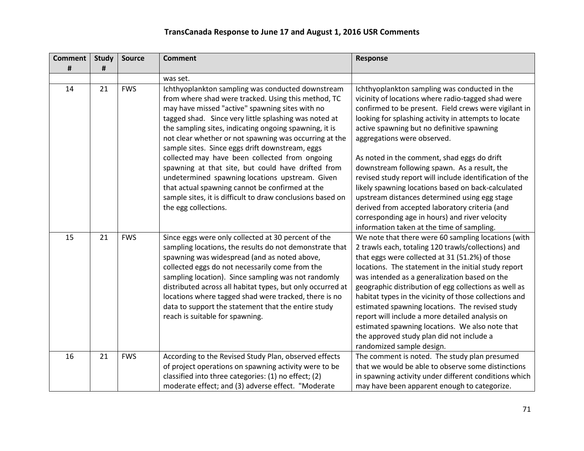| <b>Comment</b> | <b>Study</b> | <b>Source</b> | <b>Comment</b>                                                                                                                                                                                                                                                                                                                                                                                                                                                                                                                                                                                                                                                                                  | Response                                                                                                                                                                                                                                                                                                                                                                                                                                                                                                                                                                                                                                                                                                             |
|----------------|--------------|---------------|-------------------------------------------------------------------------------------------------------------------------------------------------------------------------------------------------------------------------------------------------------------------------------------------------------------------------------------------------------------------------------------------------------------------------------------------------------------------------------------------------------------------------------------------------------------------------------------------------------------------------------------------------------------------------------------------------|----------------------------------------------------------------------------------------------------------------------------------------------------------------------------------------------------------------------------------------------------------------------------------------------------------------------------------------------------------------------------------------------------------------------------------------------------------------------------------------------------------------------------------------------------------------------------------------------------------------------------------------------------------------------------------------------------------------------|
| #              | #            |               |                                                                                                                                                                                                                                                                                                                                                                                                                                                                                                                                                                                                                                                                                                 |                                                                                                                                                                                                                                                                                                                                                                                                                                                                                                                                                                                                                                                                                                                      |
|                |              |               | was set.                                                                                                                                                                                                                                                                                                                                                                                                                                                                                                                                                                                                                                                                                        |                                                                                                                                                                                                                                                                                                                                                                                                                                                                                                                                                                                                                                                                                                                      |
| 14             | 21           | <b>FWS</b>    | Ichthyoplankton sampling was conducted downstream<br>from where shad were tracked. Using this method, TC<br>may have missed "active" spawning sites with no<br>tagged shad. Since very little splashing was noted at<br>the sampling sites, indicating ongoing spawning, it is<br>not clear whether or not spawning was occurring at the<br>sample sites. Since eggs drift downstream, eggs<br>collected may have been collected from ongoing<br>spawning at that site, but could have drifted from<br>undetermined spawning locations upstream. Given<br>that actual spawning cannot be confirmed at the<br>sample sites, it is difficult to draw conclusions based on<br>the egg collections. | Ichthyoplankton sampling was conducted in the<br>vicinity of locations where radio-tagged shad were<br>confirmed to be present. Field crews were vigilant in<br>looking for splashing activity in attempts to locate<br>active spawning but no definitive spawning<br>aggregations were observed.<br>As noted in the comment, shad eggs do drift<br>downstream following spawn. As a result, the<br>revised study report will include identification of the<br>likely spawning locations based on back-calculated<br>upstream distances determined using egg stage<br>derived from accepted laboratory criteria (and<br>corresponding age in hours) and river velocity<br>information taken at the time of sampling. |
| 15             | 21           | <b>FWS</b>    | Since eggs were only collected at 30 percent of the<br>sampling locations, the results do not demonstrate that<br>spawning was widespread (and as noted above,<br>collected eggs do not necessarily come from the<br>sampling location). Since sampling was not randomly<br>distributed across all habitat types, but only occurred at<br>locations where tagged shad were tracked, there is no<br>data to support the statement that the entire study<br>reach is suitable for spawning.                                                                                                                                                                                                       | We note that there were 60 sampling locations (with<br>2 trawls each, totaling 120 trawls/collections) and<br>that eggs were collected at 31 (51.2%) of those<br>locations. The statement in the initial study report<br>was intended as a generalization based on the<br>geographic distribution of egg collections as well as<br>habitat types in the vicinity of those collections and<br>estimated spawning locations. The revised study<br>report will include a more detailed analysis on<br>estimated spawning locations. We also note that<br>the approved study plan did not include a<br>randomized sample design.                                                                                         |
| 16             | 21           | <b>FWS</b>    | According to the Revised Study Plan, observed effects<br>of project operations on spawning activity were to be<br>classified into three categories: (1) no effect; (2)<br>moderate effect; and (3) adverse effect. "Moderate                                                                                                                                                                                                                                                                                                                                                                                                                                                                    | The comment is noted. The study plan presumed<br>that we would be able to observe some distinctions<br>in spawning activity under different conditions which<br>may have been apparent enough to categorize.                                                                                                                                                                                                                                                                                                                                                                                                                                                                                                         |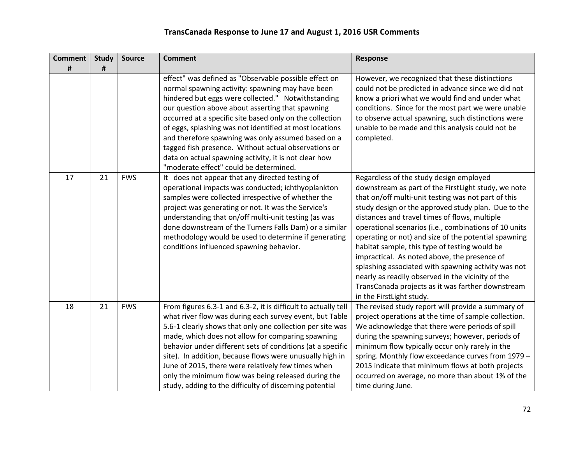| <b>Comment</b> | <b>Study</b> | <b>Source</b> | <b>Comment</b>                                                                                                                                                                                                                                                                                                                                                                                                                                                                                                                                              | Response                                                                                                                                                                                                                                                                                                                                                                                                                                                                                                                                                                                                                                                                     |
|----------------|--------------|---------------|-------------------------------------------------------------------------------------------------------------------------------------------------------------------------------------------------------------------------------------------------------------------------------------------------------------------------------------------------------------------------------------------------------------------------------------------------------------------------------------------------------------------------------------------------------------|------------------------------------------------------------------------------------------------------------------------------------------------------------------------------------------------------------------------------------------------------------------------------------------------------------------------------------------------------------------------------------------------------------------------------------------------------------------------------------------------------------------------------------------------------------------------------------------------------------------------------------------------------------------------------|
| #              | #            |               |                                                                                                                                                                                                                                                                                                                                                                                                                                                                                                                                                             |                                                                                                                                                                                                                                                                                                                                                                                                                                                                                                                                                                                                                                                                              |
|                |              |               | effect" was defined as "Observable possible effect on<br>normal spawning activity: spawning may have been<br>hindered but eggs were collected." Notwithstanding<br>our question above about asserting that spawning<br>occurred at a specific site based only on the collection<br>of eggs, splashing was not identified at most locations<br>and therefore spawning was only assumed based on a<br>tagged fish presence. Without actual observations or<br>data on actual spawning activity, it is not clear how<br>"moderate effect" could be determined. | However, we recognized that these distinctions<br>could not be predicted in advance since we did not<br>know a priori what we would find and under what<br>conditions. Since for the most part we were unable<br>to observe actual spawning, such distinctions were<br>unable to be made and this analysis could not be<br>completed.                                                                                                                                                                                                                                                                                                                                        |
| 17             | 21           | <b>FWS</b>    | It does not appear that any directed testing of<br>operational impacts was conducted; ichthyoplankton<br>samples were collected irrespective of whether the<br>project was generating or not. It was the Service's<br>understanding that on/off multi-unit testing (as was<br>done downstream of the Turners Falls Dam) or a similar<br>methodology would be used to determine if generating<br>conditions influenced spawning behavior.                                                                                                                    | Regardless of the study design employed<br>downstream as part of the FirstLight study, we note<br>that on/off multi-unit testing was not part of this<br>study design or the approved study plan. Due to the<br>distances and travel times of flows, multiple<br>operational scenarios (i.e., combinations of 10 units<br>operating or not) and size of the potential spawning<br>habitat sample, this type of testing would be<br>impractical. As noted above, the presence of<br>splashing associated with spawning activity was not<br>nearly as readily observed in the vicinity of the<br>TransCanada projects as it was farther downstream<br>in the FirstLight study. |
| 18             | 21           | <b>FWS</b>    | From figures 6.3-1 and 6.3-2, it is difficult to actually tell<br>what river flow was during each survey event, but Table<br>5.6-1 clearly shows that only one collection per site was<br>made, which does not allow for comparing spawning<br>behavior under different sets of conditions (at a specific<br>site). In addition, because flows were unusually high in<br>June of 2015, there were relatively few times when<br>only the minimum flow was being released during the<br>study, adding to the difficulty of discerning potential               | The revised study report will provide a summary of<br>project operations at the time of sample collection.<br>We acknowledge that there were periods of spill<br>during the spawning surveys; however, periods of<br>minimum flow typically occur only rarely in the<br>spring. Monthly flow exceedance curves from 1979 -<br>2015 indicate that minimum flows at both projects<br>occurred on average, no more than about 1% of the<br>time during June.                                                                                                                                                                                                                    |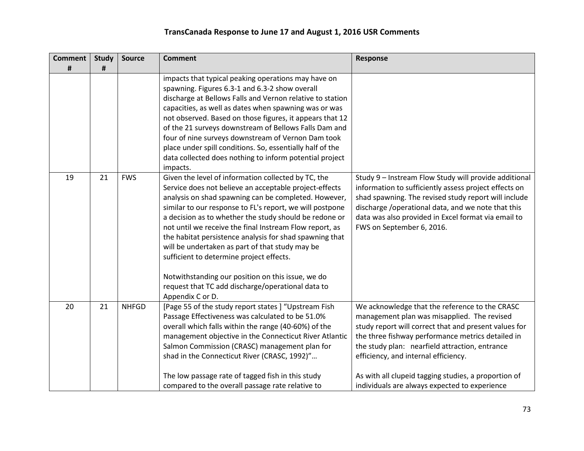| <b>Comment</b><br># | <b>Study</b><br># | <b>Source</b> | <b>Comment</b>                                                                                                                                                                                                                                                                                                                                                                                                                                                                                                                                                                                                                                 | <b>Response</b>                                                                                                                                                                                                                                                                                                                                                                                                |
|---------------------|-------------------|---------------|------------------------------------------------------------------------------------------------------------------------------------------------------------------------------------------------------------------------------------------------------------------------------------------------------------------------------------------------------------------------------------------------------------------------------------------------------------------------------------------------------------------------------------------------------------------------------------------------------------------------------------------------|----------------------------------------------------------------------------------------------------------------------------------------------------------------------------------------------------------------------------------------------------------------------------------------------------------------------------------------------------------------------------------------------------------------|
|                     |                   |               | impacts that typical peaking operations may have on<br>spawning. Figures 6.3-1 and 6.3-2 show overall<br>discharge at Bellows Falls and Vernon relative to station<br>capacities, as well as dates when spawning was or was<br>not observed. Based on those figures, it appears that 12<br>of the 21 surveys downstream of Bellows Falls Dam and<br>four of nine surveys downstream of Vernon Dam took<br>place under spill conditions. So, essentially half of the<br>data collected does nothing to inform potential project<br>impacts.                                                                                                     |                                                                                                                                                                                                                                                                                                                                                                                                                |
| 19                  | 21                | <b>FWS</b>    | Given the level of information collected by TC, the<br>Service does not believe an acceptable project-effects<br>analysis on shad spawning can be completed. However,<br>similar to our response to FL's report, we will postpone<br>a decision as to whether the study should be redone or<br>not until we receive the final Instream Flow report, as<br>the habitat persistence analysis for shad spawning that<br>will be undertaken as part of that study may be<br>sufficient to determine project effects.<br>Notwithstanding our position on this issue, we do<br>request that TC add discharge/operational data to<br>Appendix C or D. | Study 9 - Instream Flow Study will provide additional<br>information to sufficiently assess project effects on<br>shad spawning. The revised study report will include<br>discharge / operational data, and we note that this<br>data was also provided in Excel format via email to<br>FWS on September 6, 2016.                                                                                              |
| 20                  | 21                | <b>NHFGD</b>  | [Page 55 of the study report states] "Upstream Fish<br>Passage Effectiveness was calculated to be 51.0%<br>overall which falls within the range (40-60%) of the<br>management objective in the Connecticut River Atlantic<br>Salmon Commission (CRASC) management plan for<br>shad in the Connecticut River (CRASC, 1992)"<br>The low passage rate of tagged fish in this study<br>compared to the overall passage rate relative to                                                                                                                                                                                                            | We acknowledge that the reference to the CRASC<br>management plan was misapplied. The revised<br>study report will correct that and present values for<br>the three fishway performance metrics detailed in<br>the study plan: nearfield attraction, entrance<br>efficiency, and internal efficiency.<br>As with all clupeid tagging studies, a proportion of<br>individuals are always expected to experience |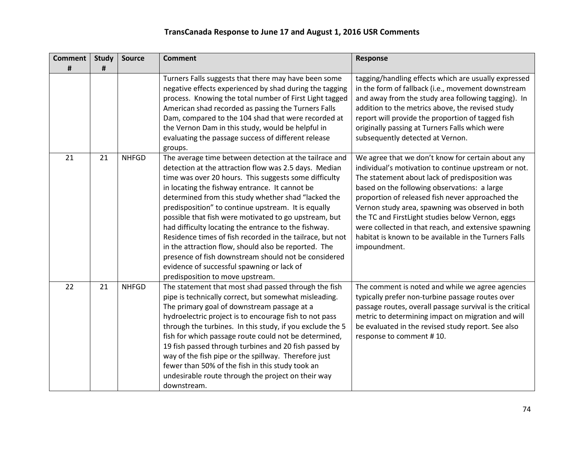| <b>Comment</b> | <b>Study</b> | <b>Source</b> | <b>Comment</b>                                                                                                                                                                                                                                                                                                                                                                                                                                                                                                                                                                                                                                                                                                           | <b>Response</b>                                                                                                                                                                                                                                                                                                                                                                                                                                                                                          |
|----------------|--------------|---------------|--------------------------------------------------------------------------------------------------------------------------------------------------------------------------------------------------------------------------------------------------------------------------------------------------------------------------------------------------------------------------------------------------------------------------------------------------------------------------------------------------------------------------------------------------------------------------------------------------------------------------------------------------------------------------------------------------------------------------|----------------------------------------------------------------------------------------------------------------------------------------------------------------------------------------------------------------------------------------------------------------------------------------------------------------------------------------------------------------------------------------------------------------------------------------------------------------------------------------------------------|
| #              | #            |               |                                                                                                                                                                                                                                                                                                                                                                                                                                                                                                                                                                                                                                                                                                                          |                                                                                                                                                                                                                                                                                                                                                                                                                                                                                                          |
|                |              |               | Turners Falls suggests that there may have been some<br>negative effects experienced by shad during the tagging<br>process. Knowing the total number of First Light tagged<br>American shad recorded as passing the Turners Falls<br>Dam, compared to the 104 shad that were recorded at<br>the Vernon Dam in this study, would be helpful in<br>evaluating the passage success of different release<br>groups.                                                                                                                                                                                                                                                                                                          | tagging/handling effects which are usually expressed<br>in the form of fallback (i.e., movement downstream<br>and away from the study area following tagging). In<br>addition to the metrics above, the revised study<br>report will provide the proportion of tagged fish<br>originally passing at Turners Falls which were<br>subsequently detected at Vernon.                                                                                                                                         |
| 21             | 21           | <b>NHFGD</b>  | The average time between detection at the tailrace and<br>detection at the attraction flow was 2.5 days. Median<br>time was over 20 hours. This suggests some difficulty<br>in locating the fishway entrance. It cannot be<br>determined from this study whether shad "lacked the<br>predisposition" to continue upstream. It is equally<br>possible that fish were motivated to go upstream, but<br>had difficulty locating the entrance to the fishway.<br>Residence times of fish recorded in the tailrace, but not<br>in the attraction flow, should also be reported. The<br>presence of fish downstream should not be considered<br>evidence of successful spawning or lack of<br>predisposition to move upstream. | We agree that we don't know for certain about any<br>individual's motivation to continue upstream or not.<br>The statement about lack of predisposition was<br>based on the following observations: a large<br>proportion of released fish never approached the<br>Vernon study area, spawning was observed in both<br>the TC and FirstLight studies below Vernon, eggs<br>were collected in that reach, and extensive spawning<br>habitat is known to be available in the Turners Falls<br>impoundment. |
| 22             | 21           | <b>NHFGD</b>  | The statement that most shad passed through the fish<br>pipe is technically correct, but somewhat misleading.<br>The primary goal of downstream passage at a<br>hydroelectric project is to encourage fish to not pass<br>through the turbines. In this study, if you exclude the 5<br>fish for which passage route could not be determined,<br>19 fish passed through turbines and 20 fish passed by<br>way of the fish pipe or the spillway. Therefore just<br>fewer than 50% of the fish in this study took an<br>undesirable route through the project on their way<br>downstream.                                                                                                                                   | The comment is noted and while we agree agencies<br>typically prefer non-turbine passage routes over<br>passage routes, overall passage survival is the critical<br>metric to determining impact on migration and will<br>be evaluated in the revised study report. See also<br>response to comment #10.                                                                                                                                                                                                 |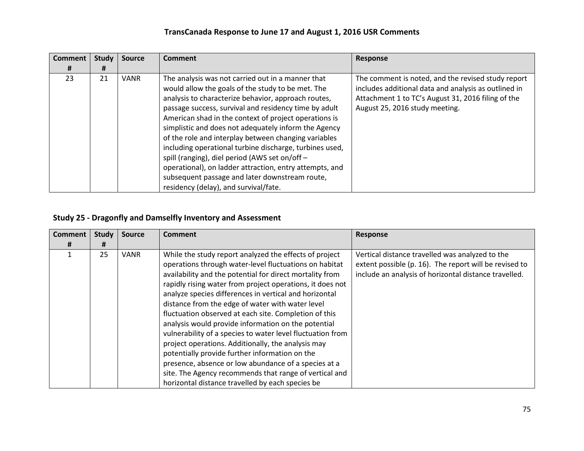| <b>Comment</b> | <b>Study</b> | <b>Source</b> | <b>Comment</b>                                                                                                                                                                                                                                                                                                                                                                                                                                                                                                                                                                                                                                                     | <b>Response</b>                                                                                                                                                                                    |
|----------------|--------------|---------------|--------------------------------------------------------------------------------------------------------------------------------------------------------------------------------------------------------------------------------------------------------------------------------------------------------------------------------------------------------------------------------------------------------------------------------------------------------------------------------------------------------------------------------------------------------------------------------------------------------------------------------------------------------------------|----------------------------------------------------------------------------------------------------------------------------------------------------------------------------------------------------|
| Ħ              | #            |               |                                                                                                                                                                                                                                                                                                                                                                                                                                                                                                                                                                                                                                                                    |                                                                                                                                                                                                    |
| 23             | 21           | <b>VANR</b>   | The analysis was not carried out in a manner that<br>would allow the goals of the study to be met. The<br>analysis to characterize behavior, approach routes,<br>passage success, survival and residency time by adult<br>American shad in the context of project operations is<br>simplistic and does not adequately inform the Agency<br>of the role and interplay between changing variables<br>including operational turbine discharge, turbines used,<br>spill (ranging), diel period (AWS set on/off -<br>operational), on ladder attraction, entry attempts, and<br>subsequent passage and later downstream route,<br>residency (delay), and survival/fate. | The comment is noted, and the revised study report<br>includes additional data and analysis as outlined in<br>Attachment 1 to TC's August 31, 2016 filing of the<br>August 25, 2016 study meeting. |

### **Study 25 - Dragonfly and Damselfly Inventory and Assessment**

| <b>Comment</b> | <b>Study</b> | <b>Source</b> | <b>Comment</b>                                                                                                                                                                                                                                                                                                                                                                                                                                                                                                                                                                                                                                                                                                                                                                                                      | <b>Response</b>                                                                                                                                                    |
|----------------|--------------|---------------|---------------------------------------------------------------------------------------------------------------------------------------------------------------------------------------------------------------------------------------------------------------------------------------------------------------------------------------------------------------------------------------------------------------------------------------------------------------------------------------------------------------------------------------------------------------------------------------------------------------------------------------------------------------------------------------------------------------------------------------------------------------------------------------------------------------------|--------------------------------------------------------------------------------------------------------------------------------------------------------------------|
| #              | #            |               |                                                                                                                                                                                                                                                                                                                                                                                                                                                                                                                                                                                                                                                                                                                                                                                                                     |                                                                                                                                                                    |
|                | 25           | <b>VANR</b>   | While the study report analyzed the effects of project<br>operations through water-level fluctuations on habitat<br>availability and the potential for direct mortality from<br>rapidly rising water from project operations, it does not<br>analyze species differences in vertical and horizontal<br>distance from the edge of water with water level<br>fluctuation observed at each site. Completion of this<br>analysis would provide information on the potential<br>vulnerability of a species to water level fluctuation from<br>project operations. Additionally, the analysis may<br>potentially provide further information on the<br>presence, absence or low abundance of a species at a<br>site. The Agency recommends that range of vertical and<br>horizontal distance travelled by each species be | Vertical distance travelled was analyzed to the<br>extent possible (p. 16). The report will be revised to<br>include an analysis of horizontal distance travelled. |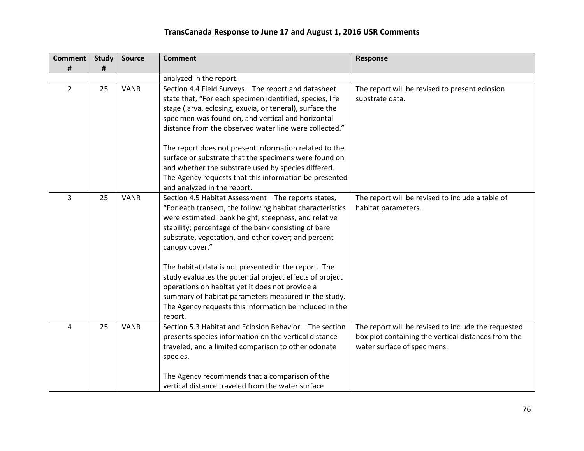| <b>Comment</b><br># | <b>Study</b><br># | <b>Source</b> | <b>Comment</b>                                                                                                                                                                                                                                                                                             | Response                                                                                                                                  |
|---------------------|-------------------|---------------|------------------------------------------------------------------------------------------------------------------------------------------------------------------------------------------------------------------------------------------------------------------------------------------------------------|-------------------------------------------------------------------------------------------------------------------------------------------|
|                     |                   |               | analyzed in the report.                                                                                                                                                                                                                                                                                    |                                                                                                                                           |
| $\overline{2}$      | 25                | <b>VANR</b>   | Section 4.4 Field Surveys - The report and datasheet<br>state that, "For each specimen identified, species, life<br>stage (larva, eclosing, exuvia, or teneral), surface the<br>specimen was found on, and vertical and horizontal<br>distance from the observed water line were collected."               | The report will be revised to present eclosion<br>substrate data.                                                                         |
|                     |                   |               | The report does not present information related to the<br>surface or substrate that the specimens were found on<br>and whether the substrate used by species differed.<br>The Agency requests that this information be presented<br>and analyzed in the report.                                            |                                                                                                                                           |
| 3                   | 25                | <b>VANR</b>   | Section 4.5 Habitat Assessment - The reports states,<br>"For each transect, the following habitat characteristics<br>were estimated: bank height, steepness, and relative<br>stability; percentage of the bank consisting of bare<br>substrate, vegetation, and other cover; and percent<br>canopy cover." | The report will be revised to include a table of<br>habitat parameters.                                                                   |
|                     |                   |               | The habitat data is not presented in the report. The<br>study evaluates the potential project effects of project<br>operations on habitat yet it does not provide a<br>summary of habitat parameters measured in the study.<br>The Agency requests this information be included in the<br>report.          |                                                                                                                                           |
| 4                   | 25                | <b>VANR</b>   | Section 5.3 Habitat and Eclosion Behavior - The section<br>presents species information on the vertical distance<br>traveled, and a limited comparison to other odonate<br>species.                                                                                                                        | The report will be revised to include the requested<br>box plot containing the vertical distances from the<br>water surface of specimens. |
|                     |                   |               | The Agency recommends that a comparison of the<br>vertical distance traveled from the water surface                                                                                                                                                                                                        |                                                                                                                                           |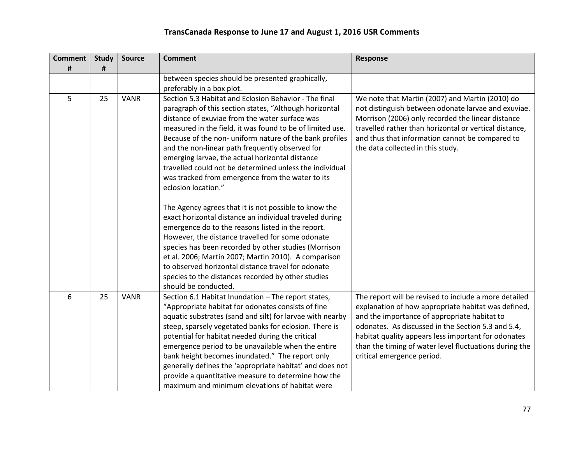| <b>Comment</b><br># | <b>Study</b><br>$\pmb{\sharp}$ | <b>Source</b> | <b>Comment</b>                                                                                                                                                                                                                                                                                                                                                                                                                                                                                                                                                     | <b>Response</b>                                                                                                                                                                                                                                                                                                                                                   |
|---------------------|--------------------------------|---------------|--------------------------------------------------------------------------------------------------------------------------------------------------------------------------------------------------------------------------------------------------------------------------------------------------------------------------------------------------------------------------------------------------------------------------------------------------------------------------------------------------------------------------------------------------------------------|-------------------------------------------------------------------------------------------------------------------------------------------------------------------------------------------------------------------------------------------------------------------------------------------------------------------------------------------------------------------|
|                     |                                |               | between species should be presented graphically,<br>preferably in a box plot.                                                                                                                                                                                                                                                                                                                                                                                                                                                                                      |                                                                                                                                                                                                                                                                                                                                                                   |
| 5                   | 25                             | <b>VANR</b>   | Section 5.3 Habitat and Eclosion Behavior - The final<br>paragraph of this section states, "Although horizontal<br>distance of exuviae from the water surface was<br>measured in the field, it was found to be of limited use.<br>Because of the non- uniform nature of the bank profiles<br>and the non-linear path frequently observed for<br>emerging larvae, the actual horizontal distance<br>travelled could not be determined unless the individual<br>was tracked from emergence from the water to its<br>eclosion location."                              | We note that Martin (2007) and Martin (2010) do<br>not distinguish between odonate larvae and exuviae.<br>Morrison (2006) only recorded the linear distance<br>travelled rather than horizontal or vertical distance,<br>and thus that information cannot be compared to<br>the data collected in this study.                                                     |
|                     |                                |               | The Agency agrees that it is not possible to know the<br>exact horizontal distance an individual traveled during<br>emergence do to the reasons listed in the report.<br>However, the distance travelled for some odonate<br>species has been recorded by other studies (Morrison<br>et al. 2006; Martin 2007; Martin 2010). A comparison<br>to observed horizontal distance travel for odonate<br>species to the distances recorded by other studies<br>should be conducted.                                                                                      |                                                                                                                                                                                                                                                                                                                                                                   |
| 6                   | 25                             | <b>VANR</b>   | Section 6.1 Habitat Inundation - The report states,<br>"Appropriate habitat for odonates consists of fine<br>aquatic substrates (sand and silt) for larvae with nearby<br>steep, sparsely vegetated banks for eclosion. There is<br>potential for habitat needed during the critical<br>emergence period to be unavailable when the entire<br>bank height becomes inundated." The report only<br>generally defines the 'appropriate habitat' and does not<br>provide a quantitative measure to determine how the<br>maximum and minimum elevations of habitat were | The report will be revised to include a more detailed<br>explanation of how appropriate habitat was defined,<br>and the importance of appropriate habitat to<br>odonates. As discussed in the Section 5.3 and 5.4,<br>habitat quality appears less important for odonates<br>than the timing of water level fluctuations during the<br>critical emergence period. |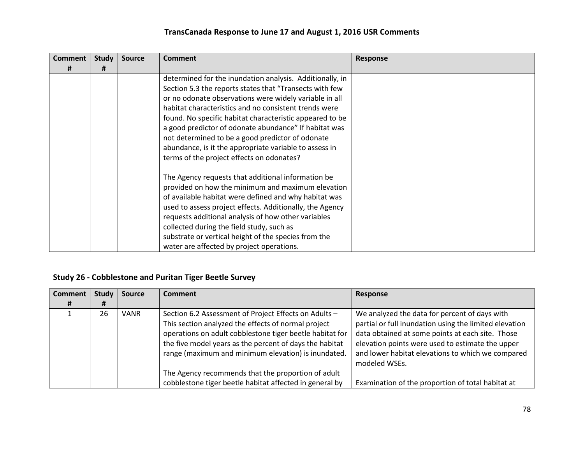| <b>Comment</b><br># | <b>Study</b><br># | <b>Source</b> | <b>Comment</b>                                           | Response |
|---------------------|-------------------|---------------|----------------------------------------------------------|----------|
|                     |                   |               | determined for the inundation analysis. Additionally, in |          |
|                     |                   |               |                                                          |          |
|                     |                   |               | Section 5.3 the reports states that "Transects with few  |          |
|                     |                   |               | or no odonate observations were widely variable in all   |          |
|                     |                   |               | habitat characteristics and no consistent trends were    |          |
|                     |                   |               | found. No specific habitat characteristic appeared to be |          |
|                     |                   |               | a good predictor of odonate abundance" If habitat was    |          |
|                     |                   |               | not determined to be a good predictor of odonate         |          |
|                     |                   |               | abundance, is it the appropriate variable to assess in   |          |
|                     |                   |               | terms of the project effects on odonates?                |          |
|                     |                   |               | The Agency requests that additional information be       |          |
|                     |                   |               | provided on how the minimum and maximum elevation        |          |
|                     |                   |               | of available habitat were defined and why habitat was    |          |
|                     |                   |               | used to assess project effects. Additionally, the Agency |          |
|                     |                   |               | requests additional analysis of how other variables      |          |
|                     |                   |               | collected during the field study, such as                |          |
|                     |                   |               | substrate or vertical height of the species from the     |          |
|                     |                   |               | water are affected by project operations.                |          |

#### **Study 26 - Cobblestone and Puritan Tiger Beetle Survey**

| <b>Comment</b> | Study | <b>Source</b> | <b>Comment</b>                                                                                                                                                                                                                                                                             | Response                                                                                                                                                                                                                                                                              |
|----------------|-------|---------------|--------------------------------------------------------------------------------------------------------------------------------------------------------------------------------------------------------------------------------------------------------------------------------------------|---------------------------------------------------------------------------------------------------------------------------------------------------------------------------------------------------------------------------------------------------------------------------------------|
| #              | Ħ     |               |                                                                                                                                                                                                                                                                                            |                                                                                                                                                                                                                                                                                       |
|                | 26    | <b>VANR</b>   | Section 6.2 Assessment of Project Effects on Adults -<br>This section analyzed the effects of normal project<br>operations on adult cobblestone tiger beetle habitat for<br>the five model years as the percent of days the habitat<br>range (maximum and minimum elevation) is inundated. | We analyzed the data for percent of days with<br>partial or full inundation using the limited elevation<br>data obtained at some points at each site. Those<br>elevation points were used to estimate the upper<br>and lower habitat elevations to which we compared<br>modeled WSEs. |
|                |       |               | The Agency recommends that the proportion of adult<br>cobblestone tiger beetle habitat affected in general by                                                                                                                                                                              | Examination of the proportion of total habitat at                                                                                                                                                                                                                                     |